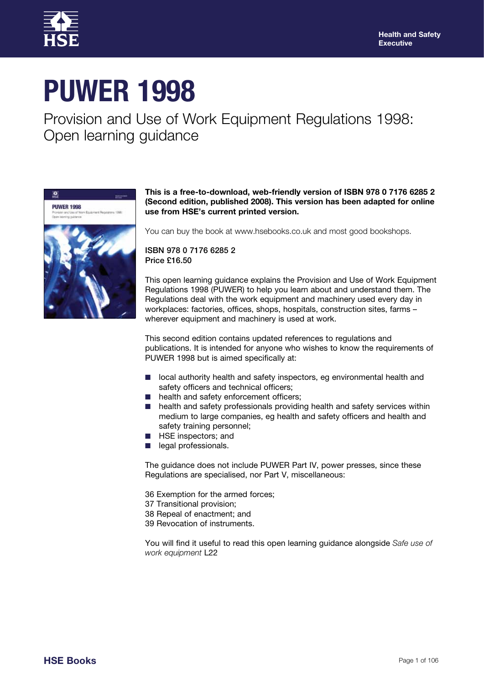

# **PUWER 1998**

Provision and Use of Work Equipment Regulations 1998: Open learning guidance



### **This is a free-to-download, web-friendly version of ISBN 978 0 7176 6285 2 (Second edition, published 2008). This version has been adapted for online use from HSE's current printed version.**

You can buy the book at www.hsebooks.co.uk and most good bookshops.

ISBN 978 0 7176 6285 2 Price £16.50

This open learning guidance explains the Provision and Use of Work Equipment Regulations 1998 (PUWER) to help you learn about and understand them. The Regulations deal with the work equipment and machinery used every day in workplaces: factories, offices, shops, hospitals, construction sites, farms – wherever equipment and machinery is used at work.

This second edition contains updated references to regulations and publications. It is intended for anyone who wishes to know the requirements of PUWER 1998 but is aimed specifically at:

- local authority health and safety inspectors, eg environmental health and safety officers and technical officers;
- health and safety enforcement officers:
- $\blacksquare$  health and safety professionals providing health and safety services within medium to large companies, eg health and safety officers and health and safety training personnel;
- **NO** HSE inspectors; and
- $\blacksquare$  legal professionals.

The guidance does not include PUWER Part IV, power presses, since these Regulations are specialised, nor Part V, miscellaneous:

36 Exemption for the armed forces;

- 37 Transitional provision;
- 38 Repeal of enactment; and

39 Revocation of instruments.

You will find it useful to read this open learning guidance alongside *Safe use of work equipment* L22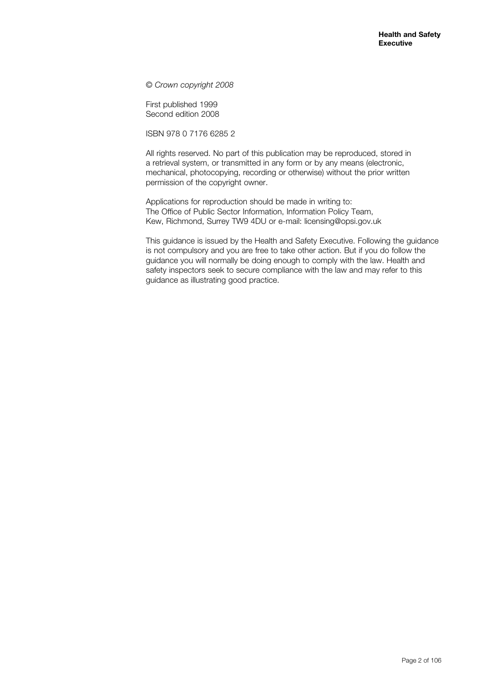© *Crown copyright 2008*

First published 1999 Second edition 2008

ISBN 978 0 7176 6285 2

All rights reserved. No part of this publication may be reproduced, stored in a retrieval system, or transmitted in any form or by any means (electronic, mechanical, photocopying, recording or otherwise) without the prior written permission of the copyright owner.

Applications for reproduction should be made in writing to: The Office of Public Sector Information, Information Policy Team, Kew, Richmond, Surrey TW9 4DU or e-mail: licensing@opsi.gov.uk

This guidance is issued by the Health and Safety Executive. Following the guidance is not compulsory and you are free to take other action. But if you do follow the guidance you will normally be doing enough to comply with the law. Health and safety inspectors seek to secure compliance with the law and may refer to this guidance as illustrating good practice.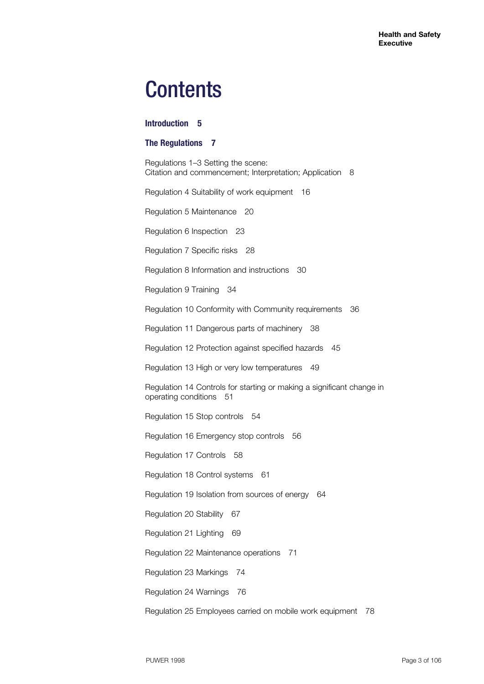## **Contents**

### **Introduction 5**

### **The Regulations 7**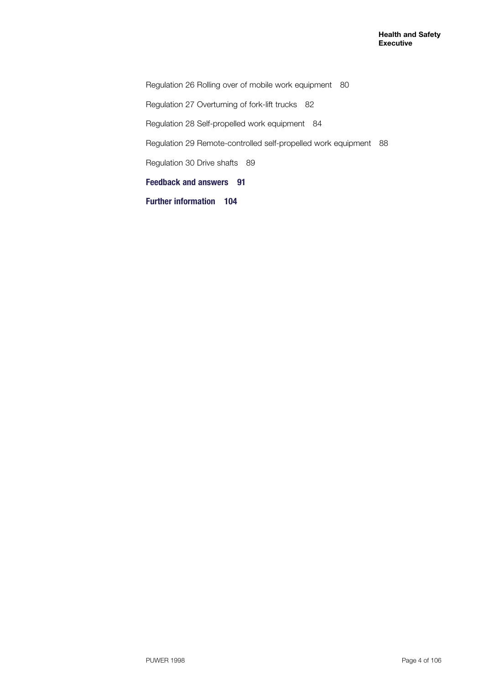Regulation 26 Rolling over of mobile work equipment 80

Regulation 27 Overturning of fork-lift trucks 82

Regulation 28 Self-propelled work equipment 84

Regulation 29 Remote-controlled self-propelled work equipment 88

Regulation 30 Drive shafts 89

**Feedback and answers 91**

**Further information 104**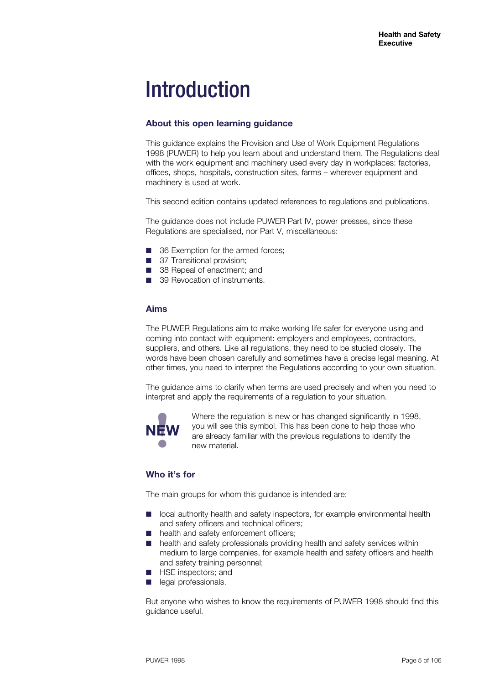## **Introduction**

### **About this open learning guidance**

This guidance explains the Provision and Use of Work Equipment Regulations 1998 (PUWER) to help you learn about and understand them. The Regulations deal with the work equipment and machinery used every day in workplaces: factories, offices, shops, hospitals, construction sites, farms – wherever equipment and machinery is used at work.

This second edition contains updated references to regulations and publications.

The guidance does not include PUWER Part IV, power presses, since these Regulations are specialised, nor Part V, miscellaneous:

- 36 Exemption for the armed forces;
- $\blacksquare$  37 Transitional provision;
- 38 Repeal of enactment; and
- 39 Revocation of instruments.

### **Aims**

The PUWER Regulations aim to make working life safer for everyone using and coming into contact with equipment: employers and employees, contractors, suppliers, and others. Like all regulations, they need to be studied closely. The words have been chosen carefully and sometimes have a precise legal meaning. At other times, you need to interpret the Regulations according to your own situation.

The guidance aims to clarify when terms are used precisely and when you need to interpret and apply the requirements of a regulation to your situation.



Where the regulation is new or has changed significantly in 1998, you will see this symbol. This has been done to help those who are already familiar with the previous regulations to identify the new material.

### **Who it's for**

The main groups for whom this guidance is intended are:

- local authority health and safety inspectors, for example environmental health and safety officers and technical officers;
- health and safety enforcement officers:
- health and safety professionals providing health and safety services within medium to large companies, for example health and safety officers and health and safety training personnel;
- **n** HSE inspectors; and
- egal professionals.

But anyone who wishes to know the requirements of PUWER 1998 should find this guidance useful.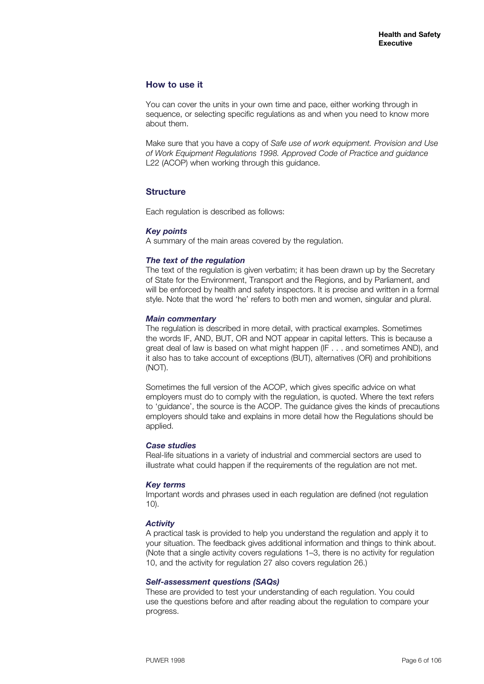### **How to use it**

You can cover the units in your own time and pace, either working through in sequence, or selecting specific regulations as and when you need to know more about them.

Make sure that you have a copy of *Safe use of work equipment. Provision and Use of Work Equipment Regulations 1998. Approved Code of Practice and guidance* L22 (ACOP) when working through this guidance.

### **Structure**

Each regulation is described as follows:

### *Key points*

A summary of the main areas covered by the regulation.

### *The text of the regulation*

The text of the regulation is given verbatim; it has been drawn up by the Secretary of State for the Environment, Transport and the Regions, and by Parliament, and will be enforced by health and safety inspectors. It is precise and written in a formal style. Note that the word 'he' refers to both men and women, singular and plural.

### *Main commentary*

The regulation is described in more detail, with practical examples. Sometimes the words IF, AND, BUT, OR and NOT appear in capital letters. This is because a great deal of law is based on what might happen (IF . . . and sometimes AND), and it also has to take account of exceptions (BUT), alternatives (OR) and prohibitions (NOT).

Sometimes the full version of the ACOP, which gives specific advice on what employers must do to comply with the regulation, is quoted. Where the text refers to 'guidance', the source is the ACOP. The guidance gives the kinds of precautions employers should take and explains in more detail how the Regulations should be applied.

### *Case studies*

Real-life situations in a variety of industrial and commercial sectors are used to illustrate what could happen if the requirements of the regulation are not met.

### *Key terms*

Important words and phrases used in each regulation are defined (not regulation 10).

### *Activity*

A practical task is provided to help you understand the regulation and apply it to your situation. The feedback gives additional information and things to think about. (Note that a single activity covers regulations 1–3, there is no activity for regulation 10, and the activity for regulation 27 also covers regulation 26.)

### *Self-assessment questions (SAQs)*

These are provided to test your understanding of each regulation. You could use the questions before and after reading about the regulation to compare your progress.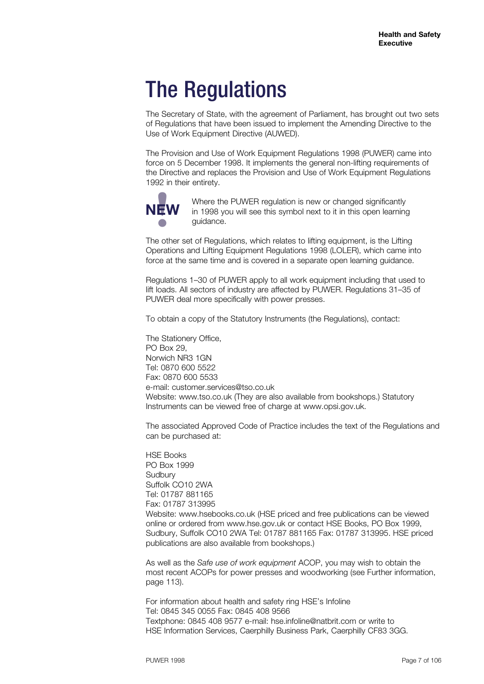## The Regulations

The Secretary of State, with the agreement of Parliament, has brought out two sets of Regulations that have been issued to implement the Amending Directive to the Use of Work Equipment Directive (AUWED).

The Provision and Use of Work Equipment Regulations 1998 (PUWER) came into force on 5 December 1998. It implements the general non-lifting requirements of the Directive and replaces the Provision and Use of Work Equipment Regulations 1992 in their entirety.



Where the PUWER regulation is new or changed significantly in 1998 you will see this symbol next to it in this open learning guidance.

The other set of Regulations, which relates to lifting equipment, is the Lifting Operations and Lifting Equipment Regulations 1998 (LOLER), which came into force at the same time and is covered in a separate open learning guidance.

Regulations 1–30 of PUWER apply to all work equipment including that used to lift loads. All sectors of industry are affected by PUWER. Regulations 31–35 of PUWER deal more specifically with power presses.

To obtain a copy of the Statutory Instruments (the Regulations), contact:

The Stationery Office, PO Box 29, Norwich NR3 1GN Tel: 0870 600 5522 Fax: 0870 600 5533 e-mail: customer.services@tso.co.uk Website: www.tso.co.uk (They are also available from bookshops.) Statutory Instruments can be viewed free of charge at www.opsi.gov.uk.

The associated Approved Code of Practice includes the text of the Regulations and can be purchased at:

HSE Books PO Box 1999 **Sudbury** Suffolk CO10 2WA Tel: 01787 881165 Fax: 01787 313995 Website: www.hsebooks.co.uk (HSE priced and free publications can be viewed online or ordered from www.hse.gov.uk or contact HSE Books, PO Box 1999, Sudbury, Suffolk CO10 2WA Tel: 01787 881165 Fax: 01787 313995. HSE priced publications are also available from bookshops.)

As well as the *Safe use of work equipment* ACOP, you may wish to obtain the most recent ACOPs for power presses and woodworking (see Further information, page 113).

For information about health and safety ring HSE's Infoline Tel: 0845 345 0055 Fax: 0845 408 9566 Textphone: 0845 408 9577 e-mail: hse.infoline@natbrit.com or write to HSE Information Services, Caerphilly Business Park, Caerphilly CF83 3GG.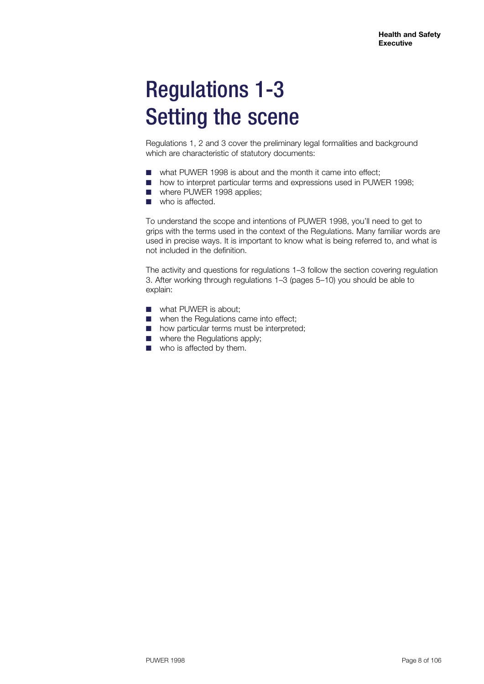## Regulations 1-3 Setting the scene

Regulations 1, 2 and 3 cover the preliminary legal formalities and background which are characteristic of statutory documents:

- $\blacksquare$  what PUWER 1998 is about and the month it came into effect;
- how to interpret particular terms and expressions used in PUWER 1998;
- where PUWER 1998 applies;
- $\blacksquare$  who is affected.

To understand the scope and intentions of PUWER 1998, you'll need to get to grips with the terms used in the context of the Regulations. Many familiar words are used in precise ways. It is important to know what is being referred to, and what is not included in the definition.

The activity and questions for regulations 1–3 follow the section covering regulation 3. After working through regulations 1–3 (pages 5–10) you should be able to explain:

- $\blacksquare$  what PUWER is about;
- $\blacksquare$  when the Regulations came into effect;
- $\blacksquare$  how particular terms must be interpreted;
- $\blacksquare$  where the Regulations apply;
- $\blacksquare$  who is affected by them.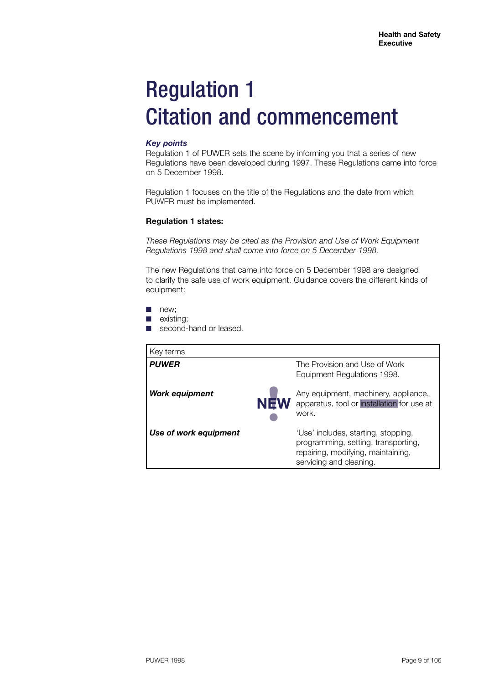## Regulation 1 Citation and commencement

### *Key points*

Regulation 1 of PUWER sets the scene by informing you that a series of new Regulations have been developed during 1997. These Regulations came into force on 5 December 1998.

Regulation 1 focuses on the title of the Regulations and the date from which PUWER must be implemented.

### **Regulation 1 states:**

*These Regulations may be cited as the Provision and Use of Work Equipment Regulations 1998 and shall come into force on 5 December 1998.*

The new Regulations that came into force on 5 December 1998 are designed to clarify the safe use of work equipment. Guidance covers the different kinds of equipment:

- $\blacksquare$  new;
- $\blacksquare$  existing;
- second-hand or leased.

| Key terms             |            |                                                                                                                                             |
|-----------------------|------------|---------------------------------------------------------------------------------------------------------------------------------------------|
| <b>PUWER</b>          |            | The Provision and Use of Work<br>Equipment Regulations 1998.                                                                                |
| <b>Work equipment</b> | <b>NEW</b> | Any equipment, machinery, appliance,<br>apparatus, tool or installation for use at<br>work.                                                 |
| Use of work equipment |            | 'Use' includes, starting, stopping,<br>programming, setting, transporting,<br>repairing, modifying, maintaining,<br>servicing and cleaning. |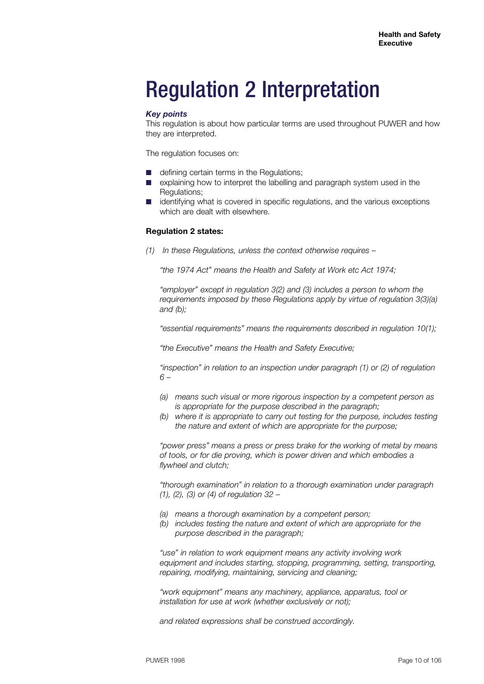## Regulation 2 Interpretation

### *Key points*

This regulation is about how particular terms are used throughout PUWER and how they are interpreted.

The regulation focuses on:

- $\blacksquare$  defining certain terms in the Regulations;
- explaining how to interpret the labelling and paragraph system used in the Regulations;
- identifying what is covered in specific regulations, and the various exceptions which are dealt with elsewhere.

### **Regulation 2 states:**

*(1) In these Regulations, unless the context otherwise requires –*

*"the 1974 Act" means the Health and Safety at Work etc Act 1974;*

*"employer" except in regulation 3(2) and (3) includes a person to whom the requirements imposed by these Regulations apply by virtue of regulation 3(3)(a) and (b);*

*"essential requirements" means the requirements described in regulation 10(1);*

*"the Executive" means the Health and Safety Executive;*

*"inspection" in relation to an inspection under paragraph (1) or (2) of regulation 6 –*

- *(a) means such visual or more rigorous inspection by a competent person as is appropriate for the purpose described in the paragraph;*
- *(b) where it is appropriate to carry out testing for the purpose, includes testing the nature and extent of which are appropriate for the purpose;*

*"power press" means a press or press brake for the working of metal by means of tools, or for die proving, which is power driven and which embodies a flywheel and clutch;*

*"thorough examination" in relation to a thorough examination under paragraph (1), (2), (3) or (4) of regulation 32 –*

- *(a) means a thorough examination by a competent person;*
- *(b) includes testing the nature and extent of which are appropriate for the purpose described in the paragraph;*

*"use" in relation to work equipment means any activity involving work equipment and includes starting, stopping, programming, setting, transporting, repairing, modifying, maintaining, servicing and cleaning;*

*"work equipment" means any machinery, appliance, apparatus, tool or installation for use at work (whether exclusively or not);*

*and related expressions shall be construed accordingly.*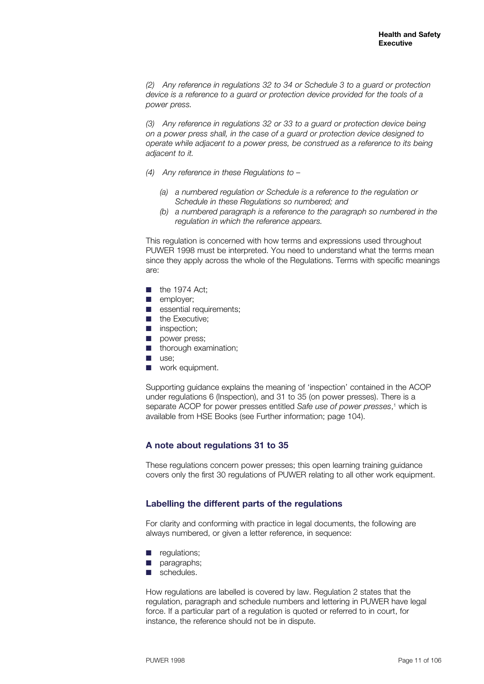*(2) Any reference in regulations 32 to 34 or Schedule 3 to a guard or protection device is a reference to a guard or protection device provided for the tools of a power press.*

*(3) Any reference in regulations 32 or 33 to a guard or protection device being on a power press shall, in the case of a guard or protection device designed to operate while adjacent to a power press, be construed as a reference to its being adjacent to it.* 

- *(4) Any reference in these Regulations to –*
	- *(a) a numbered regulation or Schedule is a reference to the regulation or Schedule in these Regulations so numbered; and*
	- *(b) a numbered paragraph is a reference to the paragraph so numbered in the regulation in which the reference appears.*

This regulation is concerned with how terms and expressions used throughout PUWER 1998 must be interpreted. You need to understand what the terms mean since they apply across the whole of the Regulations. Terms with specific meanings are:

- $\blacksquare$  the 1974 Act;
- na employer:
- $\blacksquare$  essential requirements;
- **n** the Executive;
- nspection;
- $\blacksquare$  power press;
- $\blacksquare$  thorough examination;
- **n** use;
- $\blacksquare$  work equipment.

Supporting guidance explains the meaning of 'inspection' contained in the ACOP under regulations 6 (Inspection), and 31 to 35 (on power presses). There is a separate ACOP for power presses entitled Safe use of power presses,<sup>1</sup> which is available from HSE Books (see Further information; page 104).

### **A note about regulations 31 to 35**

These regulations concern power presses; this open learning training guidance covers only the first 30 regulations of PUWER relating to all other work equipment.

### **Labelling the different parts of the regulations**

For clarity and conforming with practice in legal documents, the following are always numbered, or given a letter reference, in sequence:

- $\blacksquare$  regulations;
- $\blacksquare$  paragraphs;
- schedules.

How regulations are labelled is covered by law. Regulation 2 states that the regulation, paragraph and schedule numbers and lettering in PUWER have legal force. If a particular part of a regulation is quoted or referred to in court, for instance, the reference should not be in dispute.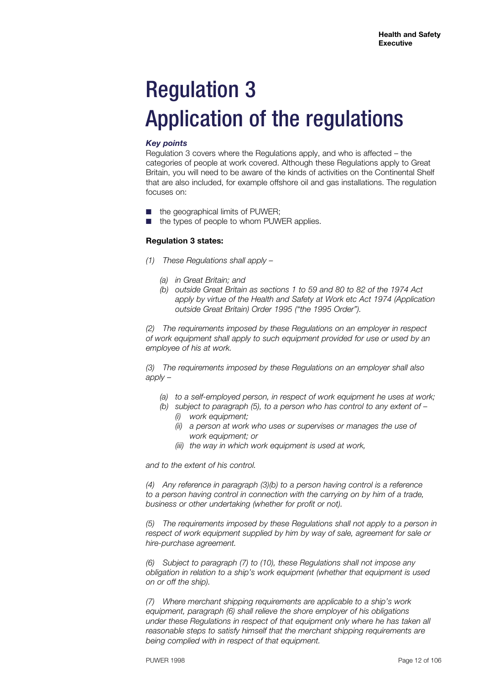## Regulation 3 Application of the regulations

### *Key points*

Regulation 3 covers where the Regulations apply, and who is affected – the categories of people at work covered. Although these Regulations apply to Great Britain, you will need to be aware of the kinds of activities on the Continental Shelf that are also included, for example offshore oil and gas installations. The regulation focuses on:

- the geographical limits of PUWER;
- the types of people to whom PUWER applies.

### **Regulation 3 states:**

- *(1) These Regulations shall apply –*
	- *(a) in Great Britain; and*
	- *(b) outside Great Britain as sections 1 to 59 and 80 to 82 of the 1974 Act apply by virtue of the Health and Safety at Work etc Act 1974 (Application outside Great Britain) Order 1995 ("the 1995 Order").*

*(2) The requirements imposed by these Regulations on an employer in respect of work equipment shall apply to such equipment provided for use or used by an employee of his at work.*

*(3) The requirements imposed by these Regulations on an employer shall also apply –*

- *(a) to a self-employed person, in respect of work equipment he uses at work;*
- *(b) subject to paragraph (5), to a person who has control to any extent of –*
	- *(i) work equipment;*
	- *(ii) a person at work who uses or supervises or manages the use of work equipment; or*
	- *(iii) the way in which work equipment is used at work,*

*and to the extent of his control.*

*(4) Any reference in paragraph (3)(b) to a person having control is a reference to a person having control in connection with the carrying on by him of a trade, business or other undertaking (whether for profit or not).*

*(5) The requirements imposed by these Regulations shall not apply to a person in respect of work equipment supplied by him by way of sale, agreement for sale or hire-purchase agreement.*

*(6) Subject to paragraph (7) to (10), these Regulations shall not impose any obligation in relation to a ship's work equipment (whether that equipment is used on or off the ship).*

*(7) Where merchant shipping requirements are applicable to a ship's work equipment, paragraph (6) shall relieve the shore employer of his obligations*  under these Regulations in respect of that equipment only where he has taken all reasonable steps to satisfy himself that the merchant shipping requirements are *being complied with in respect of that equipment.*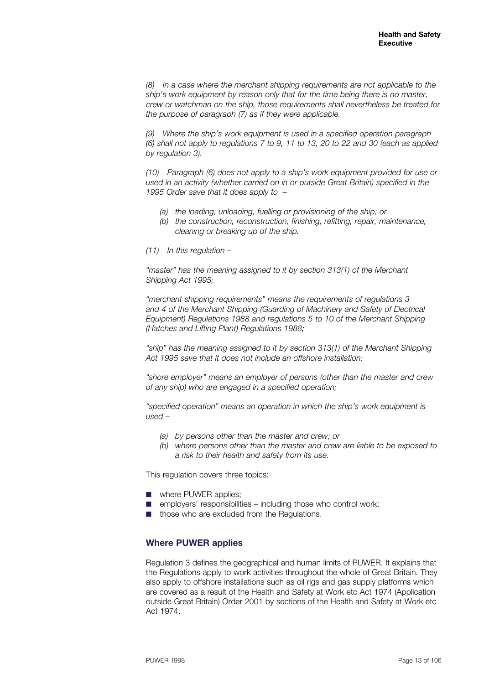*(8) In a case where the merchant shipping requirements are not applicable to the ship's work equipment by reason only that for the time being there is no master, crew or watchman on the ship, those requirements shall nevertheless be treated for the purpose of paragraph (7) as if they were applicable.*

*(9) Where the ship's work equipment is used in a specified operation paragraph (6) shall not apply to regulations 7 to 9, 11 to 13, 20 to 22 and 30 (each as applied by regulation 3).*

*(10) Paragraph (6) does not apply to a ship's work equipment provided for use or used in an activity (whether carried on in or outside Great Britain) specified in the 1995 Order save that it does apply to –*

- *(a) the loading, unloading, fuelling or provisioning of the ship; or*
- *(b) the construction, reconstruction, finishing, refitting, repair, maintenance, cleaning or breaking up of the ship.*
- *(11) In this regulation –*

*"master" has the meaning assigned to it by section 313(1) of the Merchant Shipping Act 1995;*

*"merchant shipping requirements" means the requirements of regulations 3 and 4 of the Merchant Shipping (Guarding of Machinery and Safety of Electrical Equipment) Regulations 1988 and regulations 5 to 10 of the Merchant Shipping (Hatches and Lifting Plant) Regulations 1988;*

*"ship" has the meaning assigned to it by section 313(1) of the Merchant Shipping Act 1995 save that it does not include an offshore installation;*

*"shore employer" means an employer of persons (other than the master and crew of any ship) who are engaged in a specified operation;*

*"specified operation" means an operation in which the ship's work equipment is used –*

- *(a) by persons other than the master and crew; or*
- *(b) where persons other than the master and crew are liable to be exposed to a risk to their health and safety from its use.*

This regulation covers three topics:

- $\blacksquare$  where PUWER applies:
- $\blacksquare$  employers' responsibilities including those who control work;
- $\blacksquare$  those who are excluded from the Regulations.

### **Where PUWER applies**

Regulation 3 defines the geographical and human limits of PUWER. It explains that the Regulations apply to work activities throughout the whole of Great Britain. They also apply to offshore installations such as oil rigs and gas supply platforms which are covered as a result of the Health and Safety at Work etc Act 1974 (Application outside Great Britain) Order 2001 by sections of the Health and Safety at Work etc Act 1974.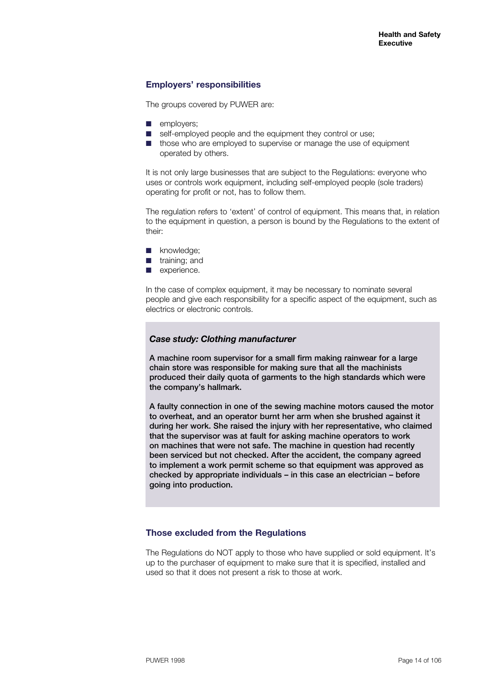### **Employers' responsibilities**

The groups covered by PUWER are:

- **n** employers;
- $\blacksquare$  self-employed people and the equipment they control or use;
- $\blacksquare$  those who are employed to supervise or manage the use of equipment operated by others.

It is not only large businesses that are subject to the Regulations: everyone who uses or controls work equipment, including self-employed people (sole traders) operating for profit or not, has to follow them.

The regulation refers to 'extent' of control of equipment. This means that, in relation to the equipment in question, a person is bound by the Regulations to the extent of their:

- knowledge;
- training; and
- experience.

In the case of complex equipment, it may be necessary to nominate several people and give each responsibility for a specific aspect of the equipment, such as electrics or electronic controls.

### *Case study: Clothing manufacturer*

A machine room supervisor for a small firm making rainwear for a large chain store was responsible for making sure that all the machinists produced their daily quota of garments to the high standards which were the company's hallmark.

A faulty connection in one of the sewing machine motors caused the motor to overheat, and an operator burnt her arm when she brushed against it during her work. She raised the injury with her representative, who claimed that the supervisor was at fault for asking machine operators to work on machines that were not safe. The machine in question had recently been serviced but not checked. After the accident, the company agreed to implement a work permit scheme so that equipment was approved as checked by appropriate individuals – in this case an electrician – before going into production.

### **Those excluded from the Regulations**

The Regulations do NOT apply to those who have supplied or sold equipment. It's up to the purchaser of equipment to make sure that it is specified, installed and used so that it does not present a risk to those at work.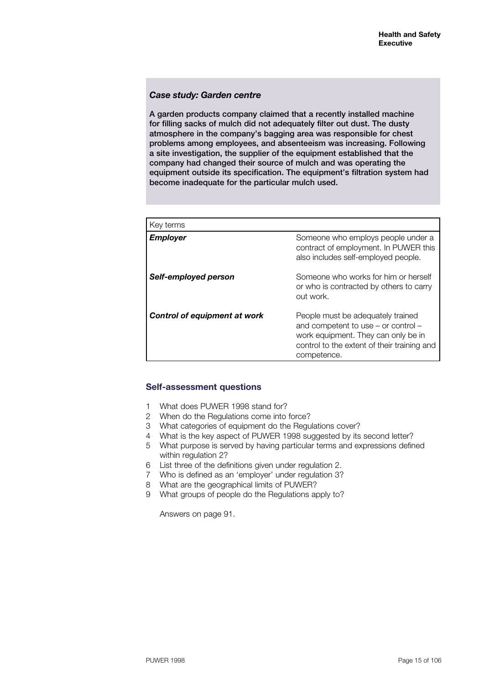### *Case study: Garden centre*

A garden products company claimed that a recently installed machine for filling sacks of mulch did not adequately filter out dust. The dusty atmosphere in the company's bagging area was responsible for chest problems among employees, and absenteeism was increasing. Following a site investigation, the supplier of the equipment established that the company had changed their source of mulch and was operating the equipment outside its specification. The equipment's filtration system had become inadequate for the particular mulch used.

| Key terms                           |                                                                                                                                                                               |
|-------------------------------------|-------------------------------------------------------------------------------------------------------------------------------------------------------------------------------|
| <b>Employer</b>                     | Someone who employs people under a<br>contract of employment. In PUWER this<br>also includes self-employed people.                                                            |
| Self-employed person                | Someone who works for him or herself<br>or who is contracted by others to carry<br>out work.                                                                                  |
| <b>Control of equipment at work</b> | People must be adequately trained<br>and competent to use – or control –<br>work equipment. They can only be in<br>control to the extent of their training and<br>competence. |

### **Self-assessment questions**

- 1 What does PUWER 1998 stand for?
- 2 When do the Regulations come into force?
- 3 What categories of equipment do the Regulations cover?
- 4 What is the key aspect of PUWER 1998 suggested by its second letter?
- 5 What purpose is served by having particular terms and expressions defined within regulation 2?
- 6 List three of the definitions given under regulation 2.
- 7 Who is defined as an 'employer' under regulation 3?
- 8 What are the geographical limits of PUWER?
- 9 What groups of people do the Regulations apply to?

Answers on page 91.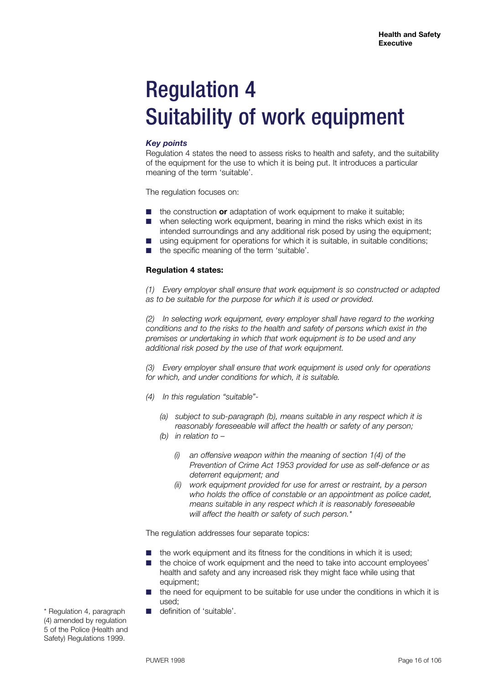## Regulation 4 Suitability of work equipment

### *Key points*

Regulation 4 states the need to assess risks to health and safety, and the suitability of the equipment for the use to which it is being put. It introduces a particular meaning of the term 'suitable'.

The regulation focuses on:

- the construction **or** adaptation of work equipment to make it suitable;
- when selecting work equipment, bearing in mind the risks which exist in its intended surroundings and any additional risk posed by using the equipment;
- using equipment for operations for which it is suitable, in suitable conditions;
- the specific meaning of the term 'suitable'.

### **Regulation 4 states:**

*(1) Every employer shall ensure that work equipment is so constructed or adapted as to be suitable for the purpose for which it is used or provided.*

*(2) In selecting work equipment, every employer shall have regard to the working conditions and to the risks to the health and safety of persons which exist in the premises or undertaking in which that work equipment is to be used and any additional risk posed by the use of that work equipment.*

*(3) Every employer shall ensure that work equipment is used only for operations for which, and under conditions for which, it is suitable.*

- *(4) In this regulation "suitable"-*
	- *(a) subject to sub-paragraph (b), means suitable in any respect which it is reasonably foreseeable will affect the health or safety of any person;*
	- *(b) in relation to –*
		- *(i) an offensive weapon within the meaning of section 1(4) of the Prevention of Crime Act 1953 provided for use as self-defence or as deterrent equipment; and*
		- *(ii) work equipment provided for use for arrest or restraint, by a person who holds the office of constable or an appointment as police cadet, means suitable in any respect which it is reasonably foreseeable will affect the health or safety of such person.\**

The regulation addresses four separate topics:

- $\blacksquare$  the work equipment and its fitness for the conditions in which it is used;
- the choice of work equipment and the need to take into account employees' health and safety and any increased risk they might face while using that equipment;
- $\blacksquare$  the need for equipment to be suitable for use under the conditions in which it is used;
- \* Regulation 4, paragraph **notatable** definition of 'suitable'.

(4) amended by regulation 5 of the Police (Health and Safety) Regulations 1999.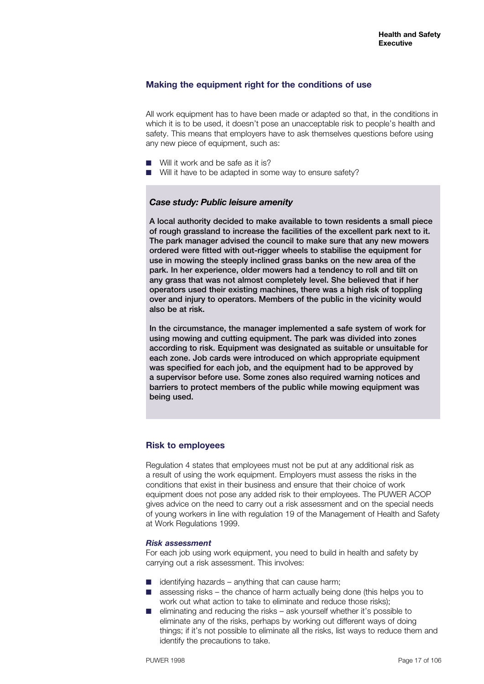### **Making the equipment right for the conditions of use**

All work equipment has to have been made or adapted so that, in the conditions in which it is to be used, it doesn't pose an unacceptable risk to people's health and safety. This means that employers have to ask themselves questions before using any new piece of equipment, such as:

- Will it work and be safe as it is?
- Will it have to be adapted in some way to ensure safety?

### *Case study: Public leisure amenity*

A local authority decided to make available to town residents a small piece of rough grassland to increase the facilities of the excellent park next to it. The park manager advised the council to make sure that any new mowers ordered were fitted with out-rigger wheels to stabilise the equipment for use in mowing the steeply inclined grass banks on the new area of the park. In her experience, older mowers had a tendency to roll and tilt on any grass that was not almost completely level. She believed that if her operators used their existing machines, there was a high risk of toppling over and injury to operators. Members of the public in the vicinity would also be at risk.

In the circumstance, the manager implemented a safe system of work for using mowing and cutting equipment. The park was divided into zones according to risk. Equipment was designated as suitable or unsuitable for each zone. Job cards were introduced on which appropriate equipment was specified for each job, and the equipment had to be approved by a supervisor before use. Some zones also required warning notices and barriers to protect members of the public while mowing equipment was being used.

### **Risk to employees**

Regulation 4 states that employees must not be put at any additional risk as a result of using the work equipment. Employers must assess the risks in the conditions that exist in their business and ensure that their choice of work equipment does not pose any added risk to their employees. The PUWER ACOP gives advice on the need to carry out a risk assessment and on the special needs of young workers in line with regulation 19 of the Management of Health and Safety at Work Regulations 1999.

### *Risk assessment*

For each job using work equipment, you need to build in health and safety by carrying out a risk assessment. This involves:

- $\blacksquare$  identifying hazards anything that can cause harm;
- **n** assessing risks the chance of harm actually being done (this helps you to work out what action to take to eliminate and reduce those risks);
- eliminating and reducing the risks ask yourself whether it's possible to eliminate any of the risks, perhaps by working out different ways of doing things; if it's not possible to eliminate all the risks, list ways to reduce them and identify the precautions to take.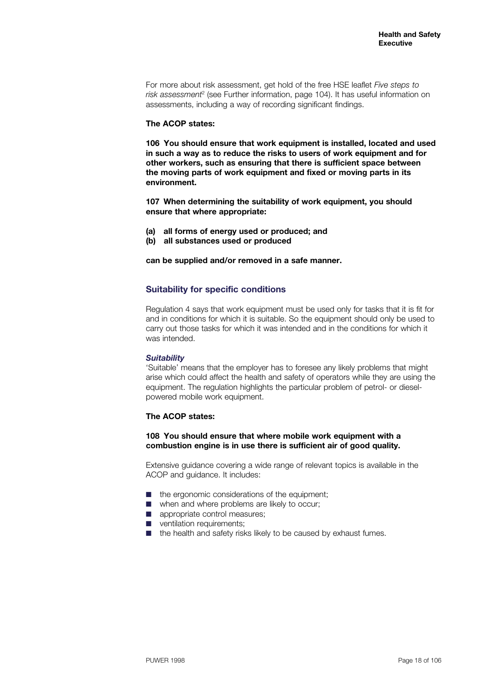For more about risk assessment, get hold of the free HSE leaflet *Five steps to*  risk assessment<sup>2</sup> (see Further information, page 104). It has useful information on assessments, including a way of recording significant findings.

### **The ACOP states:**

**106 You should ensure that work equipment is installed, located and used in such a way as to reduce the risks to users of work equipment and for other workers, such as ensuring that there is sufficient space between the moving parts of work equipment and fixed or moving parts in its environment.**

**107 When determining the suitability of work equipment, you should ensure that where appropriate:**

- **(a) all forms of energy used or produced; and**
- **(b) all substances used or produced**

**can be supplied and/or removed in a safe manner.**

### **Suitability for specific conditions**

Regulation 4 says that work equipment must be used only for tasks that it is fit for and in conditions for which it is suitable. So the equipment should only be used to carry out those tasks for which it was intended and in the conditions for which it was intended.

### *Suitability*

'Suitable' means that the employer has to foresee any likely problems that might arise which could affect the health and safety of operators while they are using the equipment. The regulation highlights the particular problem of petrol- or dieselpowered mobile work equipment.

### **The ACOP states:**

**108 You should ensure that where mobile work equipment with a combustion engine is in use there is sufficient air of good quality.**

Extensive guidance covering a wide range of relevant topics is available in the ACOP and guidance. It includes:

- $\blacksquare$  the ergonomic considerations of the equipment:
- $\blacksquare$  when and where problems are likely to occur;
- $\blacksquare$  appropriate control measures:
- $\blacksquare$  ventilation requirements:
- $\blacksquare$  the health and safety risks likely to be caused by exhaust fumes.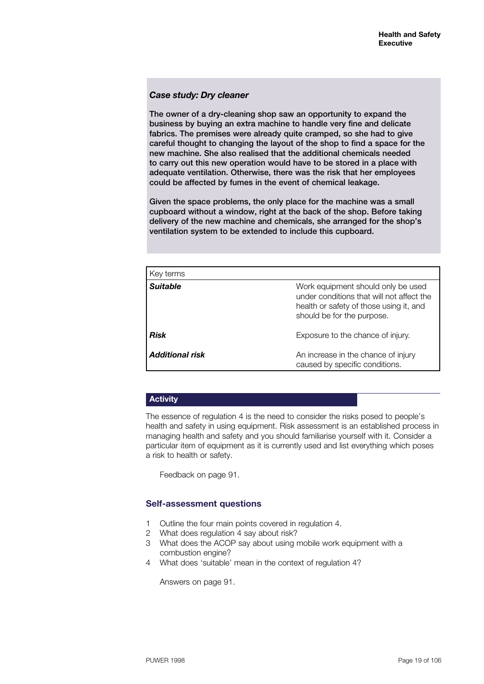### *Case study: Dry cleaner*

The owner of a dry-cleaning shop saw an opportunity to expand the business by buying an extra machine to handle very fine and delicate fabrics. The premises were already quite cramped, so she had to give careful thought to changing the layout of the shop to find a space for the new machine. She also realised that the additional chemicals needed to carry out this new operation would have to be stored in a place with adequate ventilation. Otherwise, there was the risk that her employees could be affected by fumes in the event of chemical leakage.

Given the space problems, the only place for the machine was a small cupboard without a window, right at the back of the shop. Before taking delivery of the new machine and chemicals, she arranged for the shop's ventilation system to be extended to include this cupboard.

| Key terms              |                                                                                                                                                          |
|------------------------|----------------------------------------------------------------------------------------------------------------------------------------------------------|
| <b>Suitable</b>        | Work equipment should only be used<br>under conditions that will not affect the<br>health or safety of those using it, and<br>should be for the purpose. |
| <b>Risk</b>            | Exposure to the chance of injury.                                                                                                                        |
| <b>Additional risk</b> | An increase in the chance of injury<br>caused by specific conditions.                                                                                    |

### **Activity**

The essence of regulation 4 is the need to consider the risks posed to people's health and safety in using equipment. Risk assessment is an established process in managing health and safety and you should familiarise yourself with it. Consider a particular item of equipment as it is currently used and list everything which poses a risk to health or safety.

Feedback on page 91.

### **Self-assessment questions**

- 1 Outline the four main points covered in regulation 4.
- 2 What does regulation 4 say about risk?
- 3 What does the ACOP say about using mobile work equipment with a combustion engine?
- 4 What does 'suitable' mean in the context of regulation 4?

Answers on page 91.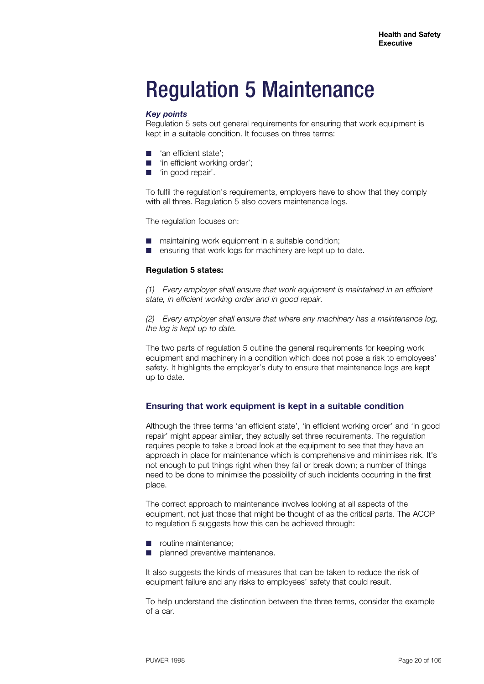## Regulation 5 Maintenance

### *Key points*

Regulation 5 sets out general requirements for ensuring that work equipment is kept in a suitable condition. It focuses on three terms:

- $\blacksquare$  'an efficient state':
- $\blacksquare$  'in efficient working order';
- 'in good repair'.

To fulfil the regulation's requirements, employers have to show that they comply with all three. Regulation 5 also covers maintenance logs.

The regulation focuses on:

- $\blacksquare$  maintaining work equipment in a suitable condition;
- ensuring that work logs for machinery are kept up to date.

### **Regulation 5 states:**

*(1) Every employer shall ensure that work equipment is maintained in an efficient state, in efficient working order and in good repair.* 

*(2) Every employer shall ensure that where any machinery has a maintenance log, the log is kept up to date.*

The two parts of regulation 5 outline the general requirements for keeping work equipment and machinery in a condition which does not pose a risk to employees' safety. It highlights the employer's duty to ensure that maintenance logs are kept up to date.

### **Ensuring that work equipment is kept in a suitable condition**

Although the three terms 'an efficient state', 'in efficient working order' and 'in good repair' might appear similar, they actually set three requirements. The regulation requires people to take a broad look at the equipment to see that they have an approach in place for maintenance which is comprehensive and minimises risk. It's not enough to put things right when they fail or break down; a number of things need to be done to minimise the possibility of such incidents occurring in the first place.

The correct approach to maintenance involves looking at all aspects of the equipment, not just those that might be thought of as the critical parts. The ACOP to regulation 5 suggests how this can be achieved through:

- routine maintenance:
- planned preventive maintenance.

It also suggests the kinds of measures that can be taken to reduce the risk of equipment failure and any risks to employees' safety that could result.

To help understand the distinction between the three terms, consider the example of a car.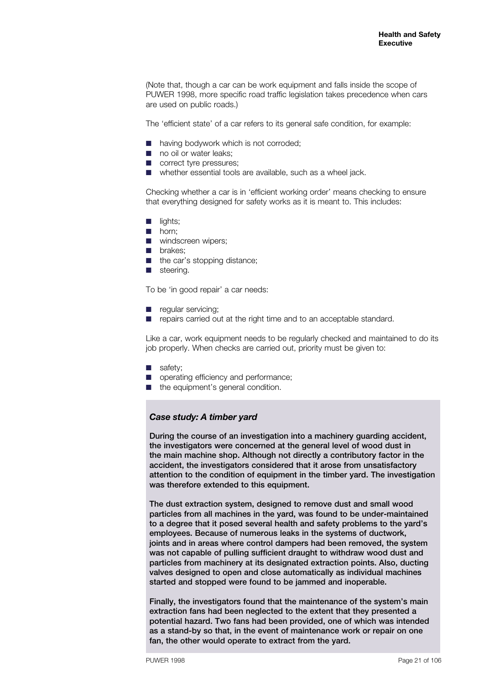(Note that, though a car can be work equipment and falls inside the scope of PUWER 1998, more specific road traffic legislation takes precedence when cars are used on public roads.)

The 'efficient state' of a car refers to its general safe condition, for example:

- $\blacksquare$  having bodywork which is not corroded;
- $\blacksquare$  no oil or water leaks;
- $\blacksquare$  correct tyre pressures;
- $\blacksquare$  whether essential tools are available, such as a wheel jack.

Checking whether a car is in 'efficient working order' means checking to ensure that everything designed for safety works as it is meant to. This includes:

- n lights:
- $\blacksquare$  horn:
- $\blacksquare$  windscreen wipers;
- $\blacksquare$  brakes;
- $\blacksquare$  the car's stopping distance;
- $\blacksquare$  steering.

To be 'in good repair' a car needs:

- $\blacksquare$  regular servicing;
- $\blacksquare$  repairs carried out at the right time and to an acceptable standard.

Like a car, work equipment needs to be regularly checked and maintained to do its job properly. When checks are carried out, priority must be given to:

- safety:
- $\Box$  operating efficiency and performance;
- the equipment's general condition.

### *Case study: A timber yard*

During the course of an investigation into a machinery guarding accident, the investigators were concerned at the general level of wood dust in the main machine shop. Although not directly a contributory factor in the accident, the investigators considered that it arose from unsatisfactory attention to the condition of equipment in the timber yard. The investigation was therefore extended to this equipment.

The dust extraction system, designed to remove dust and small wood particles from all machines in the yard, was found to be under-maintained to a degree that it posed several health and safety problems to the yard's employees. Because of numerous leaks in the systems of ductwork, joints and in areas where control dampers had been removed, the system was not capable of pulling sufficient draught to withdraw wood dust and particles from machinery at its designated extraction points. Also, ducting valves designed to open and close automatically as individual machines started and stopped were found to be jammed and inoperable.

Finally, the investigators found that the maintenance of the system's main extraction fans had been neglected to the extent that they presented a potential hazard. Two fans had been provided, one of which was intended as a stand-by so that, in the event of maintenance work or repair on one fan, the other would operate to extract from the yard.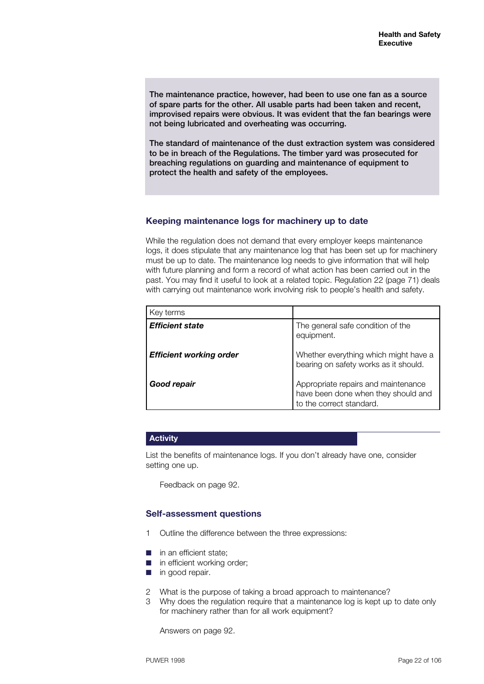The maintenance practice, however, had been to use one fan as a source of spare parts for the other. All usable parts had been taken and recent, improvised repairs were obvious. It was evident that the fan bearings were not being lubricated and overheating was occurring.

The standard of maintenance of the dust extraction system was considered to be in breach of the Regulations. The timber yard was prosecuted for breaching regulations on guarding and maintenance of equipment to protect the health and safety of the employees.

### **Keeping maintenance logs for machinery up to date**

While the regulation does not demand that every employer keeps maintenance logs, it does stipulate that any maintenance log that has been set up for machinery must be up to date. The maintenance log needs to give information that will help with future planning and form a record of what action has been carried out in the past. You may find it useful to look at a related topic. Regulation 22 (page 71) deals with carrying out maintenance work involving risk to people's health and safety.

| Key terms                      |                                                                                                        |
|--------------------------------|--------------------------------------------------------------------------------------------------------|
| <b>Efficient state</b>         | The general safe condition of the<br>equipment.                                                        |
| <b>Efficient working order</b> | Whether everything which might have a<br>bearing on safety works as it should.                         |
| Good repair                    | Appropriate repairs and maintenance<br>have been done when they should and<br>to the correct standard. |

### **Activity**

List the benefits of maintenance logs. If you don't already have one, consider setting one up.

Feedback on page 92.

### **Self-assessment questions**

- 1 Outline the difference between the three expressions:
- $\blacksquare$  in an efficient state;
- $\blacksquare$  in efficient working order;
- $\blacksquare$  in good repair.
- 2 What is the purpose of taking a broad approach to maintenance?
- 3 Why does the regulation require that a maintenance log is kept up to date only for machinery rather than for all work equipment?

Answers on page 92.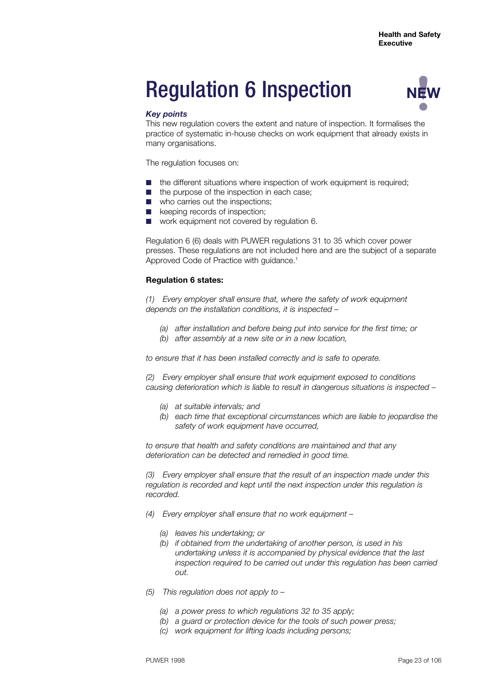## Regulation 6 Inspection



### *Key points*

This new regulation covers the extent and nature of inspection. It formalises the practice of systematic in-house checks on work equipment that already exists in many organisations.

The regulation focuses on:

- the different situations where inspection of work equipment is required;
- $\blacksquare$  the purpose of the inspection in each case;
- $\blacksquare$  who carries out the inspections;
- $\blacksquare$  keeping records of inspection;
- $\blacksquare$  work equipment not covered by regulation 6.

Regulation 6 (6) deals with PUWER regulations 31 to 35 which cover power presses. These regulations are not included here and are the subject of a separate Approved Code of Practice with guidance.<sup>1</sup>

### **Regulation 6 states:**

*(1) Every employer shall ensure that, where the safety of work equipment depends on the installation conditions, it is inspected –*

- *(a) after installation and before being put into service for the first time; or*
- *(b) after assembly at a new site or in a new location,*

*to ensure that it has been installed correctly and is safe to operate.*

*(2) Every employer shall ensure that work equipment exposed to conditions causing deterioration which is liable to result in dangerous situations is inspected –*

- *(a) at suitable intervals; and*
- *(b) each time that exceptional circumstances which are liable to jeopardise the safety of work equipment have occurred,*

*to ensure that health and safety conditions are maintained and that any deterioration can be detected and remedied in good time.*

*(3) Every employer shall ensure that the result of an inspection made under this*  regulation is recorded and kept until the next inspection under this regulation is *recorded.*

- *(4) Every employer shall ensure that no work equipment –*
	- *(a) leaves his undertaking; or*
	- *(b) if obtained from the undertaking of another person, is used in his undertaking unless it is accompanied by physical evidence that the last inspection required to be carried out under this regulation has been carried out.*
- *(5) This regulation does not apply to –*
	- *(a) a power press to which regulations 32 to 35 apply;*
	- *(b) a guard or protection device for the tools of such power press;*
	- *(c) work equipment for lifting loads including persons;*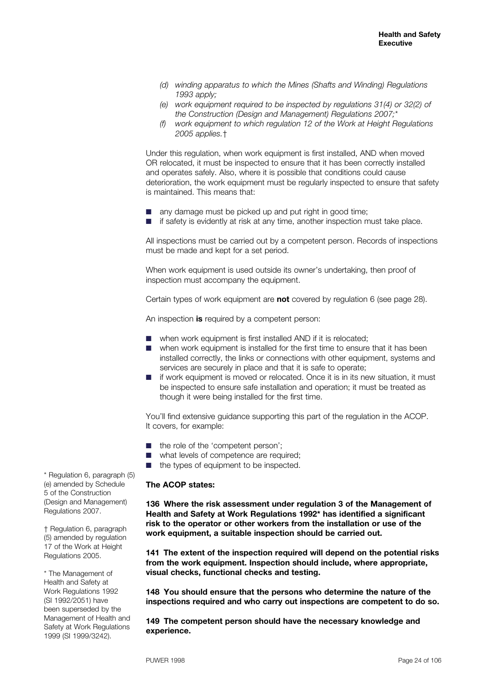- *(d) winding apparatus to which the Mines (Shafts and Winding) Regulations 1993 apply;*
- *(e) work equipment required to be inspected by regulations 31(4) or 32(2) of the Construction (Design and Management) Regulations 2007;\**
- *(f) work equipment to which regulation 12 of the Work at Height Regulations 2005 applies.*†

Under this regulation, when work equipment is first installed, AND when moved OR relocated, it must be inspected to ensure that it has been correctly installed and operates safely. Also, where it is possible that conditions could cause deterioration, the work equipment must be regularly inspected to ensure that safety is maintained. This means that:

- any damage must be picked up and put right in good time;
- if safety is evidently at risk at any time, another inspection must take place.

All inspections must be carried out by a competent person. Records of inspections must be made and kept for a set period.

When work equipment is used outside its owner's undertaking, then proof of inspection must accompany the equipment.

Certain types of work equipment are **not** covered by regulation 6 (see page 28).

An inspection **is** required by a competent person:

- when work equipment is first installed AND if it is relocated;
- $\blacksquare$  when work equipment is installed for the first time to ensure that it has been installed correctly, the links or connections with other equipment, systems and services are securely in place and that it is safe to operate;
- if work equipment is moved or relocated. Once it is in its new situation, it must be inspected to ensure safe installation and operation; it must be treated as though it were being installed for the first time.

You'll find extensive guidance supporting this part of the regulation in the ACOP. It covers, for example:

- $\blacksquare$  the role of the 'competent person';
- $\blacksquare$  what levels of competence are required;
- $\blacksquare$  the types of equipment to be inspected.

### **The ACOP states:**

**136 Where the risk assessment under regulation 3 of the Management of Health and Safety at Work Regulations 1992\* has identified a significant risk to the operator or other workers from the installation or use of the work equipment, a suitable inspection should be carried out.**

**141 The extent of the inspection required will depend on the potential risks from the work equipment. Inspection should include, where appropriate, visual checks, functional checks and testing.**

**148 You should ensure that the persons who determine the nature of the inspections required and who carry out inspections are competent to do so.**

**149 The competent person should have the necessary knowledge and experience.**

\* Regulation 6, paragraph (5) (e) amended by Schedule 5 of the Construction (Design and Management) Regulations 2007.

† Regulation 6, paragraph (5) amended by regulation 17 of the Work at Height Regulations 2005.

\* The Management of Health and Safety at Work Regulations 1992 (SI 1992/2051) have been superseded by the Management of Health and Safety at Work Regulations 1999 (SI 1999/3242).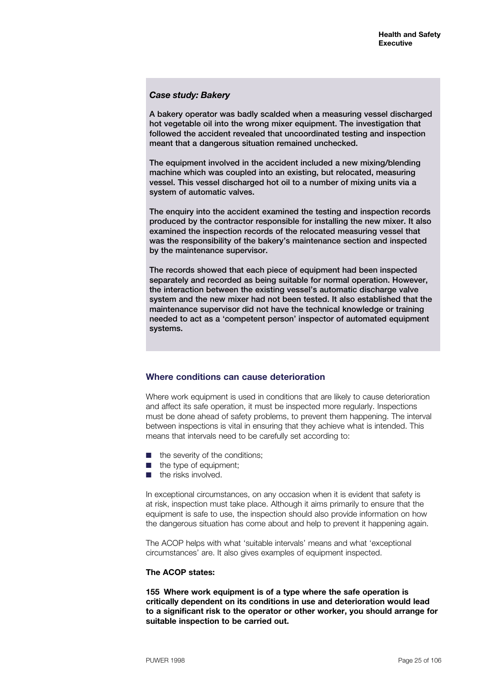### *Case study: Bakery*

A bakery operator was badly scalded when a measuring vessel discharged hot vegetable oil into the wrong mixer equipment. The investigation that followed the accident revealed that uncoordinated testing and inspection meant that a dangerous situation remained unchecked.

The equipment involved in the accident included a new mixing/blending machine which was coupled into an existing, but relocated, measuring vessel. This vessel discharged hot oil to a number of mixing units via a system of automatic valves.

The enquiry into the accident examined the testing and inspection records produced by the contractor responsible for installing the new mixer. It also examined the inspection records of the relocated measuring vessel that was the responsibility of the bakery's maintenance section and inspected by the maintenance supervisor.

The records showed that each piece of equipment had been inspected separately and recorded as being suitable for normal operation. However, the interaction between the existing vessel's automatic discharge valve system and the new mixer had not been tested. It also established that the maintenance supervisor did not have the technical knowledge or training needed to act as a 'competent person' inspector of automated equipment systems.

### **Where conditions can cause deterioration**

Where work equipment is used in conditions that are likely to cause deterioration and affect its safe operation, it must be inspected more regularly. Inspections must be done ahead of safety problems, to prevent them happening. The interval between inspections is vital in ensuring that they achieve what is intended. This means that intervals need to be carefully set according to:

- the severity of the conditions;
- **n** the type of equipment:
- the risks involved.

In exceptional circumstances, on any occasion when it is evident that safety is at risk, inspection must take place. Although it aims primarily to ensure that the equipment is safe to use, the inspection should also provide information on how the dangerous situation has come about and help to prevent it happening again.

The ACOP helps with what 'suitable intervals' means and what 'exceptional circumstances' are. It also gives examples of equipment inspected.

### **The ACOP states:**

**155 Where work equipment is of a type where the safe operation is critically dependent on its conditions in use and deterioration would lead to a significant risk to the operator or other worker, you should arrange for suitable inspection to be carried out.**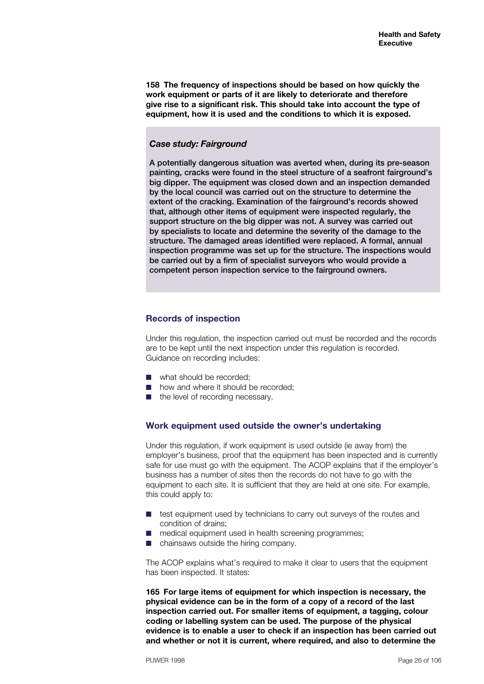**158 The frequency of inspections should be based on how quickly the work equipment or parts of it are likely to deteriorate and therefore give rise to a significant risk. This should take into account the type of equipment, how it is used and the conditions to which it is exposed.**

### *Case study: Fairground*

A potentially dangerous situation was averted when, during its pre-season painting, cracks were found in the steel structure of a seafront fairground's big dipper. The equipment was closed down and an inspection demanded by the local council was carried out on the structure to determine the extent of the cracking. Examination of the fairground's records showed that, although other items of equipment were inspected regularly, the support structure on the big dipper was not. A survey was carried out by specialists to locate and determine the severity of the damage to the structure. The damaged areas identified were replaced. A formal, annual inspection programme was set up for the structure. The inspections would be carried out by a firm of specialist surveyors who would provide a competent person inspection service to the fairground owners.

### **Records of inspection**

Under this regulation, the inspection carried out must be recorded and the records are to be kept until the next inspection under this regulation is recorded. Guidance on recording includes:

- $\blacksquare$  what should be recorded:
- $\blacksquare$  how and where it should be recorded:
- $\blacksquare$  the level of recording necessary.

### **Work equipment used outside the owner's undertaking**

Under this regulation, if work equipment is used outside (ie away from) the employer's business, proof that the equipment has been inspected and is currently safe for use must go with the equipment. The ACOP explains that if the employer's business has a number of sites then the records do not have to go with the equipment to each site. It is sufficient that they are held at one site. For example, this could apply to:

- test equipment used by technicians to carry out surveys of the routes and condition of drains;
- n medical equipment used in health screening programmes;
- $\blacksquare$  chainsaws outside the hiring company.

The ACOP explains what's required to make it clear to users that the equipment has been inspected. It states:

**165 For large items of equipment for which inspection is necessary, the physical evidence can be in the form of a copy of a record of the last inspection carried out. For smaller items of equipment, a tagging, colour coding or labelling system can be used. The purpose of the physical evidence is to enable a user to check if an inspection has been carried out and whether or not it is current, where required, and also to determine the**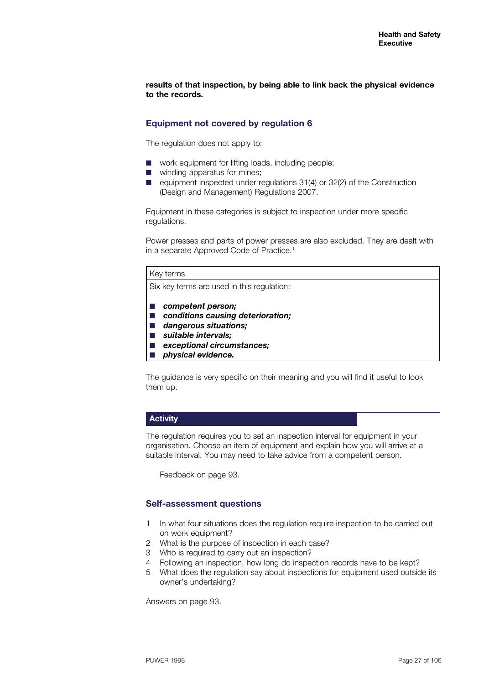**results of that inspection, by being able to link back the physical evidence to the records.**

### **Equipment not covered by regulation 6**

The regulation does not apply to:

- $\blacksquare$  work equipment for lifting loads, including people;
- $\blacksquare$  winding apparatus for mines;
- equipment inspected under regulations 31(4) or 32(2) of the Construction (Design and Management) Regulations 2007.

Equipment in these categories is subject to inspection under more specific regulations.

Power presses and parts of power presses are also excluded. They are dealt with in a separate Approved Code of Practice.<sup>1</sup>

| Key terms                                                                                                                                                  |
|------------------------------------------------------------------------------------------------------------------------------------------------------------|
| Six key terms are used in this regulation:                                                                                                                 |
| competent person:<br>conditions causing deterioration;<br>dangerous situations;<br>suitable intervals;<br>exceptional circumstances;<br>physical evidence. |

The guidance is very specific on their meaning and you will find it useful to look them up.

### **Activity**

The regulation requires you to set an inspection interval for equipment in your organisation. Choose an item of equipment and explain how you will arrive at a suitable interval. You may need to take advice from a competent person.

Feedback on page 93.

### **Self-assessment questions**

- 1 In what four situations does the regulation require inspection to be carried out on work equipment?
- 2 What is the purpose of inspection in each case?
- 3 Who is required to carry out an inspection?
- 4 Following an inspection, how long do inspection records have to be kept?
- 5 What does the regulation say about inspections for equipment used outside its owner's undertaking?

Answers on page 93.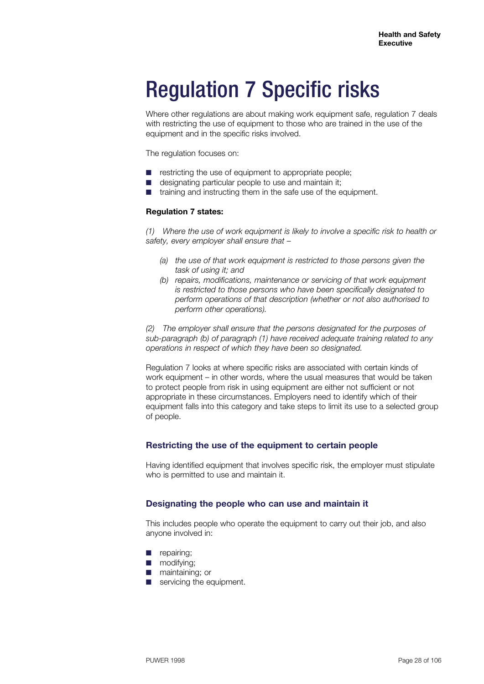## Regulation 7 Specific risks

Where other regulations are about making work equipment safe, regulation 7 deals with restricting the use of equipment to those who are trained in the use of the equipment and in the specific risks involved.

The regulation focuses on:

- restricting the use of equipment to appropriate people;
- designating particular people to use and maintain it;
- $\blacksquare$  training and instructing them in the safe use of the equipment.

### **Regulation 7 states:**

*(1) Where the use of work equipment is likely to involve a specific risk to health or safety, every employer shall ensure that –*

- *(a) the use of that work equipment is restricted to those persons given the task of using it; and*
- *(b) repairs, modifications, maintenance or servicing of that work equipment is restricted to those persons who have been specifically designated to perform operations of that description (whether or not also authorised to perform other operations).*

*(2) The employer shall ensure that the persons designated for the purposes of sub-paragraph (b) of paragraph (1) have received adequate training related to any operations in respect of which they have been so designated.*

Regulation 7 looks at where specific risks are associated with certain kinds of work equipment – in other words, where the usual measures that would be taken to protect people from risk in using equipment are either not sufficient or not appropriate in these circumstances. Employers need to identify which of their equipment falls into this category and take steps to limit its use to a selected group of people.

### **Restricting the use of the equipment to certain people**

Having identified equipment that involves specific risk, the employer must stipulate who is permitted to use and maintain it.

### **Designating the people who can use and maintain it**

This includes people who operate the equipment to carry out their job, and also anyone involved in:

- $\blacksquare$  repairing;
- modifying;
- $\blacksquare$  maintaining; or
- $\blacksquare$  servicing the equipment.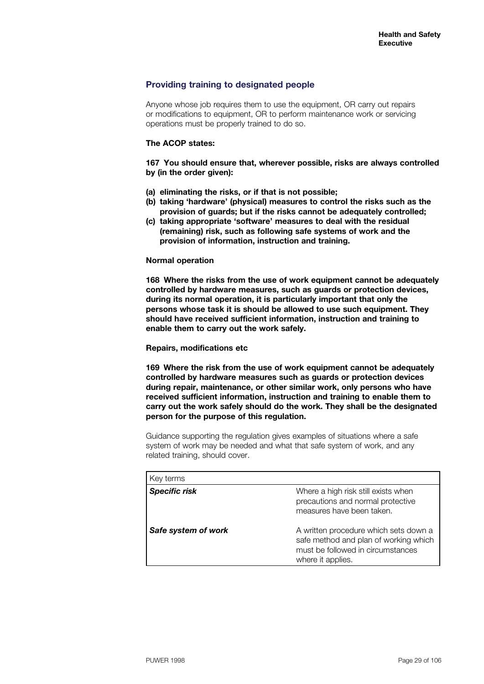### **Providing training to designated people**

Anyone whose job requires them to use the equipment, OR carry out repairs or modifications to equipment, OR to perform maintenance work or servicing operations must be properly trained to do so.

### **The ACOP states:**

**167 You should ensure that, wherever possible, risks are always controlled by (in the order given):**

- **(a) eliminating the risks, or if that is not possible;**
- **(b) taking 'hardware' (physical) measures to control the risks such as the provision of guards; but if the risks cannot be adequately controlled;**
- **(c) taking appropriate 'software' measures to deal with the residual (remaining) risk, such as following safe systems of work and the provision of information, instruction and training.**

### **Normal operation**

**168 Where the risks from the use of work equipment cannot be adequately controlled by hardware measures, such as guards or protection devices, during its normal operation, it is particularly important that only the persons whose task it is should be allowed to use such equipment. They should have received sufficient information, instruction and training to enable them to carry out the work safely.**

### **Repairs, modifications etc**

**169 Where the risk from the use of work equipment cannot be adequately controlled by hardware measures such as guards or protection devices during repair, maintenance, or other similar work, only persons who have received sufficient information, instruction and training to enable them to carry out the work safely should do the work. They shall be the designated person for the purpose of this regulation.**

Guidance supporting the regulation gives examples of situations where a safe system of work may be needed and what that safe system of work, and any related training, should cover.

| Key terms            |                                                                                                                                          |
|----------------------|------------------------------------------------------------------------------------------------------------------------------------------|
| <b>Specific risk</b> | Where a high risk still exists when<br>precautions and normal protective<br>measures have been taken.                                    |
| Safe system of work  | A written procedure which sets down a<br>safe method and plan of working which<br>must be followed in circumstances<br>where it applies. |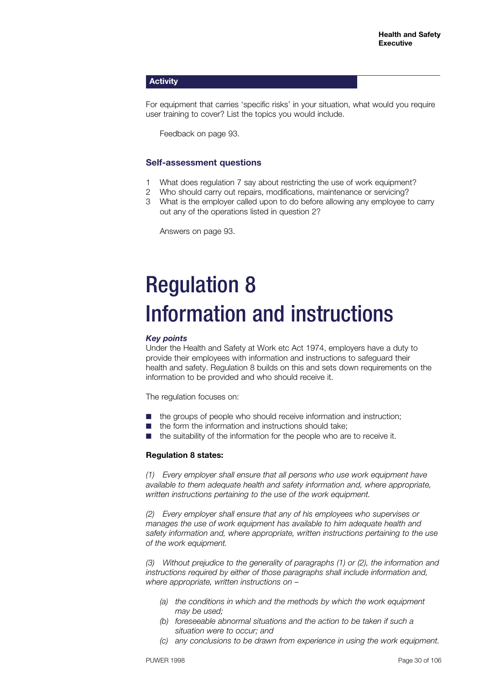### **Activity**

For equipment that carries 'specific risks' in your situation, what would you require user training to cover? List the topics you would include.

Feedback on page 93.

### **Self-assessment questions**

- 1 What does regulation 7 say about restricting the use of work equipment?
- 2 Who should carry out repairs, modifications, maintenance or servicing?
- 3 What is the employer called upon to do before allowing any employee to carry out any of the operations listed in question 2?

Answers on page 93.

## Regulation 8 Information and instructions

### *Key points*

Under the Health and Safety at Work etc Act 1974, employers have a duty to provide their employees with information and instructions to safeguard their health and safety. Regulation 8 builds on this and sets down requirements on the information to be provided and who should receive it.

The regulation focuses on:

- the groups of people who should receive information and instruction:
- the form the information and instructions should take;
- the suitability of the information for the people who are to receive it.

### **Regulation 8 states:**

*(1) Every employer shall ensure that all persons who use work equipment have available to them adequate health and safety information and, where appropriate, written instructions pertaining to the use of the work equipment.* 

*(2) Every employer shall ensure that any of his employees who supervises or manages the use of work equipment has available to him adequate health and safety information and, where appropriate, written instructions pertaining to the use of the work equipment.*

*(3) Without prejudice to the generality of paragraphs (1) or (2), the information and instructions required by either of those paragraphs shall include information and, where appropriate, written instructions on –*

- *(a) the conditions in which and the methods by which the work equipment may be used;*
- *(b) foreseeable abnormal situations and the action to be taken if such a situation were to occur; and*
- *(c) any conclusions to be drawn from experience in using the work equipment.*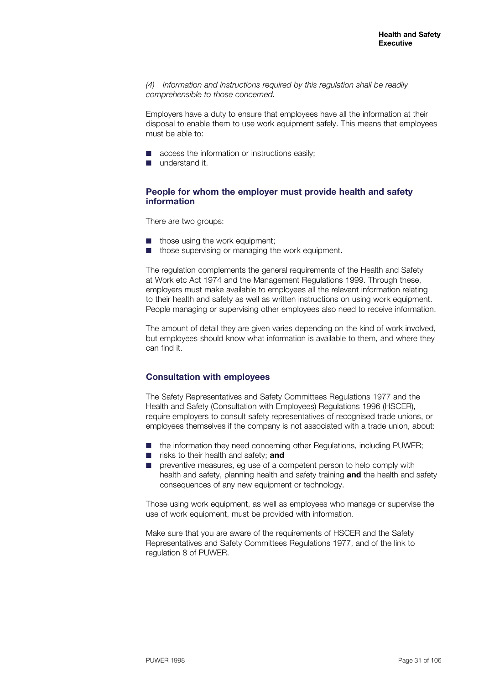*(4) Information and instructions required by this regulation shall be readily comprehensible to those concerned.*

Employers have a duty to ensure that employees have all the information at their disposal to enable them to use work equipment safely. This means that employees must be able to:

- $\blacksquare$  access the information or instructions easily;
- understand it.

### **People for whom the employer must provide health and safety information**

There are two groups:

- $\blacksquare$  those using the work equipment;
- $\blacksquare$  those supervising or managing the work equipment.

The regulation complements the general requirements of the Health and Safety at Work etc Act 1974 and the Management Regulations 1999. Through these, employers must make available to employees all the relevant information relating to their health and safety as well as written instructions on using work equipment. People managing or supervising other employees also need to receive information.

The amount of detail they are given varies depending on the kind of work involved, but employees should know what information is available to them, and where they can find it.

### **Consultation with employees**

The Safety Representatives and Safety Committees Regulations 1977 and the Health and Safety (Consultation with Employees) Regulations 1996 (HSCER), require employers to consult safety representatives of recognised trade unions, or employees themselves if the company is not associated with a trade union, about:

- the information they need concerning other Regulations, including PUWER;
- **n** risks to their health and safety: **and**
- $\blacksquare$  preventive measures, eg use of a competent person to help comply with health and safety, planning health and safety training **and** the health and safety consequences of any new equipment or technology.

Those using work equipment, as well as employees who manage or supervise the use of work equipment, must be provided with information.

Make sure that you are aware of the requirements of HSCER and the Safety Representatives and Safety Committees Regulations 1977, and of the link to regulation 8 of PUWER.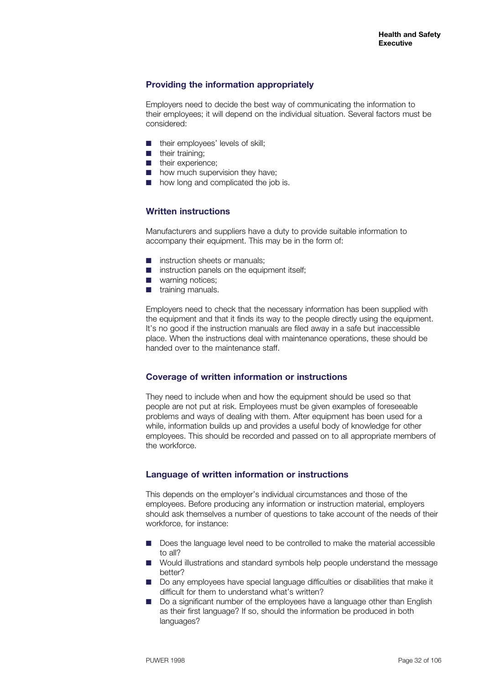### **Providing the information appropriately**

Employers need to decide the best way of communicating the information to their employees; it will depend on the individual situation. Several factors must be considered:

- $\blacksquare$  their employees' levels of skill;
- $\blacksquare$  their training;
- $\blacksquare$  their experience;
- $\blacksquare$  how much supervision they have;
- $\blacksquare$  how long and complicated the job is.

### **Written instructions**

Manufacturers and suppliers have a duty to provide suitable information to accompany their equipment. This may be in the form of:

- $\blacksquare$  instruction sheets or manuals:
- $\blacksquare$  instruction panels on the equipment itself;
- $\blacksquare$  warning notices;
- $\blacksquare$  training manuals.

Employers need to check that the necessary information has been supplied with the equipment and that it finds its way to the people directly using the equipment. It's no good if the instruction manuals are filed away in a safe but inaccessible place. When the instructions deal with maintenance operations, these should be handed over to the maintenance staff.

### **Coverage of written information or instructions**

They need to include when and how the equipment should be used so that people are not put at risk. Employees must be given examples of foreseeable problems and ways of dealing with them. After equipment has been used for a while, information builds up and provides a useful body of knowledge for other employees. This should be recorded and passed on to all appropriate members of the workforce.

### **Language of written information or instructions**

This depends on the employer's individual circumstances and those of the employees. Before producing any information or instruction material, employers should ask themselves a number of questions to take account of the needs of their workforce, for instance:

- Does the language level need to be controlled to make the material accessible to all?
- Would illustrations and standard symbols help people understand the message better?
- Do any employees have special language difficulties or disabilities that make it difficult for them to understand what's written?
- n Do a significant number of the employees have a language other than English as their first language? If so, should the information be produced in both languages?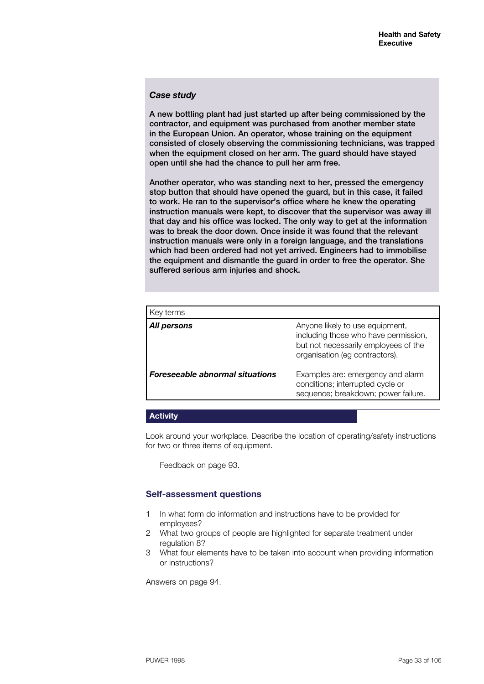### *Case study*

A new bottling plant had just started up after being commissioned by the contractor, and equipment was purchased from another member state in the European Union. An operator, whose training on the equipment consisted of closely observing the commissioning technicians, was trapped when the equipment closed on her arm. The guard should have stayed open until she had the chance to pull her arm free.

Another operator, who was standing next to her, pressed the emergency stop button that should have opened the guard, but in this case, it failed to work. He ran to the supervisor's office where he knew the operating instruction manuals were kept, to discover that the supervisor was away ill that day and his office was locked. The only way to get at the information was to break the door down. Once inside it was found that the relevant instruction manuals were only in a foreign language, and the translations which had been ordered had not yet arrived. Engineers had to immobilise the equipment and dismantle the guard in order to free the operator. She suffered serious arm injuries and shock.

| Key terms                              |                                                                                                                                                   |
|----------------------------------------|---------------------------------------------------------------------------------------------------------------------------------------------------|
| All persons                            | Anyone likely to use equipment,<br>including those who have permission,<br>but not necessarily employees of the<br>organisation (eg contractors). |
| <b>Foreseeable abnormal situations</b> | Examples are: emergency and alarm<br>conditions; interrupted cycle or<br>sequence; breakdown; power failure.                                      |

### **Activity**

Look around your workplace. Describe the location of operating/safety instructions for two or three items of equipment.

Feedback on page 93.

### **Self-assessment questions**

- 1 In what form do information and instructions have to be provided for employees?
- 2 What two groups of people are highlighted for separate treatment under regulation 8?
- 3 What four elements have to be taken into account when providing information or instructions?

Answers on page 94.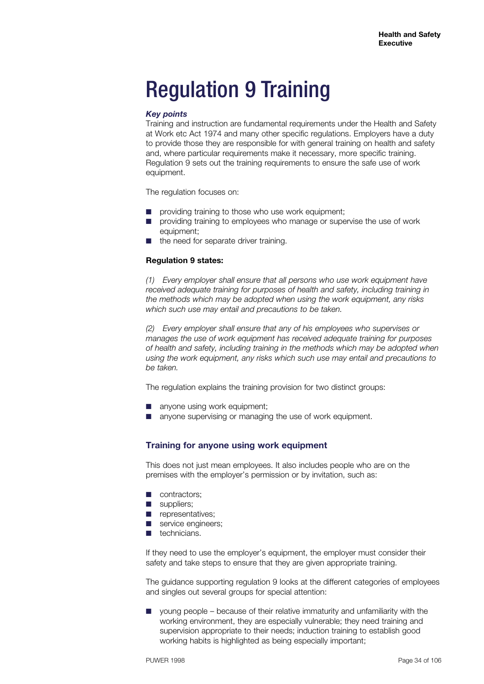## Regulation 9 Training

### *Key points*

Training and instruction are fundamental requirements under the Health and Safety at Work etc Act 1974 and many other specific regulations. Employers have a duty to provide those they are responsible for with general training on health and safety and, where particular requirements make it necessary, more specific training. Regulation 9 sets out the training requirements to ensure the safe use of work equipment.

The regulation focuses on:

- providing training to those who use work equipment;
- providing training to employees who manage or supervise the use of work equipment;
- the need for separate driver training.

### **Regulation 9 states:**

*(1) Every employer shall ensure that all persons who use work equipment have received adequate training for purposes of health and safety, including training in the methods which may be adopted when using the work equipment, any risks which such use may entail and precautions to be taken.*

*(2) Every employer shall ensure that any of his employees who supervises or manages the use of work equipment has received adequate training for purposes of health and safety, including training in the methods which may be adopted when using the work equipment, any risks which such use may entail and precautions to be taken.*

The regulation explains the training provision for two distinct groups:

- $\blacksquare$  anyone using work equipment;
- anyone supervising or managing the use of work equipment.

### **Training for anyone using work equipment**

This does not just mean employees. It also includes people who are on the premises with the employer's permission or by invitation, such as:

- $\blacksquare$  contractors;
- $\blacksquare$  suppliers;
- $\blacksquare$  representatives:
- $\blacksquare$  service engineers:
- $\blacksquare$  technicians.

If they need to use the employer's equipment, the employer must consider their safety and take steps to ensure that they are given appropriate training.

The guidance supporting regulation 9 looks at the different categories of employees and singles out several groups for special attention:

 $\blacksquare$  voung people – because of their relative immaturity and unfamiliarity with the working environment, they are especially vulnerable; they need training and supervision appropriate to their needs; induction training to establish good working habits is highlighted as being especially important;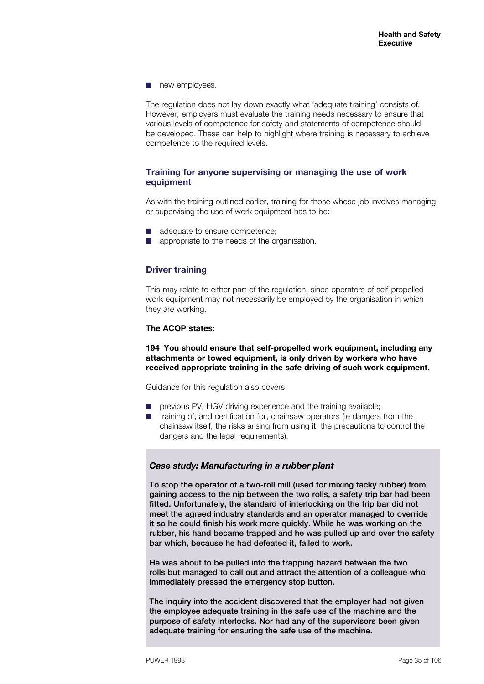$\blacksquare$  new employees.

The regulation does not lay down exactly what 'adequate training' consists of. However, employers must evaluate the training needs necessary to ensure that various levels of competence for safety and statements of competence should be developed. These can help to highlight where training is necessary to achieve competence to the required levels.

### **Training for anyone supervising or managing the use of work equipment**

As with the training outlined earlier, training for those whose job involves managing or supervising the use of work equipment has to be:

- adequate to ensure competence;
- appropriate to the needs of the organisation.

### **Driver training**

This may relate to either part of the regulation, since operators of self-propelled work equipment may not necessarily be employed by the organisation in which they are working.

### **The ACOP states:**

### **194 You should ensure that self-propelled work equipment, including any attachments or towed equipment, is only driven by workers who have received appropriate training in the safe driving of such work equipment.**

Guidance for this regulation also covers:

- $\blacksquare$  previous PV, HGV driving experience and the training available;
- training of, and certification for, chainsaw operators (ie dangers from the chainsaw itself, the risks arising from using it, the precautions to control the dangers and the legal requirements).

### *Case study: Manufacturing in a rubber plant*

To stop the operator of a two-roll mill (used for mixing tacky rubber) from gaining access to the nip between the two rolls, a safety trip bar had been fitted. Unfortunately, the standard of interlocking on the trip bar did not meet the agreed industry standards and an operator managed to override it so he could finish his work more quickly. While he was working on the rubber, his hand became trapped and he was pulled up and over the safety bar which, because he had defeated it, failed to work.

He was about to be pulled into the trapping hazard between the two rolls but managed to call out and attract the attention of a colleague who immediately pressed the emergency stop button.

The inquiry into the accident discovered that the employer had not given the employee adequate training in the safe use of the machine and the purpose of safety interlocks. Nor had any of the supervisors been given adequate training for ensuring the safe use of the machine.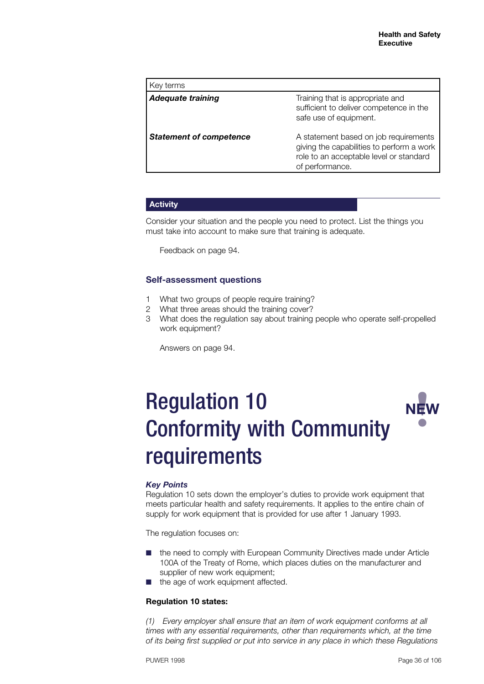| Key terms                      |                                                                                                                                                  |
|--------------------------------|--------------------------------------------------------------------------------------------------------------------------------------------------|
| <b>Adequate training</b>       | Training that is appropriate and<br>sufficient to deliver competence in the<br>safe use of equipment.                                            |
| <b>Statement of competence</b> | A statement based on job requirements<br>giving the capabilities to perform a work<br>role to an acceptable level or standard<br>of performance. |

### **Activity**

Consider your situation and the people you need to protect. List the things you must take into account to make sure that training is adequate.

Feedback on page 94.

### **Self-assessment questions**

- 1 What two groups of people require training?
- 2 What three areas should the training cover?
- 3 What does the regulation say about training people who operate self-propelled work equipment?

Answers on page 94.

### Regulation 10 Conformity with Community requirements **! NEW**

### *Key Points*

Regulation 10 sets down the employer's duties to provide work equipment that meets particular health and safety requirements. It applies to the entire chain of supply for work equipment that is provided for use after 1 January 1993.

The regulation focuses on:

- n the need to comply with European Community Directives made under Article 100A of the Treaty of Rome, which places duties on the manufacturer and supplier of new work equipment;
- $\blacksquare$  the age of work equipment affected.

### **Regulation 10 states:**

*(1) Every employer shall ensure that an item of work equipment conforms at all times with any essential requirements, other than requirements which, at the time of its being first supplied or put into service in any place in which these Regulations*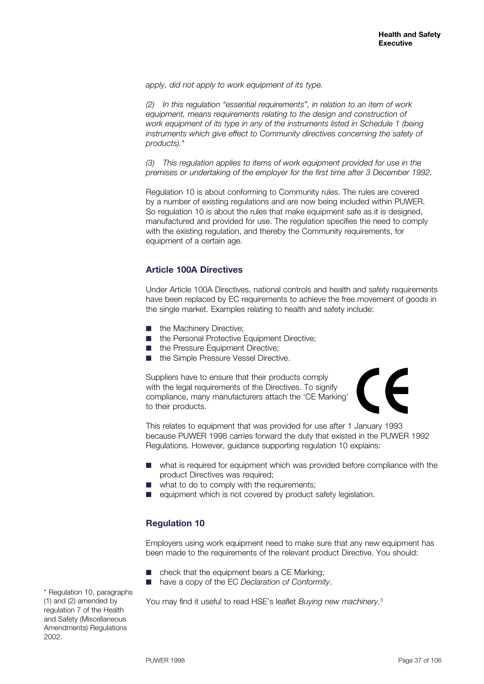*apply, did not apply to work equipment of its type.*

*(2) In this regulation "essential requirements", in relation to an item of work*  equipment, means requirements relating to the design and construction of *work equipment of its type in any of the instruments listed in Schedule 1 (being*  instruments which give effect to Community directives concerning the safety of *products).\**

*(3) This regulation applies to items of work equipment provided for use in the premises or undertaking of the employer for the first time after 3 December 1992.*

Regulation 10 is about conforming to Community rules. The rules are covered by a number of existing regulations and are now being included within PUWER. So regulation 10 is about the rules that make equipment safe as it is designed, manufactured and provided for use. The regulation specifies the need to comply with the existing regulation, and thereby the Community requirements, for equipment of a certain age.

# **Article 100A Directives**

Under Article 100A Directives, national controls and health and safety requirements have been replaced by EC requirements to achieve the free movement of goods in the single market. Examples relating to health and safety include:

- the Machinery Directive;
- $\blacksquare$  the Personal Protective Equipment Directive;
- the Pressure Equipment Directive;
- the Simple Pressure Vessel Directive.

Suppliers have to ensure that their products comply with the legal requirements of the Directives. To signify compliance, many manufacturers attach the 'CE Marking' to their products.

This relates to equipment that was provided for use after 1 January 1993 because PUWER 1998 carries forward the duty that existed in the PUWER 1992 Regulations. However, guidance supporting regulation 10 explains:

- what is required for equipment which was provided before compliance with the product Directives was required;
- what to do to comply with the requirements;
- equipment which is not covered by product safety legislation.

# **Regulation 10**

Employers using work equipment need to make sure that any new equipment has been made to the requirements of the relevant product Directive. You should:

- check that the equipment bears a CE Marking:
- have a copy of the EC Declaration of Conformity.

You may find it useful to read HSE's leaflet *Buying new machinery*. 3

\* Regulation 10, paragraphs (1) and (2) amended by regulation 7 of the Health and Safety (Miscellaneous Amendments) Regulations 2002.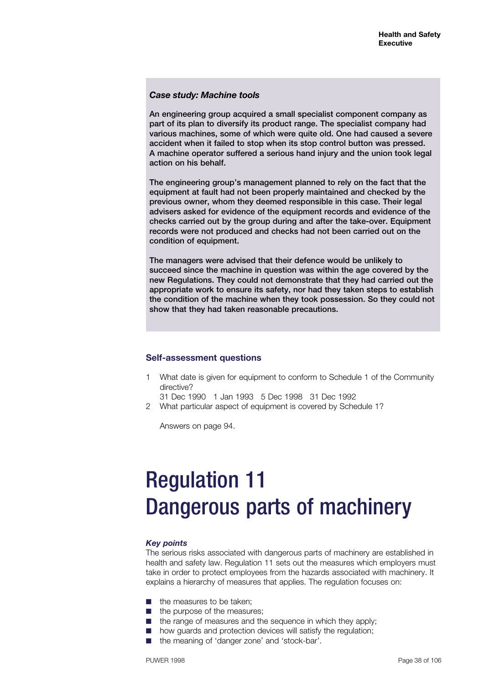#### *Case study: Machine tools*

An engineering group acquired a small specialist component company as part of its plan to diversify its product range. The specialist company had various machines, some of which were quite old. One had caused a severe accident when it failed to stop when its stop control button was pressed. A machine operator suffered a serious hand injury and the union took legal action on his behalf.

The engineering group's management planned to rely on the fact that the equipment at fault had not been properly maintained and checked by the previous owner, whom they deemed responsible in this case. Their legal advisers asked for evidence of the equipment records and evidence of the checks carried out by the group during and after the take-over. Equipment records were not produced and checks had not been carried out on the condition of equipment.

The managers were advised that their defence would be unlikely to succeed since the machine in question was within the age covered by the new Regulations. They could not demonstrate that they had carried out the appropriate work to ensure its safety, nor had they taken steps to establish the condition of the machine when they took possession. So they could not show that they had taken reasonable precautions.

#### **Self-assessment questions**

- 1 What date is given for equipment to conform to Schedule 1 of the Community directive?
- 31 Dec 1990 1 Jan 1993 5 Dec 1998 31 Dec 1992
- 2 What particular aspect of equipment is covered by Schedule 1?

Answers on page 94.

# Regulation 11 Dangerous parts of machinery

# *Key points*

The serious risks associated with dangerous parts of machinery are established in health and safety law. Regulation 11 sets out the measures which employers must take in order to protect employees from the hazards associated with machinery. It explains a hierarchy of measures that applies. The regulation focuses on:

- $\blacksquare$  the measures to be taken:
- $\blacksquare$  the purpose of the measures;
- $\blacksquare$  the range of measures and the sequence in which they apply;
- $\blacksquare$  how guards and protection devices will satisfy the regulation;
- the meaning of 'danger zone' and 'stock-bar'.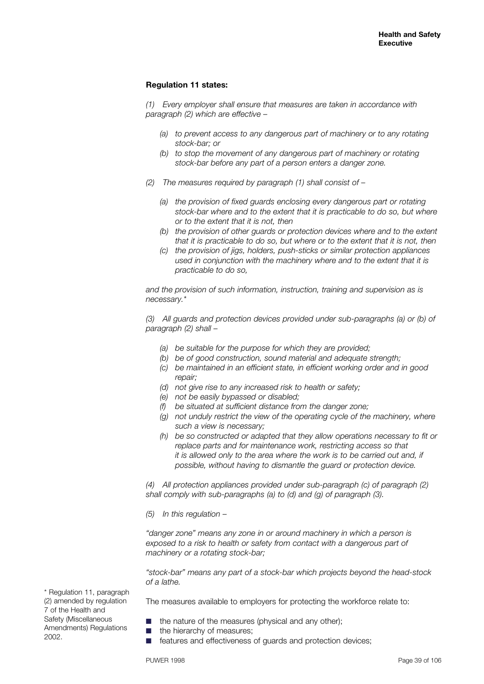#### **Regulation 11 states:**

*(1) Every employer shall ensure that measures are taken in accordance with paragraph (2) which are effective –*

- *(a) to prevent access to any dangerous part of machinery or to any rotating stock-bar; or*
- *(b) to stop the movement of any dangerous part of machinery or rotating stock-bar before any part of a person enters a danger zone.*
- *(2) The measures required by paragraph (1) shall consist of* 
	- *(a) the provision of fixed guards enclosing every dangerous part or rotating stock-bar where and to the extent that it is practicable to do so, but where or to the extent that it is not, then*
	- *(b) the provision of other guards or protection devices where and to the extent that it is practicable to do so, but where or to the extent that it is not, then*
	- *(c) the provision of jigs, holders, push-sticks or similar protection appliances used in conjunction with the machinery where and to the extent that it is practicable to do so,*

*and the provision of such information, instruction, training and supervision as is necessary.\**

*(3) All guards and protection devices provided under sub-paragraphs (a) or (b) of paragraph (2) shall –*

- *(a) be suitable for the purpose for which they are provided;*
- *(b) be of good construction, sound material and adequate strength;*
- *(c) be maintained in an efficient state, in efficient working order and in good repair;*
- *(d) not give rise to any increased risk to health or safety;*
- *(e) not be easily bypassed or disabled;*
- *(f) be situated at sufficient distance from the danger zone;*
- *(g) not unduly restrict the view of the operating cycle of the machinery, where such a view is necessary;*
- *(h) be so constructed or adapted that they allow operations necessary to fit or replace parts and for maintenance work, restricting access so that it is allowed only to the area where the work is to be carried out and, if possible, without having to dismantle the guard or protection device.*

*(4) All protection appliances provided under sub-paragraph (c) of paragraph (2) shall comply with sub-paragraphs (a) to (d) and (g) of paragraph (3).*

*(5) In this regulation –*

*"danger zone" means any zone in or around machinery in which a person is exposed to a risk to health or safety from contact with a dangerous part of machinery or a rotating stock-bar;*

*"stock-bar" means any part of a stock-bar which projects beyond the head-stock of a lathe.*

The measures available to employers for protecting the workforce relate to:

- the nature of the measures (physical and any other);
- the hierarchy of measures:
- features and effectiveness of guards and protection devices;

\* Regulation 11, paragraph (2) amended by regulation 7 of the Health and Safety (Miscellaneous Amendments) Regulations 2002.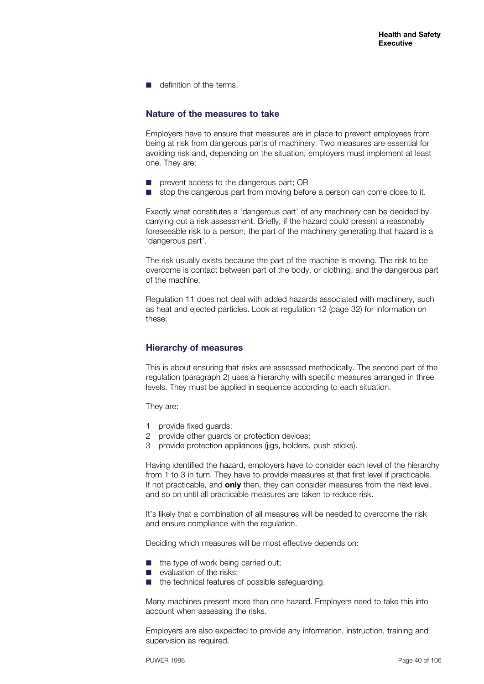definition of the terms.

#### **Nature of the measures to take**

Employers have to ensure that measures are in place to prevent employees from being at risk from dangerous parts of machinery. Two measures are essential for avoiding risk and, depending on the situation, employers must implement at least one. They are:

- $\blacksquare$  prevent access to the dangerous part; OR
- $\blacksquare$  stop the dangerous part from moving before a person can come close to it.

Exactly what constitutes a 'dangerous part' of any machinery can be decided by carrying out a risk assessment. Briefly, if the hazard could present a reasonably foreseeable risk to a person, the part of the machinery generating that hazard is a 'dangerous part'.

The risk usually exists because the part of the machine is moving. The risk to be overcome is contact between part of the body, or clothing, and the dangerous part of the machine.

Regulation 11 does not deal with added hazards associated with machinery, such as heat and ejected particles. Look at regulation 12 (page 32) for information on these.

#### **Hierarchy of measures**

This is about ensuring that risks are assessed methodically. The second part of the regulation (paragraph 2) uses a hierarchy with specific measures arranged in three levels. They must be applied in sequence according to each situation.

They are:

- 1 provide fixed guards;
- 2 provide other guards or protection devices;
- 3 provide protection appliances (jigs, holders, push sticks).

Having identified the hazard, employers have to consider each level of the hierarchy from 1 to 3 in turn. They have to provide measures at that first level if practicable. If not practicable, and **only** then, they can consider measures from the next level, and so on until all practicable measures are taken to reduce risk.

It's likely that a combination of all measures will be needed to overcome the risk and ensure compliance with the regulation.

Deciding which measures will be most effective depends on:

- the type of work being carried out;
- evaluation of the risks:
- the technical features of possible safeguarding.

Many machines present more than one hazard. Employers need to take this into account when assessing the risks.

Employers are also expected to provide any information, instruction, training and supervision as required.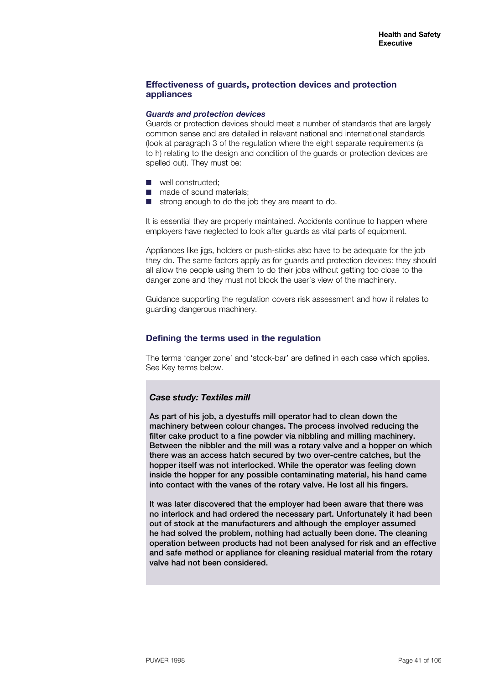# **Effectiveness of guards, protection devices and protection appliances**

#### *Guards and protection devices*

Guards or protection devices should meet a number of standards that are largely common sense and are detailed in relevant national and international standards (look at paragraph 3 of the regulation where the eight separate requirements (a to h) relating to the design and condition of the guards or protection devices are spelled out). They must be:

- **n** well constructed:
- $\blacksquare$  made of sound materials:
- $\blacksquare$  strong enough to do the job they are meant to do.

It is essential they are properly maintained. Accidents continue to happen where employers have neglected to look after guards as vital parts of equipment.

Appliances like jigs, holders or push-sticks also have to be adequate for the job they do. The same factors apply as for guards and protection devices: they should all allow the people using them to do their jobs without getting too close to the danger zone and they must not block the user's view of the machinery.

Guidance supporting the regulation covers risk assessment and how it relates to guarding dangerous machinery.

### **Defining the terms used in the regulation**

The terms 'danger zone' and 'stock-bar' are defined in each case which applies. See Key terms below.

#### *Case study: Textiles mill*

As part of his job, a dyestuffs mill operator had to clean down the machinery between colour changes. The process involved reducing the filter cake product to a fine powder via nibbling and milling machinery. Between the nibbler and the mill was a rotary valve and a hopper on which there was an access hatch secured by two over-centre catches, but the hopper itself was not interlocked. While the operator was feeling down inside the hopper for any possible contaminating material, his hand came into contact with the vanes of the rotary valve. He lost all his fingers.

It was later discovered that the employer had been aware that there was no interlock and had ordered the necessary part. Unfortunately it had been out of stock at the manufacturers and although the employer assumed he had solved the problem, nothing had actually been done. The cleaning operation between products had not been analysed for risk and an effective and safe method or appliance for cleaning residual material from the rotary valve had not been considered.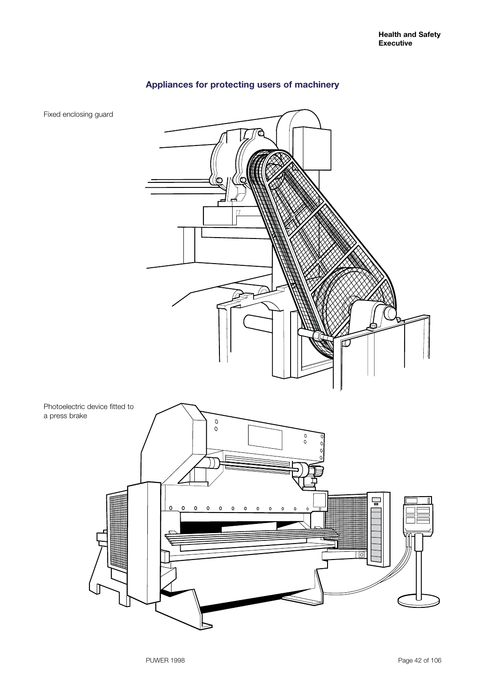

# **Appliances for protecting users of machinery**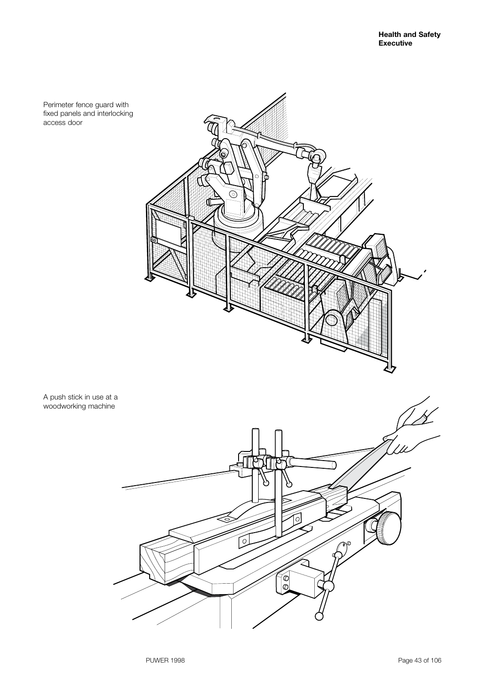Perimeter fence guard with fixed panels and interlocking access door



A push stick in use at a woodworking machine

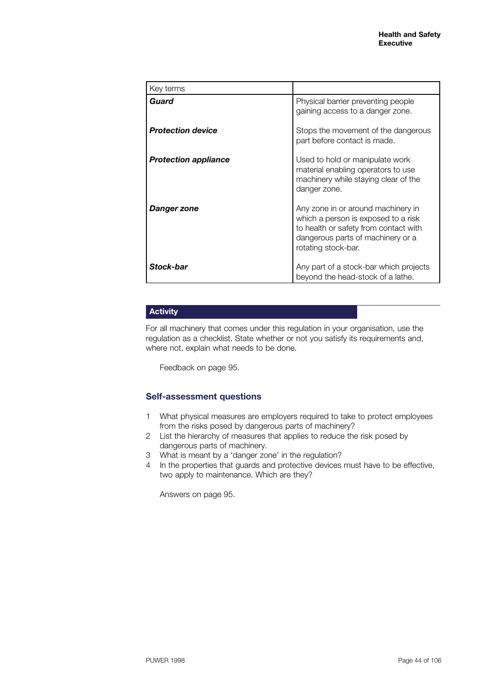| Key terms                   |                                                                                                                                                                                |
|-----------------------------|--------------------------------------------------------------------------------------------------------------------------------------------------------------------------------|
| Guard                       | Physical barrier preventing people<br>gaining access to a danger zone.                                                                                                         |
| <b>Protection device</b>    | Stops the movement of the dangerous<br>part before contact is made.                                                                                                            |
| <b>Protection appliance</b> | Used to hold or manipulate work<br>material enabling operators to use<br>machinery while staying clear of the<br>danger zone.                                                  |
| Danger zone                 | Any zone in or around machinery in<br>which a person is exposed to a risk<br>to health or safety from contact with<br>dangerous parts of machinery or a<br>rotating stock-bar. |
| <b>Stock-bar</b>            | Any part of a stock-bar which projects<br>beyond the head-stock of a lathe.                                                                                                    |

# **Activity**

For all machinery that comes under this regulation in your organisation, use the regulation as a checklist. State whether or not you satisfy its requirements and, where not, explain what needs to be done.

Feedback on page 95.

# **Self-assessment questions**

- 1 What physical measures are employers required to take to protect employees from the risks posed by dangerous parts of machinery?
- 2 List the hierarchy of measures that applies to reduce the risk posed by dangerous parts of machinery.
- 3 What is meant by a 'danger zone' in the regulation?
- 4 In the properties that guards and protective devices must have to be effective, two apply to maintenance. Which are they?

Answers on page 95.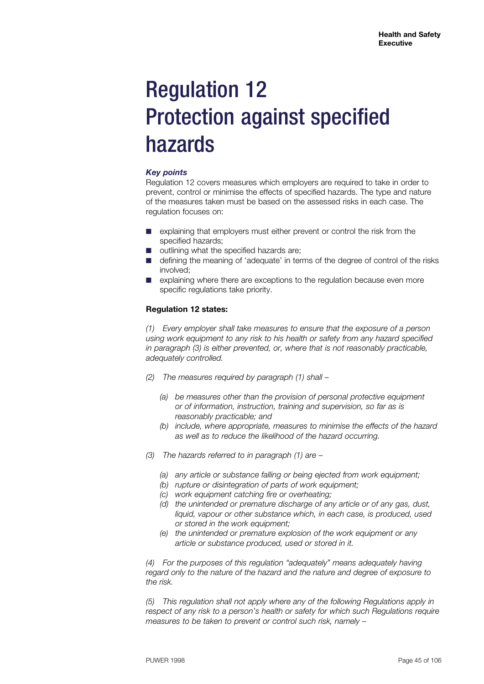# Regulation 12 Protection against specified hazards

# *Key points*

Regulation 12 covers measures which employers are required to take in order to prevent, control or minimise the effects of specified hazards. The type and nature of the measures taken must be based on the assessed risks in each case. The regulation focuses on:

- explaining that employers must either prevent or control the risk from the specified hazards;
- outlining what the specified hazards are;
- defining the meaning of 'adequate' in terms of the degree of control of the risks involved;
- $\blacksquare$  explaining where there are exceptions to the regulation because even more specific regulations take priority.

#### **Regulation 12 states:**

*(1) Every employer shall take measures to ensure that the exposure of a person using work equipment to any risk to his health or safety from any hazard specified in paragraph (3) is either prevented, or, where that is not reasonably practicable, adequately controlled.*

- *(2) The measures required by paragraph (1) shall –*
	- *(a) be measures other than the provision of personal protective equipment or of information, instruction, training and supervision, so far as is reasonably practicable; and*
	- *(b) include, where appropriate, measures to minimise the effects of the hazard as well as to reduce the likelihood of the hazard occurring.*
- *(3) The hazards referred to in paragraph (1) are –*
	- *(a) any article or substance falling or being ejected from work equipment;*
	- *(b) rupture or disintegration of parts of work equipment;*
	- *(c) work equipment catching fire or overheating;*
	- *(d) the unintended or premature discharge of any article or of any gas, dust,*  liquid, vapour or other substance which, in each case, is produced, used  *or stored in the work equipment;*
	- *(e) the unintended or premature explosion of the work equipment or any article or substance produced, used or stored in it.*

*(4) For the purposes of this regulation "adequately" means adequately having*  regard only to the nature of the hazard and the nature and degree of exposure to *the risk.*

*(5) This regulation shall not apply where any of the following Regulations apply in respect of any risk to a person's health or safety for which such Regulations require measures to be taken to prevent or control such risk, namely –*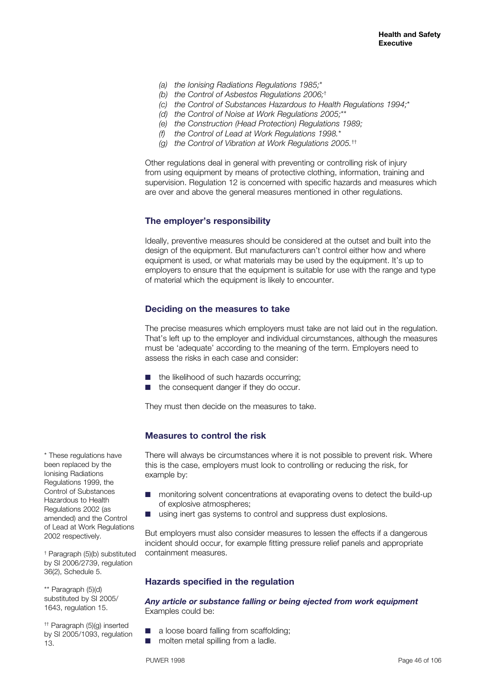- *(a) the Ionising Radiations Regulations 1985;*\*
- *(b) the Control of Asbestos Regulations 2006;*†
- *(c) the Control of Substances Hazardous to Health Regulations 1994;*\*
- *(d) the Control of Noise at Work Regulations 2005;*\*\*
- *(e) the Construction (Head Protection) Regulations 1989;*
- *(f) the Control of Lead at Work Regulations 1998.*\*
- *(g) the Control of Vibration at Work Regulations 2005.*††

Other regulations deal in general with preventing or controlling risk of injury from using equipment by means of protective clothing, information, training and supervision. Regulation 12 is concerned with specific hazards and measures which are over and above the general measures mentioned in other regulations.

# **The employer's responsibility**

Ideally, preventive measures should be considered at the outset and built into the design of the equipment. But manufacturers can't control either how and where equipment is used, or what materials may be used by the equipment. It's up to employers to ensure that the equipment is suitable for use with the range and type of material which the equipment is likely to encounter.

#### **Deciding on the measures to take**

The precise measures which employers must take are not laid out in the regulation. That's left up to the employer and individual circumstances, although the measures must be 'adequate' according to the meaning of the term. Employers need to assess the risks in each case and consider:

- the likelihood of such hazards occurring:
- the consequent danger if they do occur.

They must then decide on the measures to take.

#### **Measures to control the risk**

There will always be circumstances where it is not possible to prevent risk. Where this is the case, employers must look to controlling or reducing the risk, for example by:

- monitoring solvent concentrations at evaporating ovens to detect the build-up of explosive atmospheres;
- using inert gas systems to control and suppress dust explosions.

But employers must also consider measures to lessen the effects if a dangerous incident should occur, for example fitting pressure relief panels and appropriate containment measures.

#### **Hazards specified in the regulation**

#### *Any article or substance falling or being ejected from work equipment* Examples could be:

- a loose board falling from scaffolding;
- $\blacksquare$  molten metal spilling from a ladle.

Ionising Radiations Regulations 1999, the Control of Substances Hazardous to Health Regulations 2002 (as amended) and the Control of Lead at Work Regulations 2002 respectively.

\* These regulations have been replaced by the

† Paragraph (5)(b) substituted by SI 2006/2739, regulation 36(2), Schedule 5.

\*\* Paragraph (5)(d) substituted by SI 2005/ 1643, regulation 15.

†† Paragraph (5)(g) inserted by SI 2005/1093, regulation 13.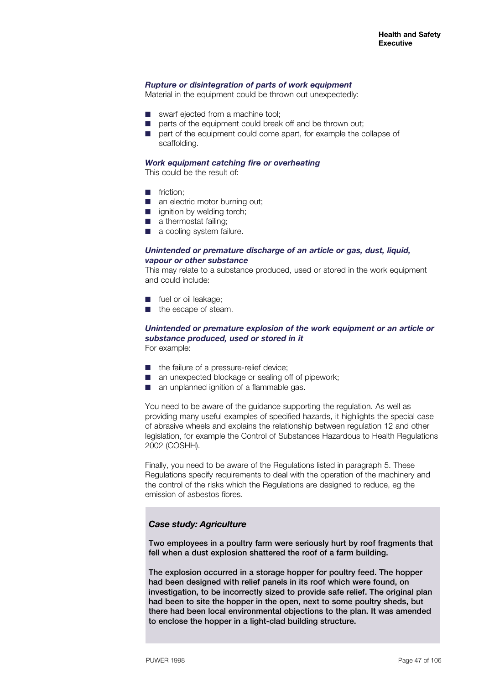#### *Rupture or disintegration of parts of work equipment*

Material in the equipment could be thrown out unexpectedly:

- $\blacksquare$  swarf ejected from a machine tool:
- $\Box$  parts of the equipment could break off and be thrown out;
- part of the equipment could come apart, for example the collapse of scaffolding.

#### *Work equipment catching fire or overheating*

This could be the result of:

- friction:
- $\blacksquare$  an electric motor burning out;
- ignition by welding torch;
- $\blacksquare$  a thermostat failing:
- $\blacksquare$  a cooling system failure.

#### *Unintended or premature discharge of an article or gas, dust, liquid, vapour or other substance*

This may relate to a substance produced, used or stored in the work equipment and could include:

- $\blacksquare$  fuel or oil leakage;
- $\blacksquare$  the escape of steam.

# *Unintended or premature explosion of the work equipment or an article or substance produced, used or stored in it*

For example:

- $\blacksquare$  the failure of a pressure-relief device:
- $\blacksquare$  an unexpected blockage or sealing off of pipework;
- an unplanned ignition of a flammable gas.

You need to be aware of the guidance supporting the regulation. As well as providing many useful examples of specified hazards, it highlights the special case of abrasive wheels and explains the relationship between regulation 12 and other legislation, for example the Control of Substances Hazardous to Health Regulations 2002 (COSHH).

Finally, you need to be aware of the Regulations listed in paragraph 5. These Regulations specify requirements to deal with the operation of the machinery and the control of the risks which the Regulations are designed to reduce, eg the emission of asbestos fibres.

#### *Case study: Agriculture*

Two employees in a poultry farm were seriously hurt by roof fragments that fell when a dust explosion shattered the roof of a farm building.

The explosion occurred in a storage hopper for poultry feed. The hopper had been designed with relief panels in its roof which were found, on investigation, to be incorrectly sized to provide safe relief. The original plan had been to site the hopper in the open, next to some poultry sheds, but there had been local environmental objections to the plan. It was amended to enclose the hopper in a light-clad building structure.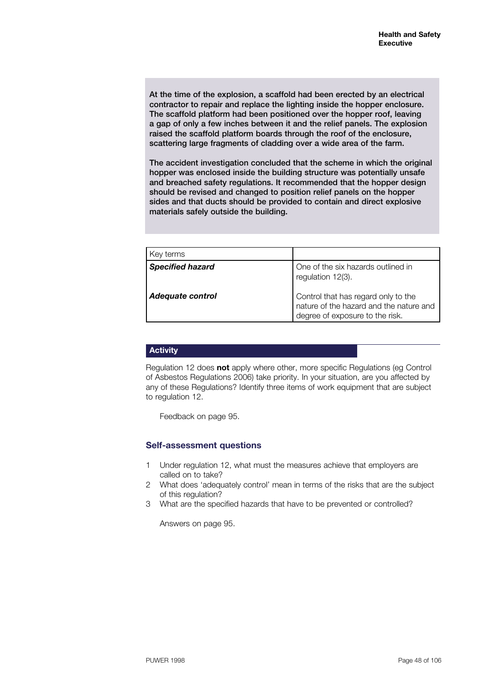At the time of the explosion, a scaffold had been erected by an electrical contractor to repair and replace the lighting inside the hopper enclosure. The scaffold platform had been positioned over the hopper roof, leaving a gap of only a few inches between it and the relief panels. The explosion raised the scaffold platform boards through the roof of the enclosure, scattering large fragments of cladding over a wide area of the farm.

The accident investigation concluded that the scheme in which the original hopper was enclosed inside the building structure was potentially unsafe and breached safety regulations. It recommended that the hopper design should be revised and changed to position relief panels on the hopper sides and that ducts should be provided to contain and direct explosive materials safely outside the building.

| Key terms               |                                                                                                                   |
|-------------------------|-------------------------------------------------------------------------------------------------------------------|
| <b>Specified hazard</b> | One of the six hazards outlined in<br>regulation 12(3).                                                           |
| Adequate control        | Control that has regard only to the<br>nature of the hazard and the nature and<br>degree of exposure to the risk. |

# **Activity**

Regulation 12 does **not** apply where other, more specific Regulations (eg Control of Asbestos Regulations 2006) take priority. In your situation, are you affected by any of these Regulations? Identify three items of work equipment that are subject to regulation 12.

Feedback on page 95.

#### **Self-assessment questions**

- 1 Under regulation 12, what must the measures achieve that employers are called on to take?
- 2 What does 'adequately control' mean in terms of the risks that are the subject of this regulation?
- 3 What are the specified hazards that have to be prevented or controlled?

Answers on page 95.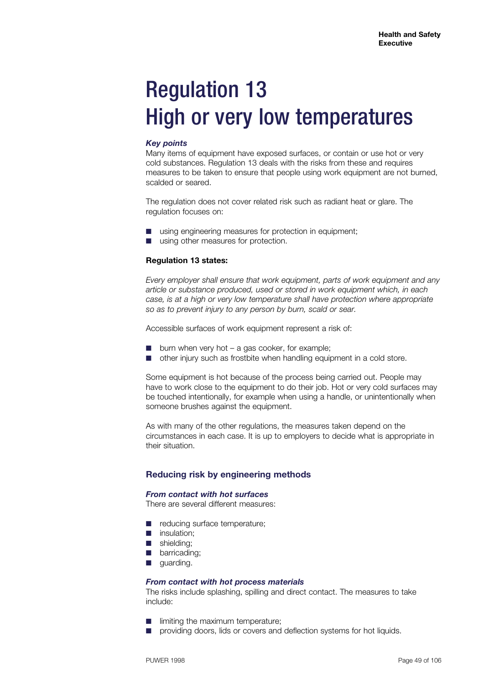# Regulation 13 High or very low temperatures

#### *Key points*

Many items of equipment have exposed surfaces, or contain or use hot or very cold substances. Regulation 13 deals with the risks from these and requires measures to be taken to ensure that people using work equipment are not burned, scalded or seared.

The regulation does not cover related risk such as radiant heat or glare. The regulation focuses on:

- using engineering measures for protection in equipment;
- using other measures for protection.

#### **Regulation 13 states:**

*Every employer shall ensure that work equipment, parts of work equipment and any article or substance produced, used or stored in work equipment which, in each case, is at a high or very low temperature shall have protection where appropriate so as to prevent injury to any person by burn, scald or sear.*

Accessible surfaces of work equipment represent a risk of:

- burn when very hot  $-$  a gas cooker, for example;
- other injury such as frostbite when handling equipment in a cold store.

Some equipment is hot because of the process being carried out. People may have to work close to the equipment to do their job. Hot or very cold surfaces may be touched intentionally, for example when using a handle, or unintentionally when someone brushes against the equipment.

As with many of the other regulations, the measures taken depend on the circumstances in each case. It is up to employers to decide what is appropriate in their situation.

# **Reducing risk by engineering methods**

#### *From contact with hot surfaces*

There are several different measures:

- $\blacksquare$  reducing surface temperature:
- $\blacksquare$  insulation:
- shielding;
- $\blacksquare$  barricading;
- guarding.

#### *From contact with hot process materials*

The risks include splashing, spilling and direct contact. The measures to take include:

- limiting the maximum temperature;
- providing doors, lids or covers and deflection systems for hot liquids.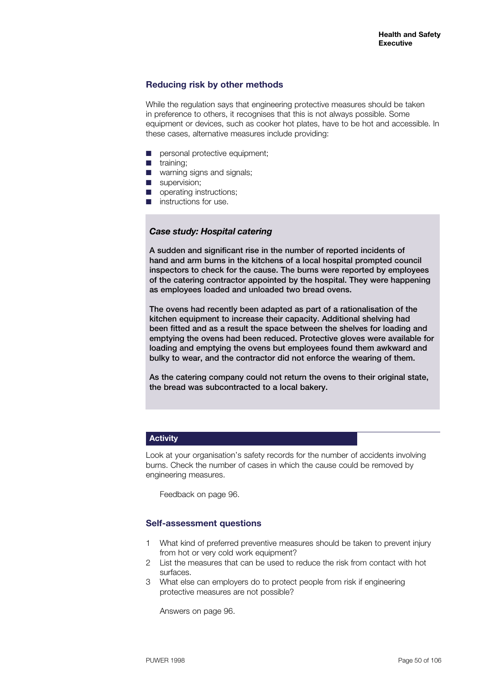# **Reducing risk by other methods**

While the regulation says that engineering protective measures should be taken in preference to others, it recognises that this is not always possible. Some equipment or devices, such as cooker hot plates, have to be hot and accessible. In these cases, alternative measures include providing:

- $\blacksquare$  personal protective equipment;
- uning;
- $\blacksquare$  warning signs and signals;
- supervision;
- $\blacksquare$  operating instructions;
- $\blacksquare$  instructions for use.

### *Case study: Hospital catering*

A sudden and significant rise in the number of reported incidents of hand and arm burns in the kitchens of a local hospital prompted council inspectors to check for the cause. The burns were reported by employees of the catering contractor appointed by the hospital. They were happening as employees loaded and unloaded two bread ovens.

The ovens had recently been adapted as part of a rationalisation of the kitchen equipment to increase their capacity. Additional shelving had been fitted and as a result the space between the shelves for loading and emptying the ovens had been reduced. Protective gloves were available for loading and emptying the ovens but employees found them awkward and bulky to wear, and the contractor did not enforce the wearing of them.

As the catering company could not return the ovens to their original state, the bread was subcontracted to a local bakery.

# **Activity**

Look at your organisation's safety records for the number of accidents involving burns. Check the number of cases in which the cause could be removed by engineering measures.

Feedback on page 96.

# **Self-assessment questions**

- 1 What kind of preferred preventive measures should be taken to prevent injury from hot or very cold work equipment?
- 2 List the measures that can be used to reduce the risk from contact with hot surfaces.
- 3 What else can employers do to protect people from risk if engineering protective measures are not possible?

Answers on page 96.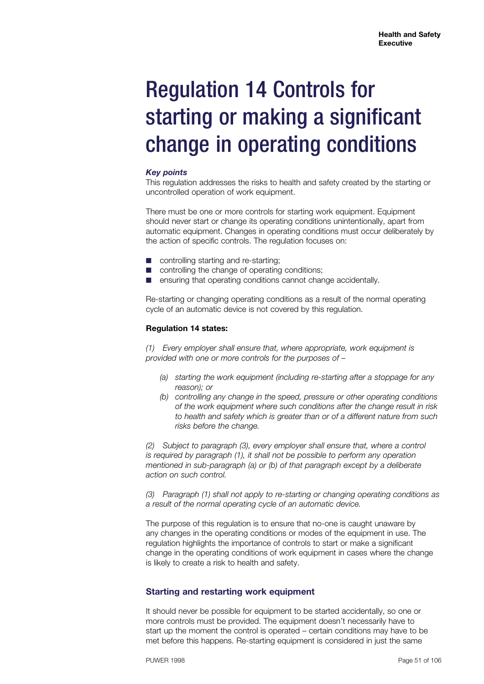# Regulation 14 Controls for starting or making a significant change in operating conditions

#### *Key points*

This regulation addresses the risks to health and safety created by the starting or uncontrolled operation of work equipment.

There must be one or more controls for starting work equipment. Equipment should never start or change its operating conditions unintentionally, apart from automatic equipment. Changes in operating conditions must occur deliberately by the action of specific controls. The regulation focuses on:

- $\Box$  controlling starting and re-starting;
- $\Box$  controlling the change of operating conditions;
- ensuring that operating conditions cannot change accidentally.

Re-starting or changing operating conditions as a result of the normal operating cycle of an automatic device is not covered by this regulation.

#### **Regulation 14 states:**

*(1) Every employer shall ensure that, where appropriate, work equipment is provided with one or more controls for the purposes of –*

- *(a) starting the work equipment (including re-starting after a stoppage for any reason); or*
- *(b) controlling any change in the speed, pressure or other operating conditions of the work equipment where such conditions after the change result in risk to health and safety which is greater than or of a different nature from such risks before the change.*

*(2) Subject to paragraph (3), every employer shall ensure that, where a control is required by paragraph (1), it shall not be possible to perform any operation mentioned in sub-paragraph (a) or (b) of that paragraph except by a deliberate action on such control.*

*(3) Paragraph (1) shall not apply to re-starting or changing operating conditions as a result of the normal operating cycle of an automatic device.*

The purpose of this regulation is to ensure that no-one is caught unaware by any changes in the operating conditions or modes of the equipment in use. The regulation highlights the importance of controls to start or make a significant change in the operating conditions of work equipment in cases where the change is likely to create a risk to health and safety.

# **Starting and restarting work equipment**

It should never be possible for equipment to be started accidentally, so one or more controls must be provided. The equipment doesn't necessarily have to start up the moment the control is operated – certain conditions may have to be met before this happens. Re-starting equipment is considered in just the same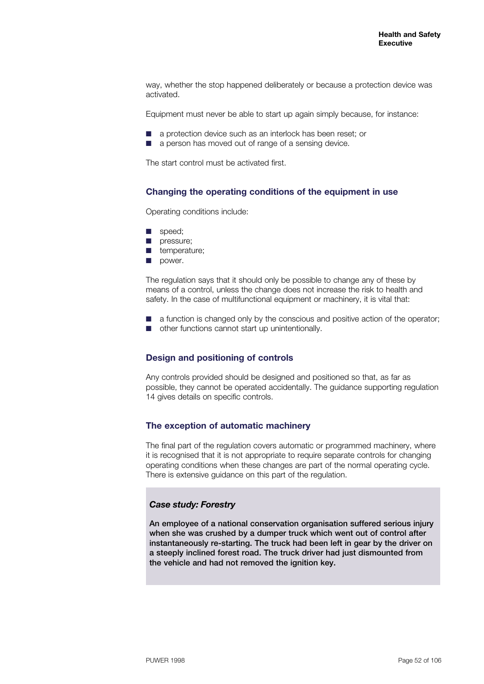way, whether the stop happened deliberately or because a protection device was activated.

Equipment must never be able to start up again simply because, for instance:

- $\blacksquare$  a protection device such as an interlock has been reset; or
- a person has moved out of range of a sensing device.

The start control must be activated first.

# **Changing the operating conditions of the equipment in use**

Operating conditions include:

- speed;
- $\blacksquare$  pressure;
- temperature;
- $\Box$  power.

The regulation says that it should only be possible to change any of these by means of a control, unless the change does not increase the risk to health and safety. In the case of multifunctional equipment or machinery, it is vital that:

- $\blacksquare$  a function is changed only by the conscious and positive action of the operator;
- $\blacksquare$  other functions cannot start up unintentionally.

# **Design and positioning of controls**

Any controls provided should be designed and positioned so that, as far as possible, they cannot be operated accidentally. The guidance supporting regulation 14 gives details on specific controls.

# **The exception of automatic machinery**

The final part of the regulation covers automatic or programmed machinery, where it is recognised that it is not appropriate to require separate controls for changing operating conditions when these changes are part of the normal operating cycle. There is extensive guidance on this part of the regulation.

# *Case study: Forestry*

An employee of a national conservation organisation suffered serious injury when she was crushed by a dumper truck which went out of control after instantaneously re-starting. The truck had been left in gear by the driver on a steeply inclined forest road. The truck driver had just dismounted from the vehicle and had not removed the ignition key.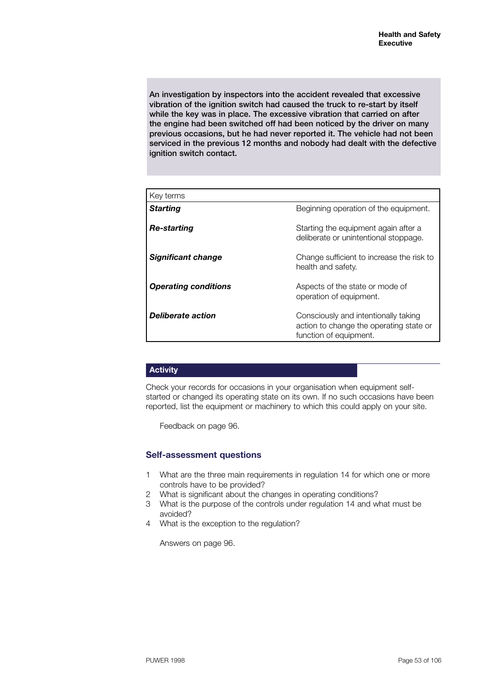An investigation by inspectors into the accident revealed that excessive vibration of the ignition switch had caused the truck to re-start by itself while the key was in place. The excessive vibration that carried on after the engine had been switched off had been noticed by the driver on many previous occasions, but he had never reported it. The vehicle had not been serviced in the previous 12 months and nobody had dealt with the defective ignition switch contact.

| Key terms                   |                                                                                                           |
|-----------------------------|-----------------------------------------------------------------------------------------------------------|
| <b>Starting</b>             | Beginning operation of the equipment.                                                                     |
| <b>Re-starting</b>          | Starting the equipment again after a<br>deliberate or unintentional stoppage.                             |
| Significant change          | Change sufficient to increase the risk to<br>health and safety.                                           |
| <b>Operating conditions</b> | Aspects of the state or mode of<br>operation of equipment.                                                |
| <b>Deliberate action</b>    | Consciously and intentionally taking<br>action to change the operating state or<br>function of equipment. |

# **Activity**

Check your records for occasions in your organisation when equipment selfstarted or changed its operating state on its own. If no such occasions have been reported, list the equipment or machinery to which this could apply on your site.

Feedback on page 96.

# **Self-assessment questions**

- 1 What are the three main requirements in regulation 14 for which one or more controls have to be provided?
- 2 What is significant about the changes in operating conditions?
- 3 What is the purpose of the controls under regulation 14 and what must be avoided?
- 4 What is the exception to the regulation?

Answers on page 96.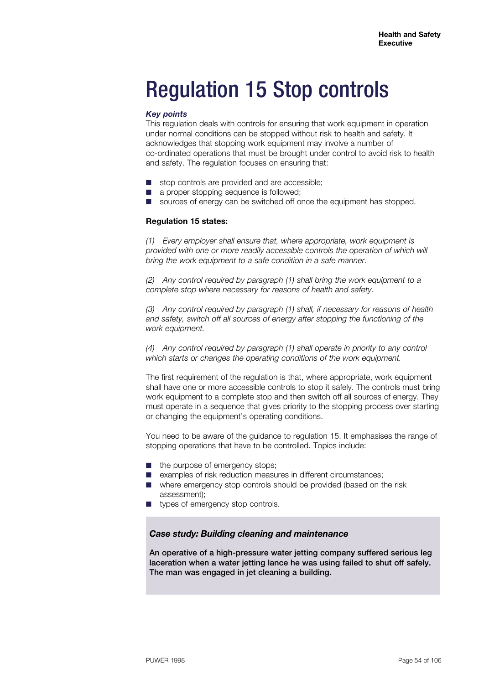# Regulation 15 Stop controls

#### *Key points*

This regulation deals with controls for ensuring that work equipment in operation under normal conditions can be stopped without risk to health and safety. It acknowledges that stopping work equipment may involve a number of co-ordinated operations that must be brought under control to avoid risk to health and safety. The regulation focuses on ensuring that:

- stop controls are provided and are accessible;
- $\blacksquare$  a proper stopping sequence is followed;
- sources of energy can be switched off once the equipment has stopped.

#### **Regulation 15 states:**

*(1) Every employer shall ensure that, where appropriate, work equipment is provided with one or more readily accessible controls the operation of which will bring the work equipment to a safe condition in a safe manner.*

*(2) Any control required by paragraph (1) shall bring the work equipment to a complete stop where necessary for reasons of health and safety.*

*(3) Any control required by paragraph (1) shall, if necessary for reasons of health and safety, switch off all sources of energy after stopping the functioning of the work equipment.*

*(4) Any control required by paragraph (1) shall operate in priority to any control which starts or changes the operating conditions of the work equipment.*

The first requirement of the regulation is that, where appropriate, work equipment shall have one or more accessible controls to stop it safely. The controls must bring work equipment to a complete stop and then switch off all sources of energy. They must operate in a sequence that gives priority to the stopping process over starting or changing the equipment's operating conditions.

You need to be aware of the guidance to regulation 15. It emphasises the range of stopping operations that have to be controlled. Topics include:

- $\blacksquare$  the purpose of emergency stops:
- $\blacksquare$  examples of risk reduction measures in different circumstances;
- where emergency stop controls should be provided (based on the risk assessment);
- $\blacksquare$  types of emergency stop controls.

#### *Case study: Building cleaning and maintenance*

An operative of a high-pressure water jetting company suffered serious leg laceration when a water jetting lance he was using failed to shut off safely. The man was engaged in jet cleaning a building.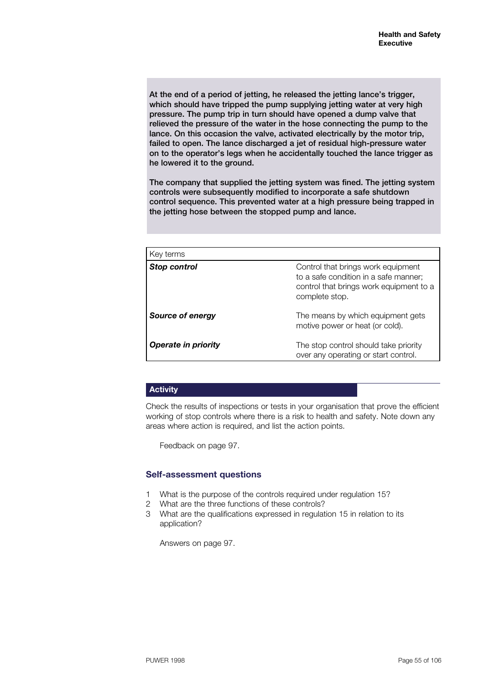At the end of a period of jetting, he released the jetting lance's trigger, which should have tripped the pump supplying jetting water at very high pressure. The pump trip in turn should have opened a dump valve that relieved the pressure of the water in the hose connecting the pump to the lance. On this occasion the valve, activated electrically by the motor trip, failed to open. The lance discharged a jet of residual high-pressure water on to the operator's legs when he accidentally touched the lance trigger as he lowered it to the ground.

The company that supplied the jetting system was fined. The jetting system controls were subsequently modified to incorporate a safe shutdown control sequence. This prevented water at a high pressure being trapped in the jetting hose between the stopped pump and lance.

| Key terms               |                                                                                                                                          |
|-------------------------|------------------------------------------------------------------------------------------------------------------------------------------|
| Stop control            | Control that brings work equipment<br>to a safe condition in a safe manner;<br>control that brings work equipment to a<br>complete stop. |
| <b>Source of energy</b> | The means by which equipment gets<br>motive power or heat (or cold).                                                                     |
| Operate in priority     | The stop control should take priority<br>over any operating or start control.                                                            |

# **Activity**

Check the results of inspections or tests in your organisation that prove the efficient working of stop controls where there is a risk to health and safety. Note down any areas where action is required, and list the action points.

Feedback on page 97.

# **Self-assessment questions**

- 1 What is the purpose of the controls required under regulation 15?
- 2 What are the three functions of these controls?
- 3 What are the qualifications expressed in regulation 15 in relation to its application?

Answers on page 97.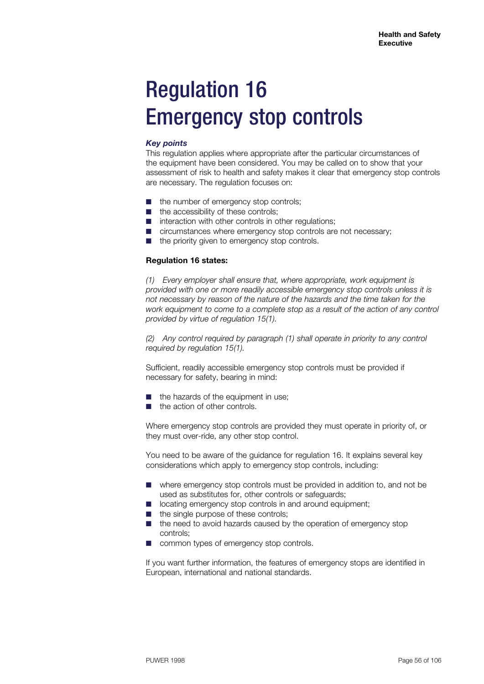# Regulation 16 Emergency stop controls

#### *Key points*

This regulation applies where appropriate after the particular circumstances of the equipment have been considered. You may be called on to show that your assessment of risk to health and safety makes it clear that emergency stop controls are necessary. The regulation focuses on:

- $\blacksquare$  the number of emergency stop controls;
- $\blacksquare$  the accessibility of these controls;
- $\blacksquare$  interaction with other controls in other regulations;
- $\blacksquare$  circumstances where emergency stop controls are not necessary;
- $\blacksquare$  the priority given to emergency stop controls.

#### **Regulation 16 states:**

*(1) Every employer shall ensure that, where appropriate, work equipment is provided with one or more readily accessible emergency stop controls unless it is not necessary by reason of the nature of the hazards and the time taken for the work equipment to come to a complete stop as a result of the action of any control provided by virtue of regulation 15(1).*

*(2)* Any control required by paragraph (1) shall operate in priority to any control *required by regulation 15(1).*

Sufficient, readily accessible emergency stop controls must be provided if necessary for safety, bearing in mind:

- the hazards of the equipment in use:
- the action of other controls.

Where emergency stop controls are provided they must operate in priority of, or they must over-ride, any other stop control.

You need to be aware of the guidance for regulation 16. It explains several key considerations which apply to emergency stop controls, including:

- where emergency stop controls must be provided in addition to, and not be used as substitutes for, other controls or safeguards;
- $\blacksquare$  locating emergency stop controls in and around equipment:
- $\blacksquare$  the single purpose of these controls;
- $\blacksquare$  the need to avoid hazards caused by the operation of emergency stop controls;
- common types of emergency stop controls.

If you want further information, the features of emergency stops are identified in European, international and national standards.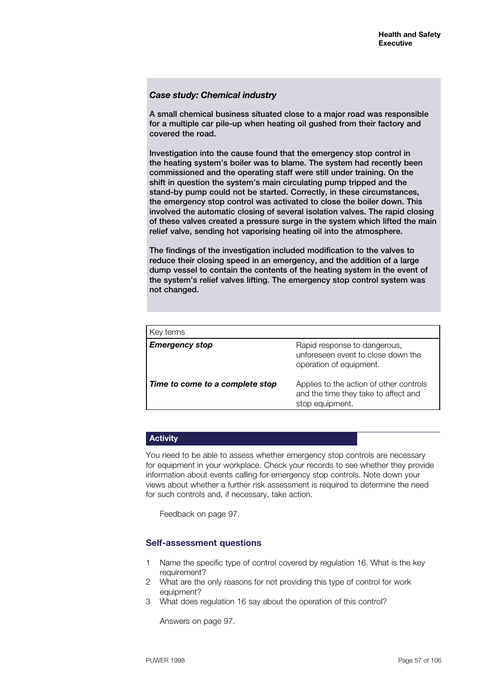# *Case study: Chemical industry*

A small chemical business situated close to a major road was responsible for a multiple car pile-up when heating oil gushed from their factory and covered the road.

Investigation into the cause found that the emergency stop control in the heating system's boiler was to blame. The system had recently been commissioned and the operating staff were still under training. On the shift in question the system's main circulating pump tripped and the stand-by pump could not be started. Correctly, in these circumstances, the emergency stop control was activated to close the boiler down. This involved the automatic closing of several isolation valves. The rapid closing of these valves created a pressure surge in the system which lifted the main relief valve, sending hot vaporising heating oil into the atmosphere.

The findings of the investigation included modification to the valves to reduce their closing speed in an emergency, and the addition of a large dump vessel to contain the contents of the heating system in the event of the system's relief valves lifting. The emergency stop control system was not changed.

| Key terms                       |                                                                                                    |
|---------------------------------|----------------------------------------------------------------------------------------------------|
| <b>Emergency stop</b>           | Rapid response to dangerous,<br>unforeseen event to close down the<br>operation of equipment.      |
| Time to come to a complete stop | Applies to the action of other controls<br>and the time they take to affect and<br>stop equipment. |

# **Activity**

You need to be able to assess whether emergency stop controls are necessary for equipment in your workplace. Check your records to see whether they provide information about events calling for emergency stop controls. Note down your views about whether a further risk assessment is required to determine the need for such controls and, if necessary, take action.

Feedback on page 97.

#### **Self-assessment questions**

- 1 Name the specific type of control covered by regulation 16. What is the key requirement?
- 2 What are the only reasons for not providing this type of control for work equipment?
- 3 What does regulation 16 say about the operation of this control?

Answers on page 97.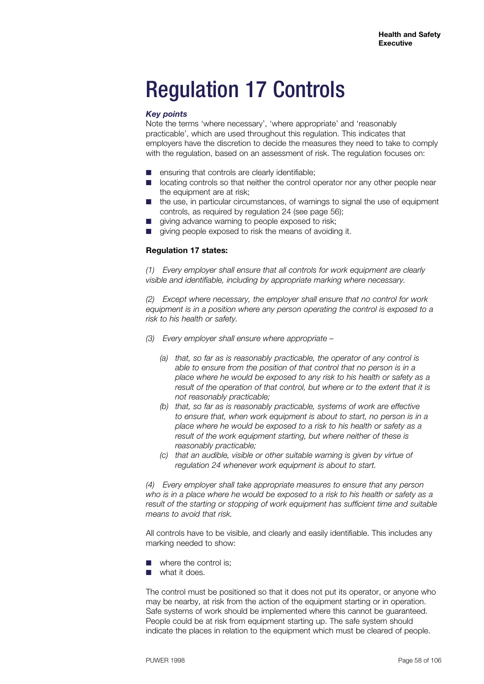# Regulation 17 Controls

#### *Key points*

Note the terms 'where necessary', 'where appropriate' and 'reasonably practicable', which are used throughout this regulation. This indicates that employers have the discretion to decide the measures they need to take to comply with the regulation, based on an assessment of risk. The regulation focuses on:

- ensuring that controls are clearly identifiable;
- locating controls so that neither the control operator nor any other people near the equipment are at risk;
- the use, in particular circumstances, of warnings to signal the use of equipment controls, as required by regulation 24 (see page 56);
- qiving advance warning to people exposed to risk;
- giving people exposed to risk the means of avoiding it.

# **Regulation 17 states:**

*(1) Every employer shall ensure that all controls for work equipment are clearly visible and identifiable, including by appropriate marking where necessary.*

*(2) Except where necessary, the employer shall ensure that no control for work equipment is in a position where any person operating the control is exposed to a risk to his health or safety.*

- *(3) Every employer shall ensure where appropriate –*
	- *(a) that, so far as is reasonably practicable, the operator of any control is able to ensure from the position of that control that no person is in a place where he would be exposed to any risk to his health or safety as a result of the operation of that control, but where or to the extent that it is not reasonably practicable;*
	- *(b) that, so far as is reasonably practicable, systems of work are effective to ensure that, when work equipment is about to start, no person is in a place where he would be exposed to a risk to his health or safety as a result of the work equipment starting, but where neither of these is reasonably practicable;*
	- *(c) that an audible, visible or other suitable warning is given by virtue of regulation 24 whenever work equipment is about to start.*

*(4) Every employer shall take appropriate measures to ensure that any person who is in a place where he would be exposed to a risk to his health or safety as a result of the starting or stopping of work equipment has sufficient time and suitable means to avoid that risk.*

All controls have to be visible, and clearly and easily identifiable. This includes any marking needed to show:

- where the control is:
- what it does.

The control must be positioned so that it does not put its operator, or anyone who may be nearby, at risk from the action of the equipment starting or in operation. Safe systems of work should be implemented where this cannot be guaranteed. People could be at risk from equipment starting up. The safe system should indicate the places in relation to the equipment which must be cleared of people.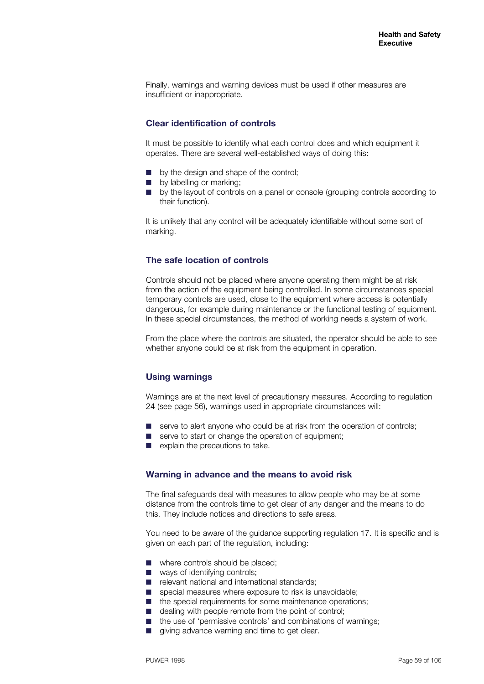Finally, warnings and warning devices must be used if other measures are insufficient or inappropriate.

# **Clear identification of controls**

It must be possible to identify what each control does and which equipment it operates. There are several well-established ways of doing this:

- $\blacksquare$  by the design and shape of the control;
- $\blacksquare$  by labelling or marking;
- $\Box$  by the layout of controls on a panel or console (grouping controls according to their function).

It is unlikely that any control will be adequately identifiable without some sort of marking.

# **The safe location of controls**

Controls should not be placed where anyone operating them might be at risk from the action of the equipment being controlled. In some circumstances special temporary controls are used, close to the equipment where access is potentially dangerous, for example during maintenance or the functional testing of equipment. In these special circumstances, the method of working needs a system of work.

From the place where the controls are situated, the operator should be able to see whether anyone could be at risk from the equipment in operation.

# **Using warnings**

Warnings are at the next level of precautionary measures. According to regulation 24 (see page 56), warnings used in appropriate circumstances will:

- $\blacksquare$  serve to alert anyone who could be at risk from the operation of controls;
- $\blacksquare$  serve to start or change the operation of equipment;
- $\blacksquare$  explain the precautions to take.

#### **Warning in advance and the means to avoid risk**

The final safeguards deal with measures to allow people who may be at some distance from the controls time to get clear of any danger and the means to do this. They include notices and directions to safe areas.

You need to be aware of the guidance supporting regulation 17. It is specific and is given on each part of the regulation, including:

- $\blacksquare$  where controls should be placed;
- $\blacksquare$  ways of identifying controls:
- $\blacksquare$  relevant national and international standards;
- $\blacksquare$  special measures where exposure to risk is unavoidable;
- $\blacksquare$  the special requirements for some maintenance operations;
- $\blacksquare$  dealing with people remote from the point of control:
- $\blacksquare$  the use of 'permissive controls' and combinations of warnings;
- $\Box$  giving advance warning and time to get clear.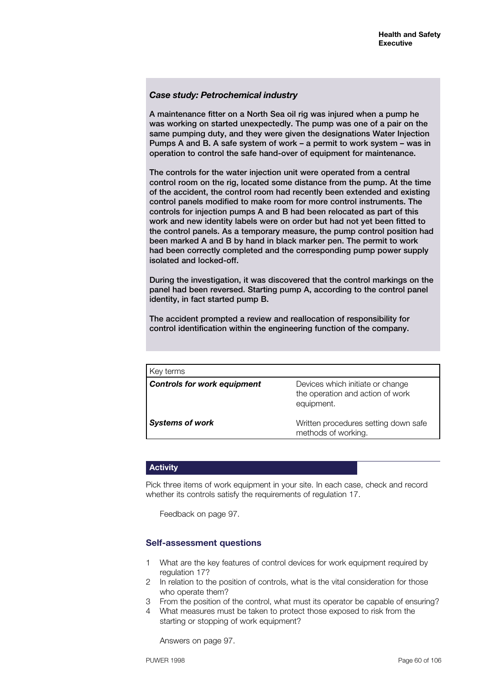# *Case study: Petrochemical industry*

A maintenance fitter on a North Sea oil rig was injured when a pump he was working on started unexpectedly. The pump was one of a pair on the same pumping duty, and they were given the designations Water Injection Pumps A and B. A safe system of work – a permit to work system – was in operation to control the safe hand-over of equipment for maintenance.

The controls for the water injection unit were operated from a central control room on the rig, located some distance from the pump. At the time of the accident, the control room had recently been extended and existing control panels modified to make room for more control instruments. The controls for injection pumps A and B had been relocated as part of this work and new identity labels were on order but had not yet been fitted to the control panels. As a temporary measure, the pump control position had been marked A and B by hand in black marker pen. The permit to work had been correctly completed and the corresponding pump power supply isolated and locked-off.

During the investigation, it was discovered that the control markings on the panel had been reversed. Starting pump A, according to the control panel identity, in fact started pump B.

The accident prompted a review and reallocation of responsibility for control identification within the engineering function of the company.

| Key terms                          |                                                                                    |
|------------------------------------|------------------------------------------------------------------------------------|
| <b>Controls for work equipment</b> | Devices which initiate or change<br>the operation and action of work<br>equipment. |
| <b>Systems of work</b>             | Written procedures setting down safe<br>methods of working.                        |

#### **Activity**

Pick three items of work equipment in your site. In each case, check and record whether its controls satisfy the requirements of requiation 17.

Feedback on page 97.

#### **Self-assessment questions**

- 1 What are the key features of control devices for work equipment required by regulation 17?
- 2 In relation to the position of controls, what is the vital consideration for those who operate them?
- 3 From the position of the control, what must its operator be capable of ensuring?
- 4 What measures must be taken to protect those exposed to risk from the starting or stopping of work equipment?

Answers on page 97.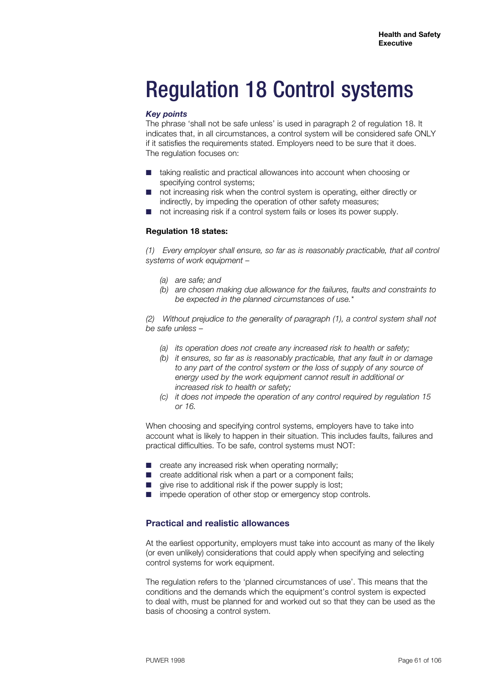# Regulation 18 Control systems

#### *Key points*

The phrase 'shall not be safe unless' is used in paragraph 2 of regulation 18. It indicates that, in all circumstances, a control system will be considered safe ONLY if it satisfies the requirements stated. Employers need to be sure that it does. The regulation focuses on:

- taking realistic and practical allowances into account when choosing or specifying control systems;
- not increasing risk when the control system is operating, either directly or indirectly, by impeding the operation of other safety measures;
- not increasing risk if a control system fails or loses its power supply.

#### **Regulation 18 states:**

*(1) Every employer shall ensure, so far as is reasonably practicable, that all control systems of work equipment –*

- *(a) are safe; and*
- *(b) are chosen making due allowance for the failures, faults and constraints to be expected in the planned circumstances of use.\**

*(2) Without prejudice to the generality of paragraph (1), a control system shall not be safe unless –*

- *(a) its operation does not create any increased risk to health or safety;*
- *(b) it ensures, so far as is reasonably practicable, that any fault in or damage to any part of the control system or the loss of supply of any source of energy used by the work equipment cannot result in additional or increased risk to health or safety;*
- *(c) it does not impede the operation of any control required by regulation 15 or 16.*

When choosing and specifying control systems, employers have to take into account what is likely to happen in their situation. This includes faults, failures and practical difficulties. To be safe, control systems must NOT:

- create any increased risk when operating normally;
- $\blacksquare$  create additional risk when a part or a component fails;
- give rise to additional risk if the power supply is lost;
- impede operation of other stop or emergency stop controls.

# **Practical and realistic allowances**

At the earliest opportunity, employers must take into account as many of the likely (or even unlikely) considerations that could apply when specifying and selecting control systems for work equipment.

The regulation refers to the 'planned circumstances of use'. This means that the conditions and the demands which the equipment's control system is expected to deal with, must be planned for and worked out so that they can be used as the basis of choosing a control system.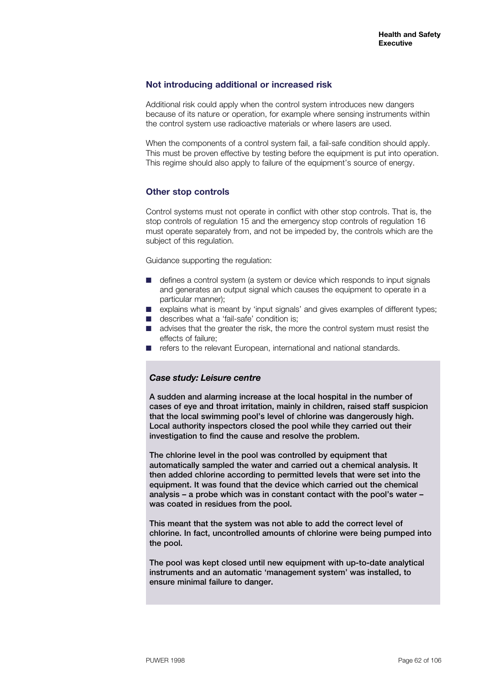# **Not introducing additional or increased risk**

Additional risk could apply when the control system introduces new dangers because of its nature or operation, for example where sensing instruments within the control system use radioactive materials or where lasers are used.

When the components of a control system fail, a fail-safe condition should apply. This must be proven effective by testing before the equipment is put into operation. This regime should also apply to failure of the equipment's source of energy.

### **Other stop controls**

Control systems must not operate in conflict with other stop controls. That is, the stop controls of regulation 15 and the emergency stop controls of regulation 16 must operate separately from, and not be impeded by, the controls which are the subject of this regulation.

Guidance supporting the regulation:

- $\blacksquare$  defines a control system (a system or device which responds to input signals and generates an output signal which causes the equipment to operate in a particular manner);
- $\blacksquare$  explains what is meant by 'input signals' and gives examples of different types;
- $\blacksquare$  describes what a 'fail-safe' condition is;
- $\Box$  advises that the greater the risk, the more the control system must resist the effects of failure;
- refers to the relevant European, international and national standards.

#### *Case study: Leisure centre*

A sudden and alarming increase at the local hospital in the number of cases of eye and throat irritation, mainly in children, raised staff suspicion that the local swimming pool's level of chlorine was dangerously high. Local authority inspectors closed the pool while they carried out their investigation to find the cause and resolve the problem.

The chlorine level in the pool was controlled by equipment that automatically sampled the water and carried out a chemical analysis. It then added chlorine according to permitted levels that were set into the equipment. It was found that the device which carried out the chemical analysis – a probe which was in constant contact with the pool's water – was coated in residues from the pool.

This meant that the system was not able to add the correct level of chlorine. In fact, uncontrolled amounts of chlorine were being pumped into the pool.

The pool was kept closed until new equipment with up-to-date analytical instruments and an automatic 'management system' was installed, to ensure minimal failure to danger.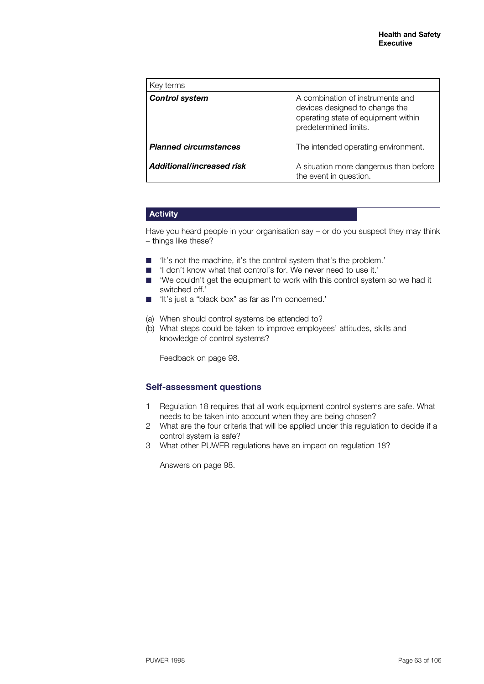| Key terms                    |                                                                                                                                    |
|------------------------------|------------------------------------------------------------------------------------------------------------------------------------|
| <b>Control system</b>        | A combination of instruments and<br>devices designed to change the<br>operating state of equipment within<br>predetermined limits. |
| <b>Planned circumstances</b> | The intended operating environment.                                                                                                |
| Additional/increased risk    | A situation more dangerous than before<br>the event in question.                                                                   |

# **Activity**

Have you heard people in your organisation say - or do you suspect they may think – things like these?

- 'It's not the machine, it's the control system that's the problem.'
- 'I don't know what that control's for. We never need to use it.'
- 'We couldn't get the equipment to work with this control system so we had it switched off.'
- 'It's just a "black box" as far as I'm concerned.'
- (a) When should control systems be attended to?
- (b) What steps could be taken to improve employees' attitudes, skills and knowledge of control systems?

Feedback on page 98.

# **Self-assessment questions**

- 1 Regulation 18 requires that all work equipment control systems are safe. What needs to be taken into account when they are being chosen?
- 2 What are the four criteria that will be applied under this regulation to decide if a control system is safe?
- 3 What other PUWER regulations have an impact on regulation 18?

Answers on page 98.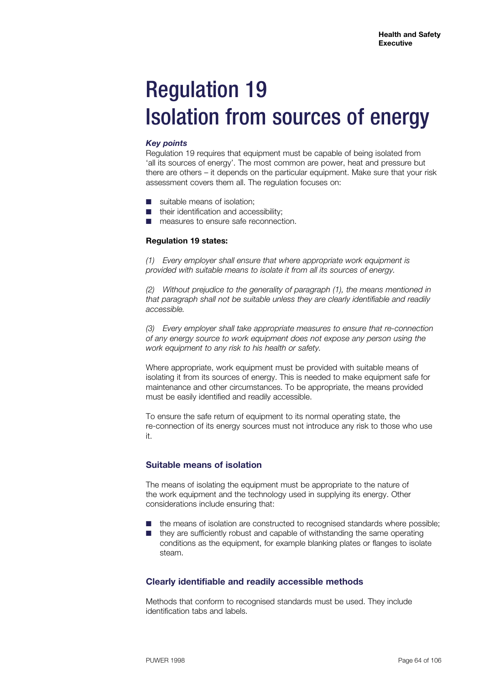# Regulation 19 Isolation from sources of energy

#### *Key points*

Regulation 19 requires that equipment must be capable of being isolated from 'all its sources of energy'. The most common are power, heat and pressure but there are others – it depends on the particular equipment. Make sure that your risk assessment covers them all. The regulation focuses on:

- $\blacksquare$  suitable means of isolation;
- their identification and accessibility;
- measures to ensure safe reconnection.

#### **Regulation 19 states:**

*(1) Every employer shall ensure that where appropriate work equipment is provided with suitable means to isolate it from all its sources of energy.*

*(2) Without prejudice to the generality of paragraph (1), the means mentioned in that paragraph shall not be suitable unless they are clearly identifiable and readily accessible.*

*(3) Every employer shall take appropriate measures to ensure that re-connection of any energy source to work equipment does not expose any person using the work equipment to any risk to his health or safety.*

Where appropriate, work equipment must be provided with suitable means of isolating it from its sources of energy. This is needed to make equipment safe for maintenance and other circumstances. To be appropriate, the means provided must be easily identified and readily accessible.

To ensure the safe return of equipment to its normal operating state, the re-connection of its energy sources must not introduce any risk to those who use it.

# **Suitable means of isolation**

The means of isolating the equipment must be appropriate to the nature of the work equipment and the technology used in supplying its energy. Other considerations include ensuring that:

- the means of isolation are constructed to recognised standards where possible;
- they are sufficiently robust and capable of withstanding the same operating conditions as the equipment, for example blanking plates or flanges to isolate steam.

# **Clearly identifiable and readily accessible methods**

Methods that conform to recognised standards must be used. They include identification tabs and labels.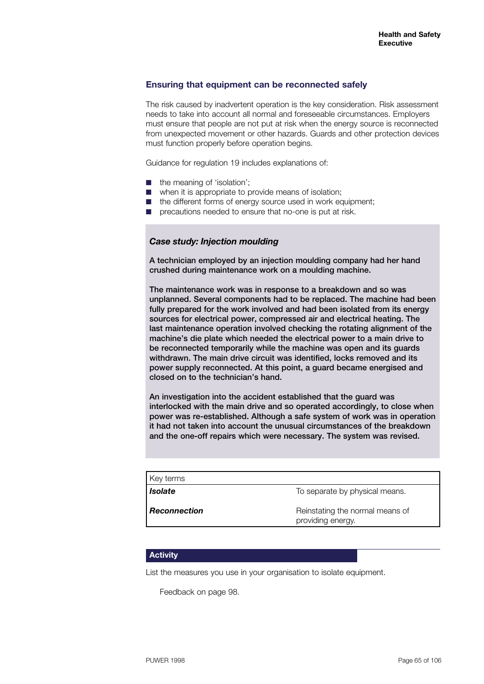### **Ensuring that equipment can be reconnected safely**

The risk caused by inadvertent operation is the key consideration. Risk assessment needs to take into account all normal and foreseeable circumstances. Employers must ensure that people are not put at risk when the energy source is reconnected from unexpected movement or other hazards. Guards and other protection devices must function properly before operation begins.

Guidance for regulation 19 includes explanations of:

- the meaning of 'isolation';
- $\blacksquare$  when it is appropriate to provide means of isolation;
- $\blacksquare$  the different forms of energy source used in work equipment;
- precautions needed to ensure that no-one is put at risk.

#### *Case study: Injection moulding*

A technician employed by an injection moulding company had her hand crushed during maintenance work on a moulding machine.

The maintenance work was in response to a breakdown and so was unplanned. Several components had to be replaced. The machine had been fully prepared for the work involved and had been isolated from its energy sources for electrical power, compressed air and electrical heating. The last maintenance operation involved checking the rotating alignment of the machine's die plate which needed the electrical power to a main drive to be reconnected temporarily while the machine was open and its guards withdrawn. The main drive circuit was identified, locks removed and its power supply reconnected. At this point, a guard became energised and closed on to the technician's hand.

An investigation into the accident established that the guard was interlocked with the main drive and so operated accordingly, to close when power was re-established. Although a safe system of work was in operation it had not taken into account the unusual circumstances of the breakdown and the one-off repairs which were necessary. The system was revised.

| Key terms             |                                                      |
|-----------------------|------------------------------------------------------|
| <i><b>Isolate</b></i> | To separate by physical means.                       |
| <b>Reconnection</b>   | Reinstating the normal means of<br>providing energy. |

### **Activity**

List the measures you use in your organisation to isolate equipment.

Feedback on page 98.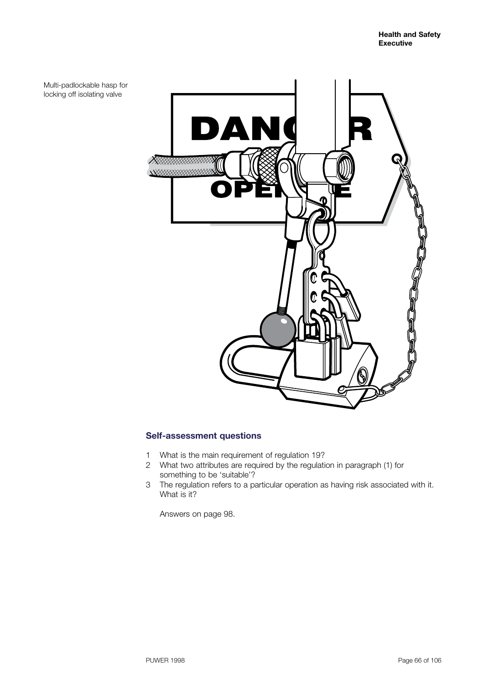Multi-padlockable hasp for locking off isolating valve



# **Self-assessment questions**

- 1 What is the main requirement of regulation 19?
- 2 What two attributes are required by the regulation in paragraph (1) for something to be 'suitable'?
- 3 The regulation refers to a particular operation as having risk associated with it. What is it?

Answers on page 98.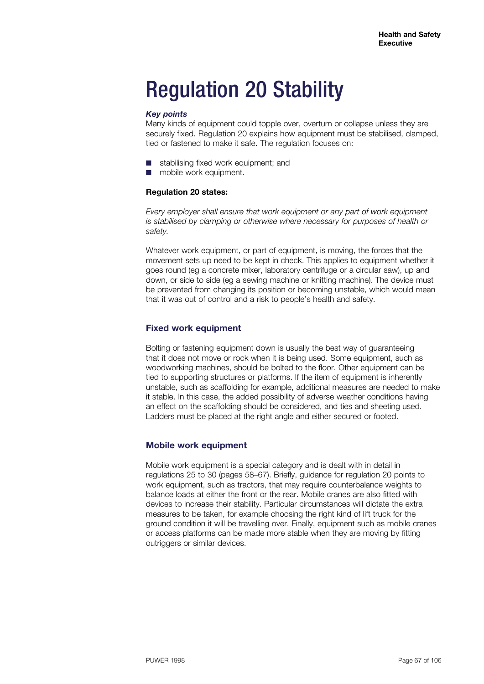# Regulation 20 Stability

#### *Key points*

Many kinds of equipment could topple over, overturn or collapse unless they are securely fixed. Regulation 20 explains how equipment must be stabilised, clamped, tied or fastened to make it safe. The regulation focuses on:

- stabilising fixed work equipment; and
- $\blacksquare$  mobile work equipment.

#### **Regulation 20 states:**

*Every employer shall ensure that work equipment or any part of work equipment is stabilised by clamping or otherwise where necessary for purposes of health or safety.*

Whatever work equipment, or part of equipment, is moving, the forces that the movement sets up need to be kept in check. This applies to equipment whether it goes round (eg a concrete mixer, laboratory centrifuge or a circular saw), up and down, or side to side (eg a sewing machine or knitting machine). The device must be prevented from changing its position or becoming unstable, which would mean that it was out of control and a risk to people's health and safety.

#### **Fixed work equipment**

Bolting or fastening equipment down is usually the best way of guaranteeing that it does not move or rock when it is being used. Some equipment, such as woodworking machines, should be bolted to the floor. Other equipment can be tied to supporting structures or platforms. If the item of equipment is inherently unstable, such as scaffolding for example, additional measures are needed to make it stable. In this case, the added possibility of adverse weather conditions having an effect on the scaffolding should be considered, and ties and sheeting used. Ladders must be placed at the right angle and either secured or footed.

#### **Mobile work equipment**

Mobile work equipment is a special category and is dealt with in detail in regulations 25 to 30 (pages 58–67). Briefly, guidance for regulation 20 points to work equipment, such as tractors, that may require counterbalance weights to balance loads at either the front or the rear. Mobile cranes are also fitted with devices to increase their stability. Particular circumstances will dictate the extra measures to be taken, for example choosing the right kind of lift truck for the ground condition it will be travelling over. Finally, equipment such as mobile cranes or access platforms can be made more stable when they are moving by fitting outriggers or similar devices.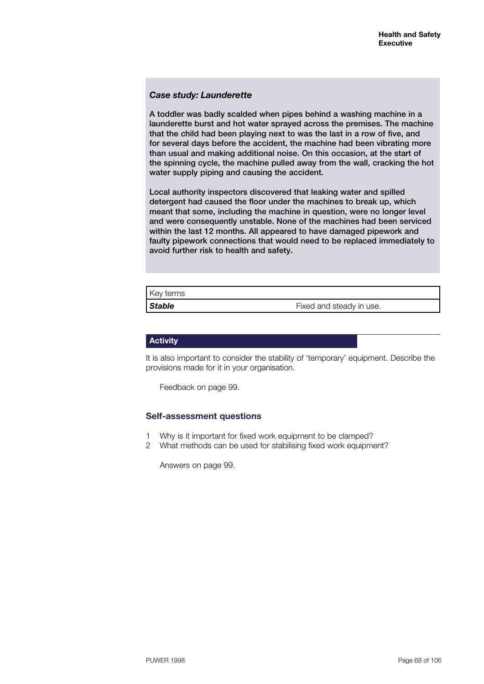#### *Case study: Launderette*

A toddler was badly scalded when pipes behind a washing machine in a launderette burst and hot water sprayed across the premises. The machine that the child had been playing next to was the last in a row of five, and for several days before the accident, the machine had been vibrating more than usual and making additional noise. On this occasion, at the start of the spinning cycle, the machine pulled away from the wall, cracking the hot water supply piping and causing the accident.

Local authority inspectors discovered that leaking water and spilled detergent had caused the floor under the machines to break up, which meant that some, including the machine in question, were no longer level and were consequently unstable. None of the machines had been serviced within the last 12 months. All appeared to have damaged pipework and faulty pipework connections that would need to be replaced immediately to avoid further risk to health and safety.

# Key terms **Stable Stable Fixed and steady in use.**

### **Activity**

It is also important to consider the stability of 'temporary' equipment. Describe the provisions made for it in your organisation.

Feedback on page 99.

# **Self-assessment questions**

- 1 Why is it important for fixed work equipment to be clamped?
- 2 What methods can be used for stabilising fixed work equipment?

Answers on page 99.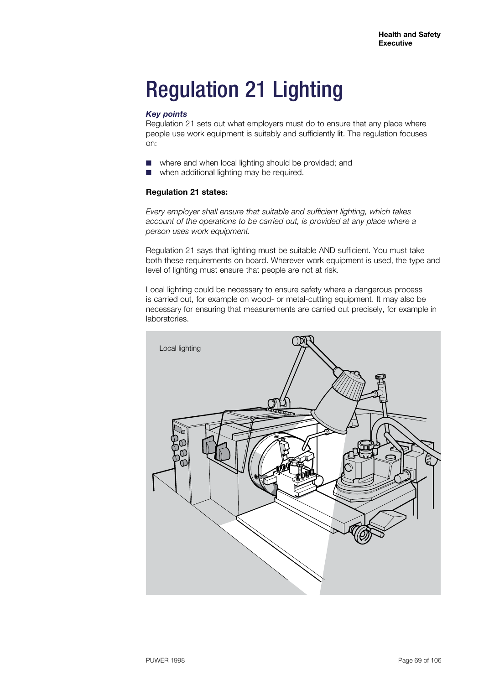# Regulation 21 Lighting

#### *Key points*

Regulation 21 sets out what employers must do to ensure that any place where people use work equipment is suitably and sufficiently lit. The regulation focuses on:

- $\blacksquare$  where and when local lighting should be provided; and
- when additional lighting may be required.

### **Regulation 21 states:**

*Every employer shall ensure that suitable and sufficient lighting, which takes account of the operations to be carried out, is provided at any place where a person uses work equipment.*

Regulation 21 says that lighting must be suitable AND sufficient. You must take both these requirements on board. Wherever work equipment is used, the type and level of lighting must ensure that people are not at risk.

Local lighting could be necessary to ensure safety where a dangerous process is carried out, for example on wood- or metal-cutting equipment. It may also be necessary for ensuring that measurements are carried out precisely, for example in laboratories.

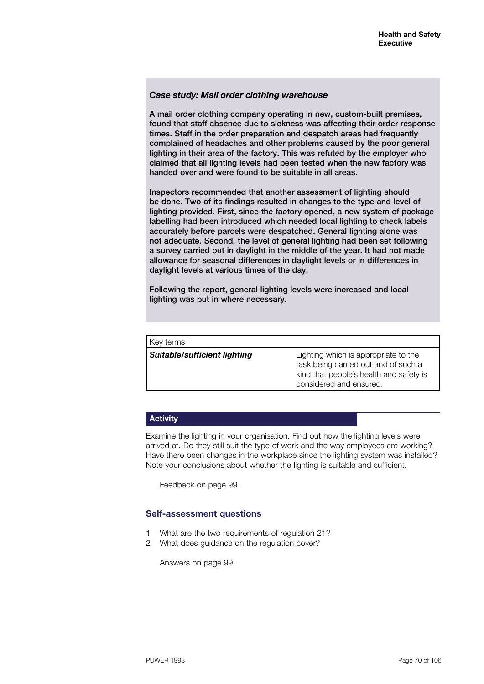#### *Case study: Mail order clothing warehouse*

A mail order clothing company operating in new, custom-built premises, found that staff absence due to sickness was affecting their order response times. Staff in the order preparation and despatch areas had frequently complained of headaches and other problems caused by the poor general lighting in their area of the factory. This was refuted by the employer who claimed that all lighting levels had been tested when the new factory was handed over and were found to be suitable in all areas.

Inspectors recommended that another assessment of lighting should be done. Two of its findings resulted in changes to the type and level of lighting provided. First, since the factory opened, a new system of package labelling had been introduced which needed local lighting to check labels accurately before parcels were despatched. General lighting alone was not adequate. Second, the level of general lighting had been set following a survey carried out in daylight in the middle of the year. It had not made allowance for seasonal differences in daylight levels or in differences in daylight levels at various times of the day.

Following the report, general lighting levels were increased and local lighting was put in where necessary.

Key terms

**Suitable/sufficient lighting** Lighting which is appropriate to the task being carried out and of such a kind that people's health and safety is considered and ensured.

#### **Activity**

Examine the lighting in your organisation. Find out how the lighting levels were arrived at. Do they still suit the type of work and the way employees are working? Have there been changes in the workplace since the lighting system was installed? Note your conclusions about whether the lighting is suitable and sufficient.

Feedback on page 99.

#### **Self-assessment questions**

- What are the two requirements of requiation 21?
- 2 What does guidance on the regulation cover?

Answers on page 99.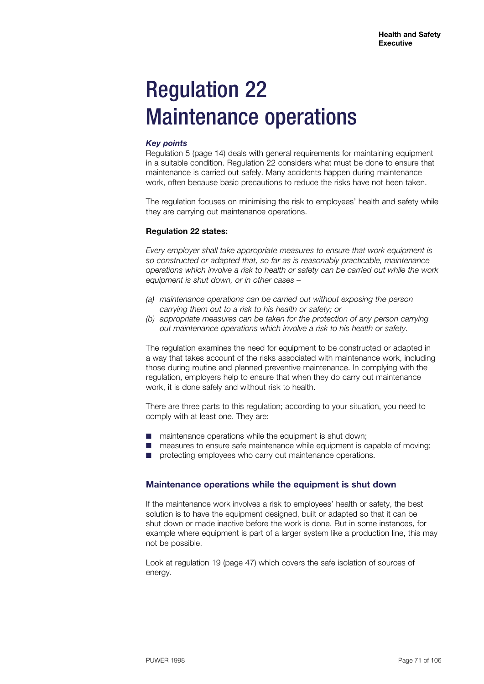# Regulation 22 Maintenance operations

#### *Key points*

Regulation 5 (page 14) deals with general requirements for maintaining equipment in a suitable condition. Regulation 22 considers what must be done to ensure that maintenance is carried out safely. Many accidents happen during maintenance work, often because basic precautions to reduce the risks have not been taken.

The regulation focuses on minimising the risk to employees' health and safety while they are carrying out maintenance operations.

#### **Regulation 22 states:**

*Every employer shall take appropriate measures to ensure that work equipment is so constructed or adapted that, so far as is reasonably practicable, maintenance operations which involve a risk to health or safety can be carried out while the work equipment is shut down, or in other cases –*

- *(a) maintenance operations can be carried out without exposing the person carrying them out to a risk to his health or safety; or*
- *(b) appropriate measures can be taken for the protection of any person carrying out maintenance operations which involve a risk to his health or safety.*

The regulation examines the need for equipment to be constructed or adapted in a way that takes account of the risks associated with maintenance work, including those during routine and planned preventive maintenance. In complying with the regulation, employers help to ensure that when they do carry out maintenance work, it is done safely and without risk to health.

There are three parts to this regulation; according to your situation, you need to comply with at least one. They are:

- $\blacksquare$  maintenance operations while the equipment is shut down;
- $\blacksquare$  measures to ensure safe maintenance while equipment is capable of moving;
- protecting employees who carry out maintenance operations.

# **Maintenance operations while the equipment is shut down**

If the maintenance work involves a risk to employees' health or safety, the best solution is to have the equipment designed, built or adapted so that it can be shut down or made inactive before the work is done. But in some instances, for example where equipment is part of a larger system like a production line, this may not be possible.

Look at regulation 19 (page 47) which covers the safe isolation of sources of energy.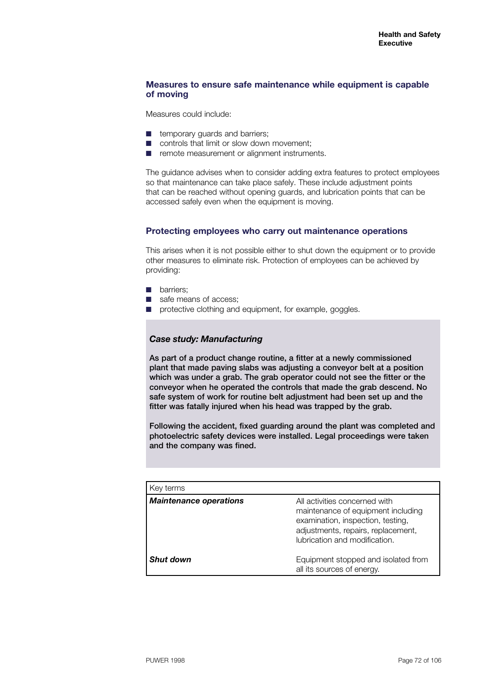# **Measures to ensure safe maintenance while equipment is capable of moving**

Measures could include:

- $\blacksquare$  temporary guards and barriers;
- $\Box$  controls that limit or slow down movement;
- $\blacksquare$  remote measurement or alignment instruments.

The guidance advises when to consider adding extra features to protect employees so that maintenance can take place safely. These include adjustment points that can be reached without opening guards, and lubrication points that can be accessed safely even when the equipment is moving.

# **Protecting employees who carry out maintenance operations**

This arises when it is not possible either to shut down the equipment or to provide other measures to eliminate risk. Protection of employees can be achieved by providing:

- $\blacksquare$  barriers:
- safe means of access;
- protective clothing and equipment, for example, goggles.

#### *Case study: Manufacturing*

As part of a product change routine, a fitter at a newly commissioned plant that made paving slabs was adjusting a conveyor belt at a position which was under a grab. The grab operator could not see the fitter or the conveyor when he operated the controls that made the grab descend. No safe system of work for routine belt adjustment had been set up and the fitter was fatally injured when his head was trapped by the grab.

Following the accident, fixed guarding around the plant was completed and photoelectric safety devices were installed. Legal proceedings were taken and the company was fined.

| Key terms                     |                                                                                                                                                                                 |
|-------------------------------|---------------------------------------------------------------------------------------------------------------------------------------------------------------------------------|
| <b>Maintenance operations</b> | All activities concerned with<br>maintenance of equipment including<br>examination, inspection, testing,<br>adjustments, repairs, replacement,<br>lubrication and modification. |
| <b>Shut down</b>              | Equipment stopped and isolated from<br>all its sources of energy.                                                                                                               |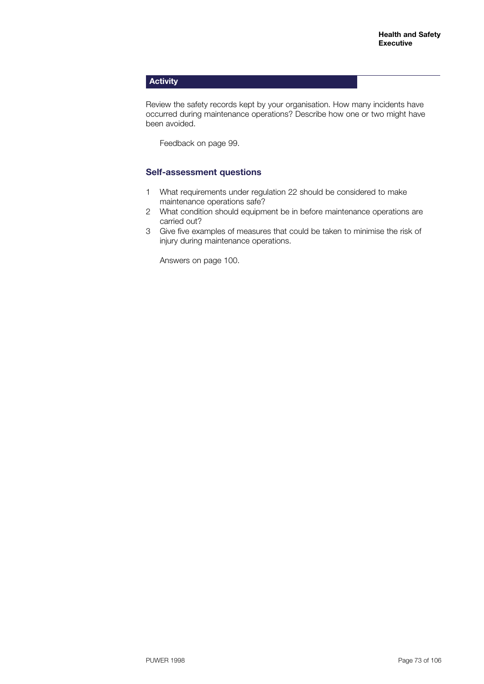#### **Activity**

Review the safety records kept by your organisation. How many incidents have occurred during maintenance operations? Describe how one or two might have been avoided.

Feedback on page 99.

#### **Self-assessment questions**

- 1 What requirements under regulation 22 should be considered to make maintenance operations safe?
- 2 What condition should equipment be in before maintenance operations are carried out?
- 3 Give five examples of measures that could be taken to minimise the risk of injury during maintenance operations.

Answers on page 100.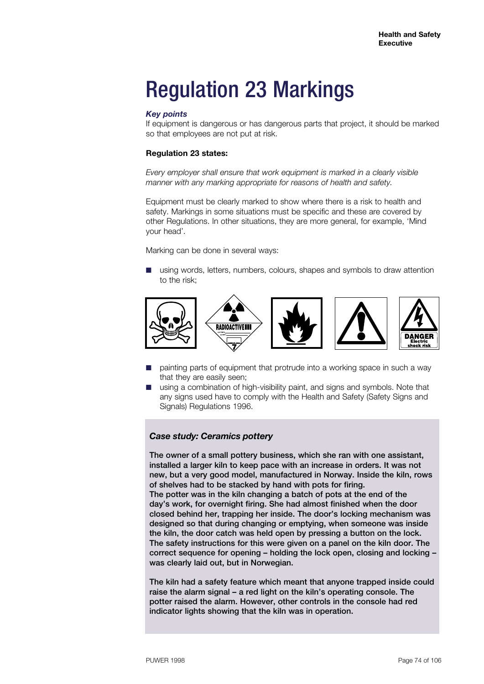# Regulation 23 Markings

#### *Key points*

If equipment is dangerous or has dangerous parts that project, it should be marked so that employees are not put at risk.

#### **Regulation 23 states:**

*Every employer shall ensure that work equipment is marked in a clearly visible manner with any marking appropriate for reasons of health and safety.*

Equipment must be clearly marked to show where there is a risk to health and safety. Markings in some situations must be specific and these are covered by other Regulations. In other situations, they are more general, for example, 'Mind your head'.

Marking can be done in several ways:

using words, letters, numbers, colours, shapes and symbols to draw attention to the risk;



- painting parts of equipment that protrude into a working space in such a way that they are easily seen;
- using a combination of high-visibility paint, and signs and symbols. Note that any signs used have to comply with the Health and Safety (Safety Signs and Signals) Regulations 1996.

#### *Case study: Ceramics pottery*

The owner of a small pottery business, which she ran with one assistant, installed a larger kiln to keep pace with an increase in orders. It was not new, but a very good model, manufactured in Norway. Inside the kiln, rows of shelves had to be stacked by hand with pots for firing. The potter was in the kiln changing a batch of pots at the end of the day's work, for overnight firing. She had almost finished when the door closed behind her, trapping her inside. The door's locking mechanism was designed so that during changing or emptying, when someone was inside the kiln, the door catch was held open by pressing a button on the lock. The safety instructions for this were given on a panel on the kiln door. The correct sequence for opening – holding the lock open, closing and locking – was clearly laid out, but in Norwegian.

The kiln had a safety feature which meant that anyone trapped inside could raise the alarm signal – a red light on the kiln's operating console. The potter raised the alarm. However, other controls in the console had red indicator lights showing that the kiln was in operation.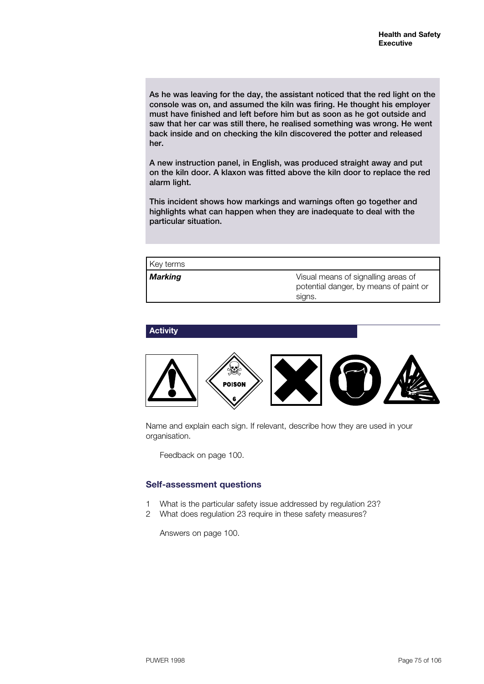As he was leaving for the day, the assistant noticed that the red light on the console was on, and assumed the kiln was firing. He thought his employer must have finished and left before him but as soon as he got outside and saw that her car was still there, he realised something was wrong. He went back inside and on checking the kiln discovered the potter and released her.

A new instruction panel, in English, was produced straight away and put on the kiln door. A klaxon was fitted above the kiln door to replace the red alarm light.

This incident shows how markings and warnings often go together and highlights what can happen when they are inadequate to deal with the particular situation.

Key terms

**Marking Marking Marking Marking Marking Marking Marking Marking Marking Marking Marking Marking Marking Marking Marking Marking Marking Marking Marking Marking Marking Marking M** potential danger, by means of paint or signs.

#### **Activity**



Name and explain each sign. If relevant, describe how they are used in your organisation.

Feedback on page 100.

#### **Self-assessment questions**

- 1 What is the particular safety issue addressed by regulation 23?
- 2 What does regulation 23 require in these safety measures?

Answers on page 100.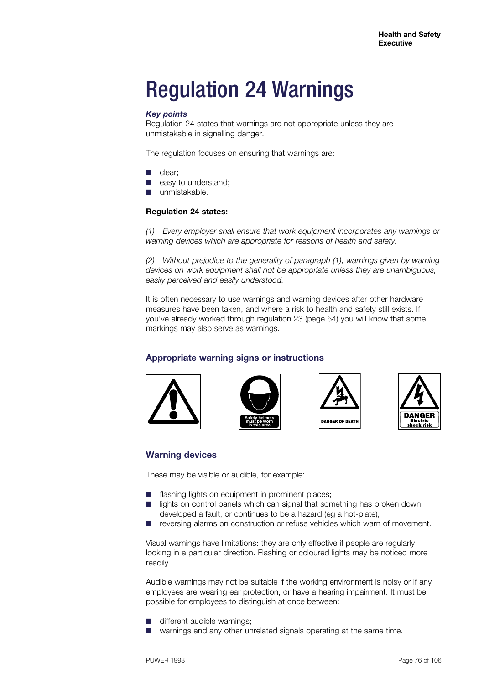# Regulation 24 Warnings

#### *Key points*

Regulation 24 states that warnings are not appropriate unless they are unmistakable in signalling danger.

The regulation focuses on ensuring that warnings are:

- laclear;
- easy to understand;
- unmistakable.

#### **Regulation 24 states:**

*(1) Every employer shall ensure that work equipment incorporates any warnings or warning devices which are appropriate for reasons of health and safety.*

*(2) Without prejudice to the generality of paragraph (1), warnings given by warning devices on work equipment shall not be appropriate unless they are unambiguous, easily perceived and easily understood.*

It is often necessary to use warnings and warning devices after other hardware measures have been taken, and where a risk to health and safety still exists. If you've already worked through regulation 23 (page 54) you will know that some markings may also serve as warnings.

#### **Appropriate warning signs or instructions**



#### **Warning devices**

These may be visible or audible, for example:

- flashing lights on equipment in prominent places;
- lights on control panels which can signal that something has broken down, developed a fault, or continues to be a hazard (eg a hot-plate);
- reversing alarms on construction or refuse vehicles which warn of movement.

Visual warnings have limitations: they are only effective if people are regularly looking in a particular direction. Flashing or coloured lights may be noticed more readily.

Audible warnings may not be suitable if the working environment is noisy or if any employees are wearing ear protection, or have a hearing impairment. It must be possible for employees to distinguish at once between:

- different audible warnings:
- warnings and any other unrelated signals operating at the same time.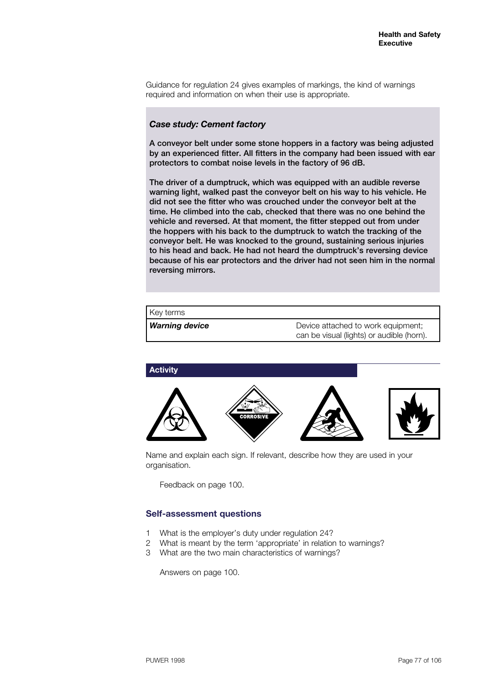Guidance for regulation 24 gives examples of markings, the kind of warnings required and information on when their use is appropriate.

#### *Case study: Cement factory*

A conveyor belt under some stone hoppers in a factory was being adjusted by an experienced fitter. All fitters in the company had been issued with ear protectors to combat noise levels in the factory of 96 dB.

The driver of a dumptruck, which was equipped with an audible reverse warning light, walked past the conveyor belt on his way to his vehicle. He did not see the fitter who was crouched under the conveyor belt at the time. He climbed into the cab, checked that there was no one behind the vehicle and reversed. At that moment, the fitter stepped out from under the hoppers with his back to the dumptruck to watch the tracking of the conveyor belt. He was knocked to the ground, sustaining serious injuries to his head and back. He had not heard the dumptruck's reversing device because of his ear protectors and the driver had not seen him in the normal reversing mirrors.

```
Key terms
Warning device Device attached to work equipment;
                                  can be visual (lights) or audible (horn).
Activity
```
Name and explain each sign. If relevant, describe how they are used in your organisation.

Feedback on page 100.

#### **Self-assessment questions**

- 1 What is the employer's duty under regulation 24?
- 2 What is meant by the term 'appropriate' in relation to warnings?
- 3 What are the two main characteristics of warnings?

Answers on page 100.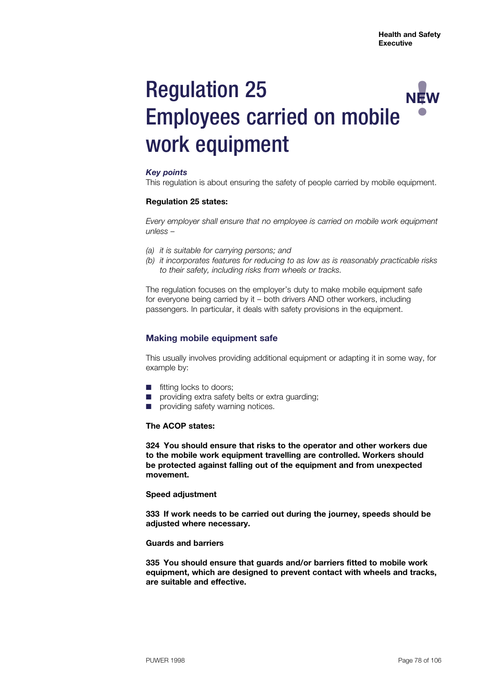## Regulation 25 Employees carried on mobile work equipment **! NEW**

#### *Key points*

This regulation is about ensuring the safety of people carried by mobile equipment.

#### **Regulation 25 states:**

*Every employer shall ensure that no employee is carried on mobile work equipment unless –*

- *(a) it is suitable for carrying persons; and*
- *(b) it incorporates features for reducing to as low as is reasonably practicable risks to their safety, including risks from wheels or tracks.*

The regulation focuses on the employer's duty to make mobile equipment safe for everyone being carried by it – both drivers AND other workers, including passengers. In particular, it deals with safety provisions in the equipment.

#### **Making mobile equipment safe**

This usually involves providing additional equipment or adapting it in some way, for example by:

- **n** fitting locks to doors:
- providing extra safety belts or extra guarding:
- providing safety warning notices.

#### **The ACOP states:**

**324 You should ensure that risks to the operator and other workers due to the mobile work equipment travelling are controlled. Workers should be protected against falling out of the equipment and from unexpected movement.**

#### **Speed adjustment**

**333 If work needs to be carried out during the journey, speeds should be adjusted where necessary.**

#### **Guards and barriers**

**335 You should ensure that guards and/or barriers fitted to mobile work equipment, which are designed to prevent contact with wheels and tracks, are suitable and effective.**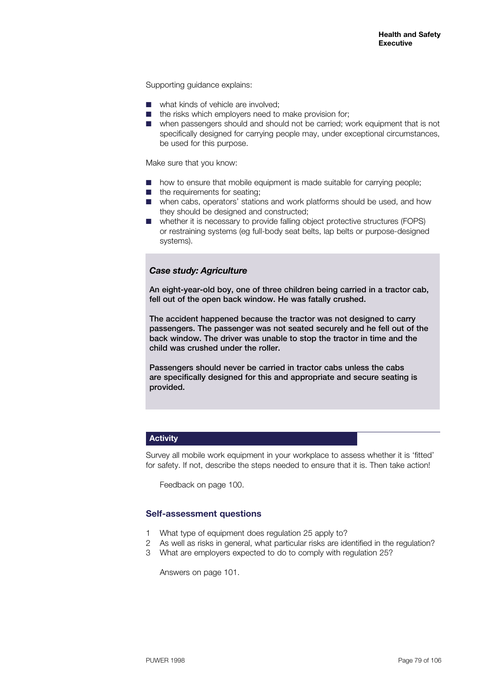Supporting guidance explains:

- $\blacksquare$  what kinds of vehicle are involved;
- $\blacksquare$  the risks which employers need to make provision for;
- now when passengers should and should not be carried; work equipment that is not specifically designed for carrying people may, under exceptional circumstances, be used for this purpose.

Make sure that you know:

- $\blacksquare$  how to ensure that mobile equipment is made suitable for carrying people;
- $\blacksquare$  the requirements for seating;
- $\blacksquare$  when cabs, operators' stations and work platforms should be used, and how they should be designed and constructed;
- whether it is necessary to provide falling object protective structures (FOPS) or restraining systems (eg full-body seat belts, lap belts or purpose-designed systems).

#### *Case study: Agriculture*

An eight-year-old boy, one of three children being carried in a tractor cab, fell out of the open back window. He was fatally crushed.

The accident happened because the tractor was not designed to carry passengers. The passenger was not seated securely and he fell out of the back window. The driver was unable to stop the tractor in time and the child was crushed under the roller.

Passengers should never be carried in tractor cabs unless the cabs are specifically designed for this and appropriate and secure seating is provided.

#### **Activity**

Survey all mobile work equipment in your workplace to assess whether it is 'fitted' for safety. If not, describe the steps needed to ensure that it is. Then take action!

Feedback on page 100.

#### **Self-assessment questions**

- 1 What type of equipment does regulation 25 apply to?
- 2 As well as risks in general, what particular risks are identified in the regulation?
- 3 What are employers expected to do to comply with regulation 25?

Answers on page 101.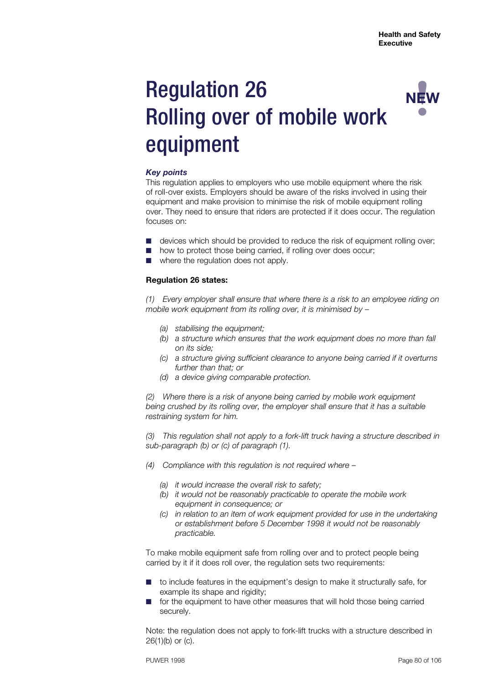## Regulation 26 Rolling over of mobile work equipment **! NEW**

#### *Key points*

This regulation applies to employers who use mobile equipment where the risk of roll-over exists. Employers should be aware of the risks involved in using their equipment and make provision to minimise the risk of mobile equipment rolling over. They need to ensure that riders are protected if it does occur. The regulation focuses on:

- $\blacksquare$  devices which should be provided to reduce the risk of equipment rolling over;
- how to protect those being carried, if rolling over does occur;
- where the regulation does not apply.

#### **Regulation 26 states:**

*(1) Every employer shall ensure that where there is a risk to an employee riding on mobile work equipment from its rolling over, it is minimised by –*

- *(a) stabilising the equipment;*
- *(b) a structure which ensures that the work equipment does no more than fall on its side;*
- *(c) a structure giving sufficient clearance to anyone being carried if it overturns further than that; or*
- *(d) a device giving comparable protection.*

*(2) Where there is a risk of anyone being carried by mobile work equipment being crushed by its rolling over, the employer shall ensure that it has a suitable restraining system for him.*

*(3) This regulation shall not apply to a fork-lift truck having a structure described in sub-paragraph (b) or (c) of paragraph (1).*

- *(4) Compliance with this regulation is not required where –*
	- *(a) it would increase the overall risk to safety;*
	- *(b) it would not be reasonably practicable to operate the mobile work equipment in consequence; or*
	- *(c) in relation to an item of work equipment provided for use in the undertaking or establishment before 5 December 1998 it would not be reasonably practicable.*

To make mobile equipment safe from rolling over and to protect people being carried by it if it does roll over, the regulation sets two requirements:

- to include features in the equipment's design to make it structurally safe, for example its shape and rigidity:
- for the equipment to have other measures that will hold those being carried securely.

Note: the regulation does not apply to fork-lift trucks with a structure described in 26(1)(b) or (c).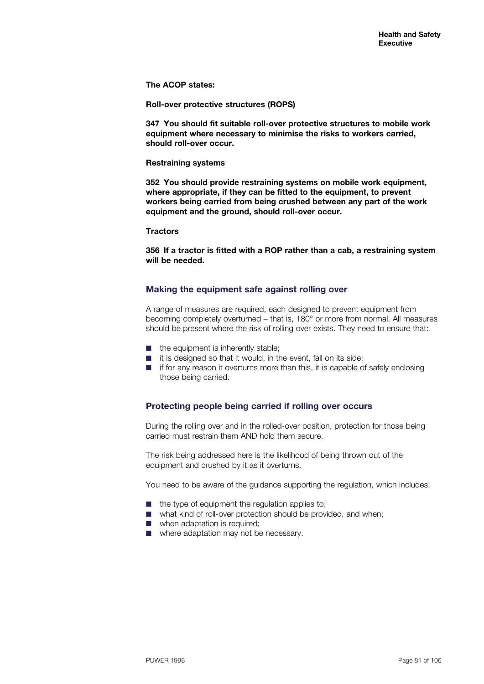#### **The ACOP states:**

**Roll-over protective structures (ROPS)**

**347 You should fit suitable roll-over protective structures to mobile work equipment where necessary to minimise the risks to workers carried, should roll-over occur.**

#### **Restraining systems**

**352 You should provide restraining systems on mobile work equipment, where appropriate, if they can be fitted to the equipment, to prevent workers being carried from being crushed between any part of the work equipment and the ground, should roll-over occur.**

#### **Tractors**

**356 If a tractor is fitted with a ROP rather than a cab, a restraining system will be needed.**

#### **Making the equipment safe against rolling over**

A range of measures are required, each designed to prevent equipment from becoming completely overturned – that is, 180° or more from normal. All measures should be present where the risk of rolling over exists. They need to ensure that:

- $\blacksquare$  the equipment is inherently stable;
- $\blacksquare$  it is designed so that it would, in the event, fall on its side;
- $\blacksquare$  if for any reason it overturns more than this, it is capable of safely enclosing those being carried.

#### **Protecting people being carried if rolling over occurs**

During the rolling over and in the rolled-over position, protection for those being carried must restrain them AND hold them secure.

The risk being addressed here is the likelihood of being thrown out of the equipment and crushed by it as it overturns.

You need to be aware of the guidance supporting the regulation, which includes:

- $\blacksquare$  the type of equipment the requiation applies to:
- $\blacksquare$  what kind of roll-over protection should be provided, and when:
- $\blacksquare$  when adaptation is required;
- $\blacksquare$  where adaptation may not be necessary.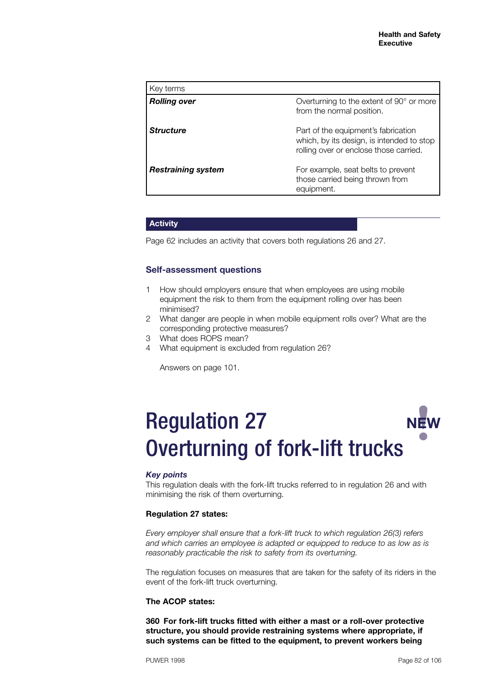| Key terms                 |                                                                                                                            |
|---------------------------|----------------------------------------------------------------------------------------------------------------------------|
| <b>Rolling over</b>       | Overturning to the extent of 90° or more<br>from the normal position.                                                      |
| <b>Structure</b>          | Part of the equipment's fabrication<br>which, by its design, is intended to stop<br>rolling over or enclose those carried. |
| <b>Restraining system</b> | For example, seat belts to prevent<br>those carried being thrown from<br>equipment.                                        |

#### **Activity**

Page 62 includes an activity that covers both regulations 26 and 27.

#### **Self-assessment questions**

- 1 How should employers ensure that when employees are using mobile equipment the risk to them from the equipment rolling over has been minimised?
- 2 What danger are people in when mobile equipment rolls over? What are the corresponding protective measures?
- 3 What does ROPS mean?
- 4 What equipment is excluded from regulation 26?

Answers on page 101.

### Regulation 27 Overturning of fork-lift trucks **! NEW**

#### *Key points*

This regulation deals with the fork-lift trucks referred to in regulation 26 and with minimising the risk of them overturning.

#### **Regulation 27 states:**

*Every employer shall ensure that a fork-lift truck to which regulation 26(3) refers*  and which carries an employee is adapted or equipped to reduce to as low as is *reasonably practicable the risk to safety from its overturning.*

The regulation focuses on measures that are taken for the safety of its riders in the event of the fork-lift truck overturning.

#### **The ACOP states:**

**360 For fork-lift trucks fitted with either a mast or a roll-over protective structure, you should provide restraining systems where appropriate, if such systems can be fitted to the equipment, to prevent workers being**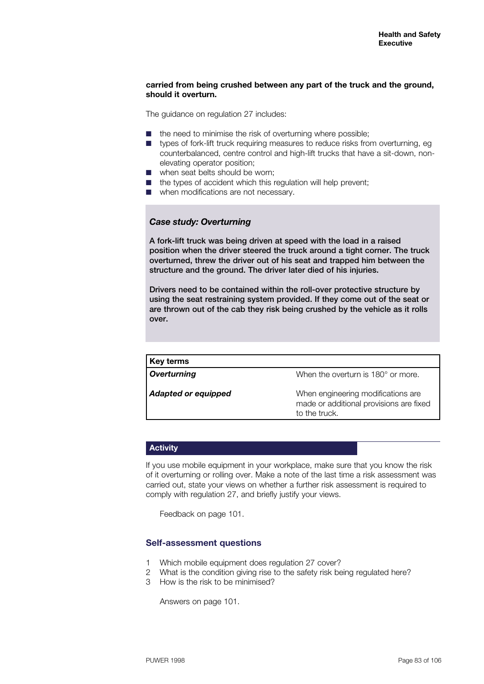#### **carried from being crushed between any part of the truck and the ground, should it overturn.**

The guidance on regulation 27 includes:

- $\blacksquare$  the need to minimise the risk of overturning where possible;
- $\blacksquare$  types of fork-lift truck requiring measures to reduce risks from overturning, eg counterbalanced, centre control and high-lift trucks that have a sit-down, nonelevating operator position;
- $\blacksquare$  when seat belts should be worn;
- $\blacksquare$  the types of accident which this regulation will help prevent;
- $\blacksquare$  when modifications are not necessary.

#### *Case study: Overturning*

A fork-lift truck was being driven at speed with the load in a raised position when the driver steered the truck around a tight corner. The truck overturned, threw the driver out of his seat and trapped him between the structure and the ground. The driver later died of his injuries.

Drivers need to be contained within the roll-over protective structure by using the seat restraining system provided. If they come out of the seat or are thrown out of the cab they risk being crushed by the vehicle as it rolls over.

| Key terms                  |                                                                                                |
|----------------------------|------------------------------------------------------------------------------------------------|
| Overturning                | When the overturn is $180^\circ$ or more.                                                      |
| <b>Adapted or equipped</b> | When engineering modifications are<br>made or additional provisions are fixed<br>to the truck. |
|                            |                                                                                                |

#### **Activity**

If you use mobile equipment in your workplace, make sure that you know the risk of it overturning or rolling over. Make a note of the last time a risk assessment was carried out, state your views on whether a further risk assessment is required to comply with regulation 27, and briefly justify your views.

Feedback on page 101.

#### **Self-assessment questions**

- 1 Which mobile equipment does regulation 27 cover?
- 2 What is the condition giving rise to the safety risk being regulated here?
- 3 How is the risk to be minimised?

Answers on page 101.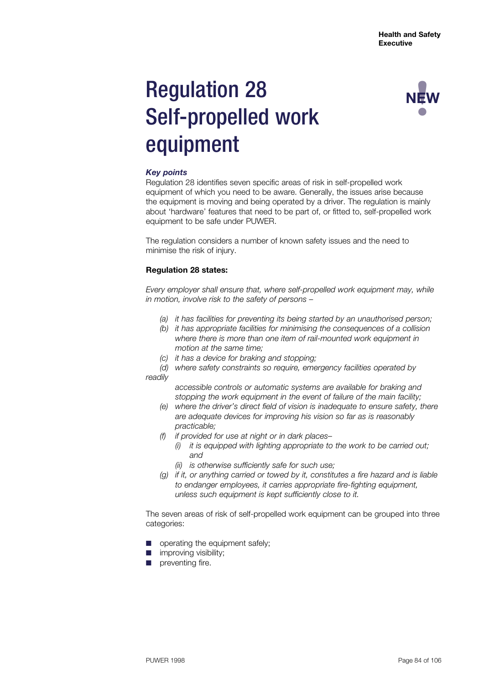## **! NEW**

# Regulation 28 Self-propelled work equipment

#### *Key points*

Regulation 28 identifies seven specific areas of risk in self-propelled work equipment of which you need to be aware. Generally, the issues arise because the equipment is moving and being operated by a driver. The regulation is mainly about 'hardware' features that need to be part of, or fitted to, self-propelled work equipment to be safe under PUWER.

The regulation considers a number of known safety issues and the need to minimise the risk of injury.

#### **Regulation 28 states:**

*Every employer shall ensure that, where self-propelled work equipment may, while in motion, involve risk to the safety of persons –*

- *(a) it has facilities for preventing its being started by an unauthorised person;*
- *(b) it has appropriate facilities for minimising the consequences of a collision where there is more than one item of rail-mounted work equipment in motion at the same time;*
- *(c) it has a device for braking and stopping;*
- *(d) where safety constraints so require, emergency facilities operated by readily*

 *accessible controls or automatic systems are available for braking and stopping the work equipment in the event of failure of the main facility;*

- *(e) where the driver's direct field of vision is inadequate to ensure safety, there are adequate devices for improving his vision so far as is reasonably practicable;*
- *(f) if provided for use at night or in dark places–*
	- *(i) it is equipped with lighting appropriate to the work to be carried out; and*
	- *(ii) is otherwise sufficiently safe for such use;*
- *(g) if it, or anything carried or towed by it, constitutes a fire hazard and is liable to endanger employees, it carries appropriate fire-fighting equipment, unless such equipment is kept sufficiently close to it.*

The seven areas of risk of self-propelled work equipment can be grouped into three categories:

- $\Box$  operating the equipment safely;
- $\blacksquare$  improving visibility;
- preventing fire.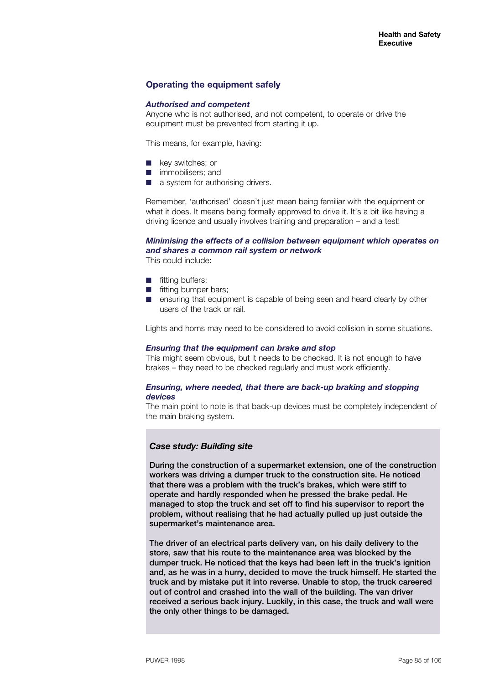#### **Operating the equipment safely**

#### *Authorised and competent*

Anyone who is not authorised, and not competent, to operate or drive the equipment must be prevented from starting it up.

This means, for example, having:

- $\blacksquare$  key switches; or
- **n** immobilisers; and
- $\blacksquare$  a system for authorising drivers.

Remember, 'authorised' doesn't just mean being familiar with the equipment or what it does. It means being formally approved to drive it. It's a bit like having a driving licence and usually involves training and preparation – and a test!

#### *Minimising the effects of a collision between equipment which operates on and shares a common rail system or network* This could include:

- $\blacksquare$  fitting buffers;
- $\blacksquare$  fitting bumper bars;
- $\blacksquare$  ensuring that equipment is capable of being seen and heard clearly by other users of the track or rail.

Lights and horns may need to be considered to avoid collision in some situations.

#### *Ensuring that the equipment can brake and stop*

This might seem obvious, but it needs to be checked. It is not enough to have brakes – they need to be checked regularly and must work efficiently.

#### *Ensuring, where needed, that there are back-up braking and stopping devices*

The main point to note is that back-up devices must be completely independent of the main braking system.

#### *Case study: Building site*

During the construction of a supermarket extension, one of the construction workers was driving a dumper truck to the construction site. He noticed that there was a problem with the truck's brakes, which were stiff to operate and hardly responded when he pressed the brake pedal. He managed to stop the truck and set off to find his supervisor to report the problem, without realising that he had actually pulled up just outside the supermarket's maintenance area.

The driver of an electrical parts delivery van, on his daily delivery to the store, saw that his route to the maintenance area was blocked by the dumper truck. He noticed that the keys had been left in the truck's ignition and, as he was in a hurry, decided to move the truck himself. He started the truck and by mistake put it into reverse. Unable to stop, the truck careered out of control and crashed into the wall of the building. The van driver received a serious back injury. Luckily, in this case, the truck and wall were the only other things to be damaged.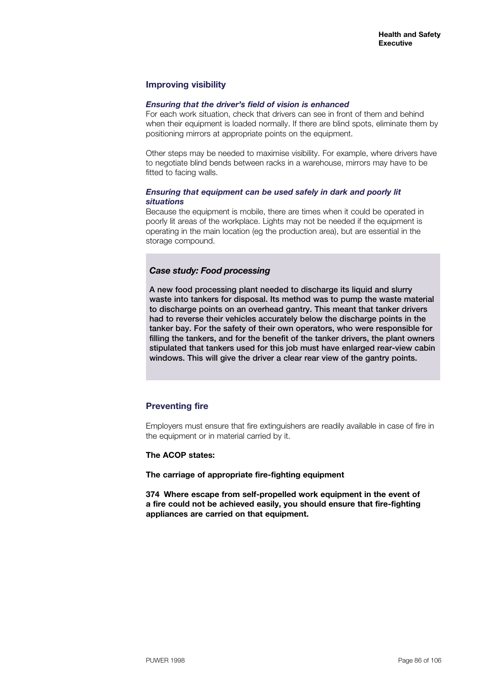#### **Improving visibility**

#### *Ensuring that the driver's field of vision is enhanced*

For each work situation, check that drivers can see in front of them and behind when their equipment is loaded normally. If there are blind spots, eliminate them by positioning mirrors at appropriate points on the equipment.

Other steps may be needed to maximise visibility. For example, where drivers have to negotiate blind bends between racks in a warehouse, mirrors may have to be fitted to facing walls.

#### *Ensuring that equipment can be used safely in dark and poorly lit situations*

Because the equipment is mobile, there are times when it could be operated in poorly lit areas of the workplace. Lights may not be needed if the equipment is operating in the main location (eg the production area), but are essential in the storage compound.

#### *Case study: Food processing*

A new food processing plant needed to discharge its liquid and slurry waste into tankers for disposal. Its method was to pump the waste material to discharge points on an overhead gantry. This meant that tanker drivers had to reverse their vehicles accurately below the discharge points in the tanker bay. For the safety of their own operators, who were responsible for filling the tankers, and for the benefit of the tanker drivers, the plant owners stipulated that tankers used for this job must have enlarged rear-view cabin windows. This will give the driver a clear rear view of the gantry points.

#### **Preventing fire**

Employers must ensure that fire extinguishers are readily available in case of fire in the equipment or in material carried by it.

#### **The ACOP states:**

**The carriage of appropriate fire-fighting equipment**

**374 Where escape from self-propelled work equipment in the event of a fire could not be achieved easily, you should ensure that fire-fighting appliances are carried on that equipment.**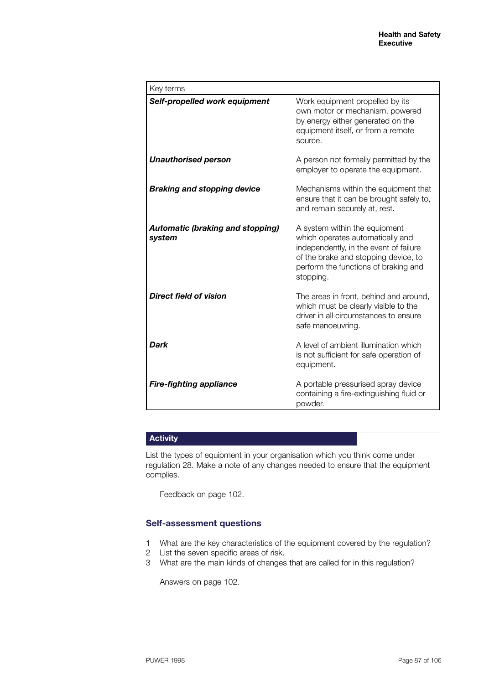| Key terms                                         |                                                                                                                                                                                                          |
|---------------------------------------------------|----------------------------------------------------------------------------------------------------------------------------------------------------------------------------------------------------------|
| Self-propelled work equipment                     | Work equipment propelled by its<br>own motor or mechanism, powered<br>by energy either generated on the<br>equipment itself, or from a remote<br>source.                                                 |
| <b>Unauthorised person</b>                        | A person not formally permitted by the<br>employer to operate the equipment.                                                                                                                             |
| <b>Braking and stopping device</b>                | Mechanisms within the equipment that<br>ensure that it can be brought safely to,<br>and remain securely at, rest.                                                                                        |
| <b>Automatic (braking and stopping)</b><br>system | A system within the equipment<br>which operates automatically and<br>independently, in the event of failure<br>of the brake and stopping device, to<br>perform the functions of braking and<br>stopping. |
| <b>Direct field of vision</b>                     | The areas in front, behind and around,<br>which must be clearly visible to the<br>driver in all circumstances to ensure<br>safe manoeuvring.                                                             |
| <b>Dark</b>                                       | A level of ambient illumination which<br>is not sufficient for safe operation of<br>equipment.                                                                                                           |
| <b>Fire-fighting appliance</b>                    | A portable pressurised spray device<br>containing a fire-extinguishing fluid or<br>powder.                                                                                                               |

#### **Activity**

List the types of equipment in your organisation which you think come under regulation 28. Make a note of any changes needed to ensure that the equipment complies.

Feedback on page 102.

#### **Self-assessment questions**

- 1 What are the key characteristics of the equipment covered by the regulation?
- 2 List the seven specific areas of risk.
- 3 What are the main kinds of changes that are called for in this regulation?

Answers on page 102.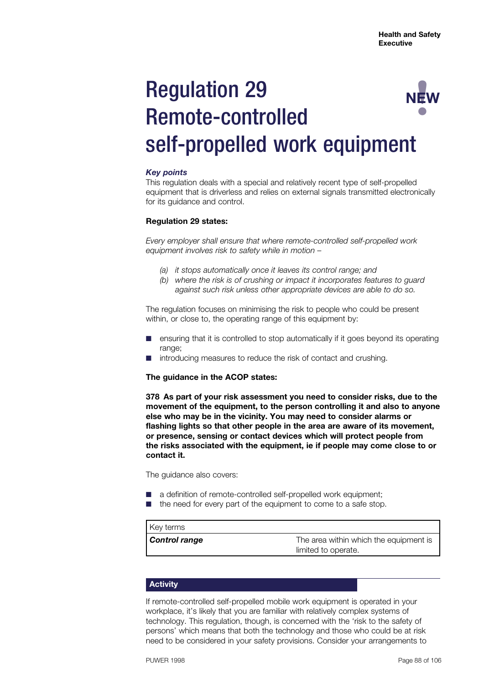## Regulation 29 Remote-controlled self-propelled work equipment **! NEW**

#### *Key points*

This regulation deals with a special and relatively recent type of self-propelled equipment that is driverless and relies on external signals transmitted electronically for its guidance and control.

#### **Regulation 29 states:**

*Every employer shall ensure that where remote-controlled self-propelled work equipment involves risk to safety while in motion –*

- *(a) it stops automatically once it leaves its control range; and*
- *(b) where the risk is of crushing or impact it incorporates features to guard against such risk unless other appropriate devices are able to do so.*

The regulation focuses on minimising the risk to people who could be present within, or close to, the operating range of this equipment by:

- ensuring that it is controlled to stop automatically if it goes beyond its operating range;
- introducing measures to reduce the risk of contact and crushing.

#### **The guidance in the ACOP states:**

**378 As part of your risk assessment you need to consider risks, due to the movement of the equipment, to the person controlling it and also to anyone else who may be in the vicinity. You may need to consider alarms or flashing lights so that other people in the area are aware of its movement, or presence, sensing or contact devices which will protect people from the risks associated with the equipment, ie if people may come close to or contact it.**

The guidance also covers:

- a definition of remote-controlled self-propelled work equipment:
- the need for every part of the equipment to come to a safe stop.

| Key terms |  |
|-----------|--|
|           |  |

**Control range** The area within which the equipment is limited to operate.

#### **Activity**

If remote-controlled self-propelled mobile work equipment is operated in your workplace, it's likely that you are familiar with relatively complex systems of technology. This regulation, though, is concerned with the 'risk to the safety of persons' which means that both the technology and those who could be at risk need to be considered in your safety provisions. Consider your arrangements to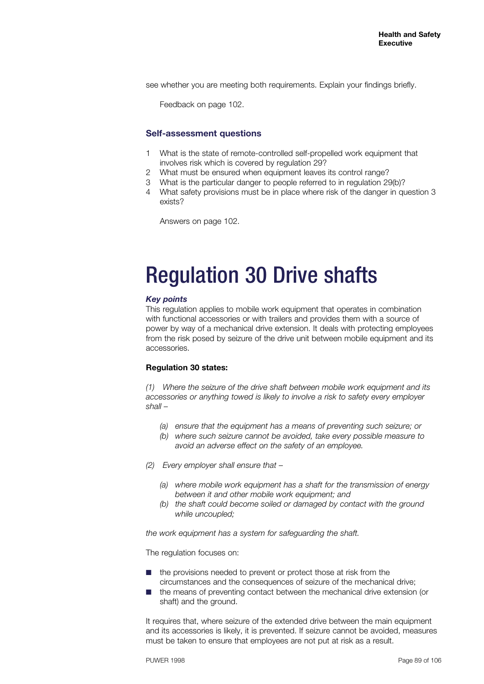see whether you are meeting both requirements. Explain your findings briefly.

Feedback on page 102.

#### **Self-assessment questions**

- 1 What is the state of remote-controlled self-propelled work equipment that involves risk which is covered by regulation 29?
- 2 What must be ensured when equipment leaves its control range?
- 3 What is the particular danger to people referred to in regulation 29(b)?
- 4 What safety provisions must be in place where risk of the danger in question 3 exists?

Answers on page 102.

## Regulation 30 Drive shafts

#### *Key points*

This regulation applies to mobile work equipment that operates in combination with functional accessories or with trailers and provides them with a source of power by way of a mechanical drive extension. It deals with protecting employees from the risk posed by seizure of the drive unit between mobile equipment and its accessories.

#### **Regulation 30 states:**

*(1) Where the seizure of the drive shaft between mobile work equipment and its accessories or anything towed is likely to involve a risk to safety every employer shall –*

- *(a) ensure that the equipment has a means of preventing such seizure; or*
- *(b) where such seizure cannot be avoided, take every possible measure to avoid an adverse effect on the safety of an employee.*
- *(2) Every employer shall ensure that –*
	- *(a) where mobile work equipment has a shaft for the transmission of energy between it and other mobile work equipment; and*
	- *(b) the shaft could become soiled or damaged by contact with the ground while uncoupled;*

*the work equipment has a system for safeguarding the shaft.*

The regulation focuses on:

- $\blacksquare$  the provisions needed to prevent or protect those at risk from the circumstances and the consequences of seizure of the mechanical drive;
- the means of preventing contact between the mechanical drive extension (or shaft) and the ground.

It requires that, where seizure of the extended drive between the main equipment and its accessories is likely, it is prevented. If seizure cannot be avoided, measures must be taken to ensure that employees are not put at risk as a result.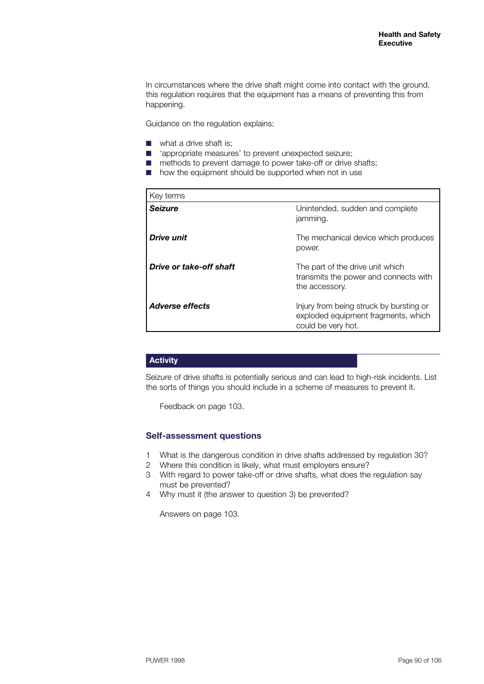In circumstances where the drive shaft might come into contact with the ground, this regulation requires that the equipment has a means of preventing this from happening.

Guidance on the regulation explains:

- what a drive shaft is;
- $\blacksquare$  'appropriate measures' to prevent unexpected seizure;
- methods to prevent damage to power take-off or drive shafts;
- $\blacksquare$  how the equipment should be supported when not in use

| Key terms               |                                                                                                      |
|-------------------------|------------------------------------------------------------------------------------------------------|
| <b>Seizure</b>          | Unintended, sudden and complete<br>jamming.                                                          |
| <b>Drive unit</b>       | The mechanical device which produces<br>power.                                                       |
| Drive or take-off shaft | The part of the drive unit which<br>transmits the power and connects with<br>the accessory.          |
| <b>Adverse effects</b>  | Injury from being struck by bursting or<br>exploded equipment fragments, which<br>could be very hot. |

#### **Activity**

Seizure of drive shafts is potentially serious and can lead to high-risk incidents. List the sorts of things you should include in a scheme of measures to prevent it.

Feedback on page 103.

#### **Self-assessment questions**

- 1 What is the dangerous condition in drive shafts addressed by regulation 30?
- 2 Where this condition is likely, what must employers ensure?
- 3 With regard to power take-off or drive shafts, what does the regulation say must be prevented?
- 4 Why must it (the answer to question 3) be prevented?

Answers on page 103.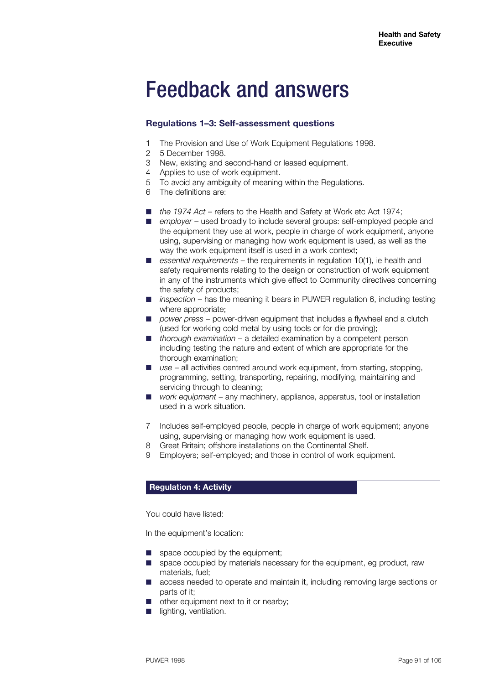## Feedback and answers

#### **Regulations 1–3: Self-assessment questions**

- 1 The Provision and Use of Work Equipment Regulations 1998.
- 2 5 December 1998.
- 3 New, existing and second-hand or leased equipment.
- 4 Applies to use of work equipment.
- 5 To avoid any ambiguity of meaning within the Regulations.
- 6 The definitions are:
- *the 1974 Act* refers to the Health and Safety at Work etc Act 1974;
- *employer* used broadly to include several groups: self-employed people and the equipment they use at work, people in charge of work equipment, anyone using, supervising or managing how work equipment is used, as well as the way the work equipment itself is used in a work context;
- essential requirements the requirements in regulation 10(1), ie health and safety requirements relating to the design or construction of work equipment in any of the instruments which give effect to Community directives concerning the safety of products;
- *inspection* has the meaning it bears in PUWER regulation 6, including testing where appropriate;
- *power press* power-driven equipment that includes a flywheel and a clutch (used for working cold metal by using tools or for die proving);
- *thorough examination* a detailed examination by a competent person including testing the nature and extent of which are appropriate for the thorough examination;
- use all activities centred around work equipment, from starting, stopping, programming, setting, transporting, repairing, modifying, maintaining and servicing through to cleaning:
- *work equipment* any machinery, appliance, apparatus, tool or installation used in a work situation.
- 7 Includes self-employed people, people in charge of work equipment; anyone using, supervising or managing how work equipment is used.
- 8 Great Britain; offshore installations on the Continental Shelf.
- 9 Employers; self-employed; and those in control of work equipment.

#### **Regulation 4: Activity**

You could have listed:

In the equipment's location:

- $\Box$  space occupied by the equipment;
- space occupied by materials necessary for the equipment, eg product, raw materials, fuel;
- access needed to operate and maintain it, including removing large sections or parts of it;
- other equipment next to it or nearby:
- **n** lighting, ventilation.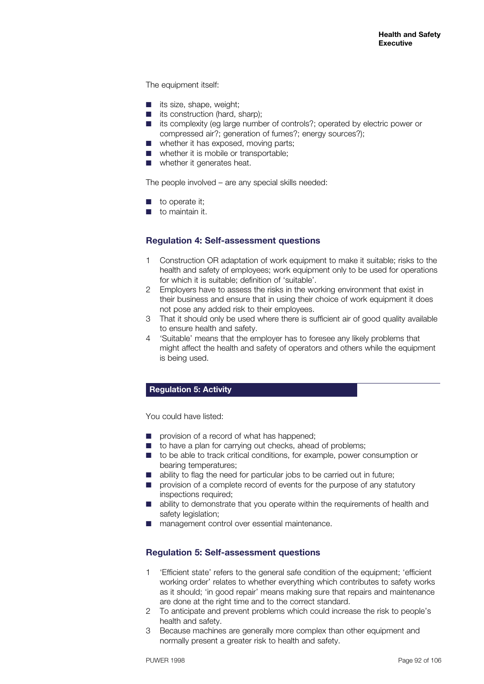The equipment itself:

- $\blacksquare$  its size, shape, weight;
- $\blacksquare$  its construction (hard, sharp);
- $\blacksquare$  its complexity (eg large number of controls?; operated by electric power or compressed air?; generation of fumes?; energy sources?);
- $\blacksquare$  whether it has exposed, moving parts;
- $\blacksquare$  whether it is mobile or transportable;
- $\blacksquare$  whether it generates heat.

The people involved – are any special skills needed:

- to operate it;
- to maintain it.

#### **Regulation 4: Self-assessment questions**

- 1 Construction OR adaptation of work equipment to make it suitable; risks to the health and safety of employees; work equipment only to be used for operations for which it is suitable; definition of 'suitable'.
- 2 Employers have to assess the risks in the working environment that exist in their business and ensure that in using their choice of work equipment it does not pose any added risk to their employees.
- 3 That it should only be used where there is sufficient air of good quality available to ensure health and safety.
- 4 'Suitable' means that the employer has to foresee any likely problems that might affect the health and safety of operators and others while the equipment is being used.

#### **Regulation 5: Activity**

You could have listed:

- $\blacksquare$  provision of a record of what has happened;
- $\blacksquare$  to have a plan for carrying out checks, ahead of problems;
- $\blacksquare$  to be able to track critical conditions, for example, power consumption or bearing temperatures;
- $\Box$  ability to flag the need for particular jobs to be carried out in future;
- $\Box$  provision of a complete record of events for the purpose of any statutory inspections required;
- $\blacksquare$  ability to demonstrate that you operate within the requirements of health and safety legislation:
- management control over essential maintenance.

#### **Regulation 5: Self-assessment questions**

- 1 'Efficient state' refers to the general safe condition of the equipment; 'efficient working order' relates to whether everything which contributes to safety works as it should; 'in good repair' means making sure that repairs and maintenance are done at the right time and to the correct standard.
- 2 To anticipate and prevent problems which could increase the risk to people's health and safety.
- 3 Because machines are generally more complex than other equipment and normally present a greater risk to health and safety.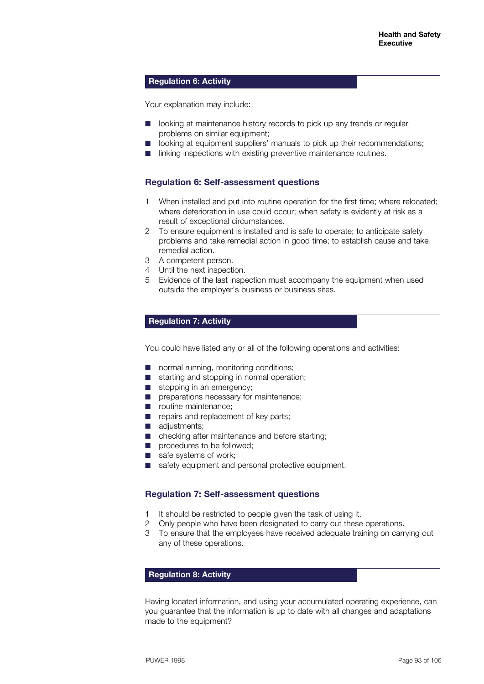#### **Regulation 6: Activity**

Your explanation may include:

- looking at maintenance history records to pick up any trends or regular problems on similar equipment;
- looking at equipment suppliers' manuals to pick up their recommendations;
- $\blacksquare$  linking inspections with existing preventive maintenance routines.

#### **Regulation 6: Self-assessment questions**

- 1 When installed and put into routine operation for the first time; where relocated; where deterioration in use could occur; when safety is evidently at risk as a result of exceptional circumstances.
- 2 To ensure equipment is installed and is safe to operate; to anticipate safety problems and take remedial action in good time; to establish cause and take remedial action.
- 3 A competent person.
- 4 Until the next inspection.
- 5 Evidence of the last inspection must accompany the equipment when used outside the employer's business or business sites.

#### **Regulation 7: Activity**

You could have listed any or all of the following operations and activities:

- $\blacksquare$  normal running, monitoring conditions;
- $\blacksquare$  starting and stopping in normal operation;
- $\blacksquare$  stopping in an emergency;
- $\blacksquare$  preparations necessary for maintenance:
- $\blacksquare$  routine maintenance:
- $\blacksquare$  repairs and replacement of key parts;
- $\blacksquare$  adjustments;
- $\blacksquare$  checking after maintenance and before starting;
- $\blacksquare$  procedures to be followed;
- $\blacksquare$  safe systems of work;
- $\blacksquare$  safety equipment and personal protective equipment.

#### **Regulation 7: Self-assessment questions**

- 1 It should be restricted to people given the task of using it.
- 2 Only people who have been designated to carry out these operations.
- 3 To ensure that the employees have received adequate training on carrying out any of these operations.

#### **Regulation 8: Activity**

Having located information, and using your accumulated operating experience, can you guarantee that the information is up to date with all changes and adaptations made to the equipment?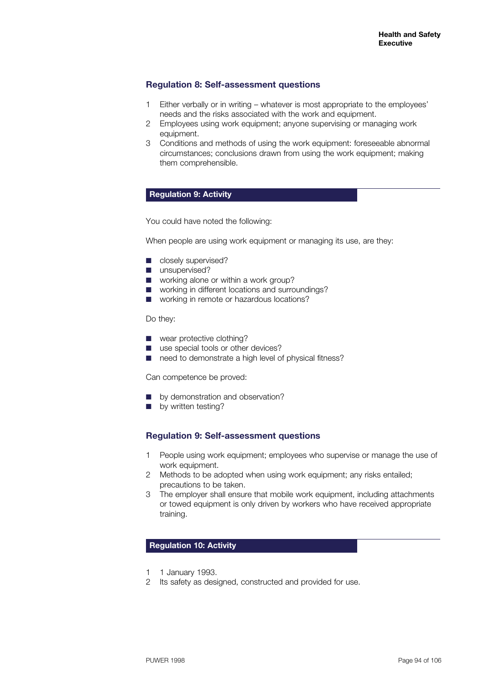#### **Regulation 8: Self-assessment questions**

- 1 Either verbally or in writing whatever is most appropriate to the employees' needs and the risks associated with the work and equipment.
- 2 Employees using work equipment; anyone supervising or managing work equipment.
- 3 Conditions and methods of using the work equipment: foreseeable abnormal circumstances; conclusions drawn from using the work equipment; making them comprehensible.

#### **Regulation 9: Activity**

You could have noted the following:

When people are using work equipment or managing its use, are they:

- closely supervised?
- $\blacksquare$  unsupervised?
- $\blacksquare$  working alone or within a work group?
- $\blacksquare$  working in different locations and surroundings?
- $\blacksquare$  working in remote or hazardous locations?

Do they:

- $\blacksquare$  wear protective clothing?
- $\blacksquare$  use special tools or other devices?
- $\blacksquare$  need to demonstrate a high level of physical fitness?

Can competence be proved:

- $\blacksquare$  by demonstration and observation?
- $\blacksquare$  by written testing?

#### **Regulation 9: Self-assessment questions**

- 1 People using work equipment; employees who supervise or manage the use of work equipment.
- 2 Methods to be adopted when using work equipment; any risks entailed; precautions to be taken.
- 3 The employer shall ensure that mobile work equipment, including attachments or towed equipment is only driven by workers who have received appropriate training.

#### **Regulation 10: Activity**

- 1 1 January 1993.
- 2 Its safety as designed, constructed and provided for use.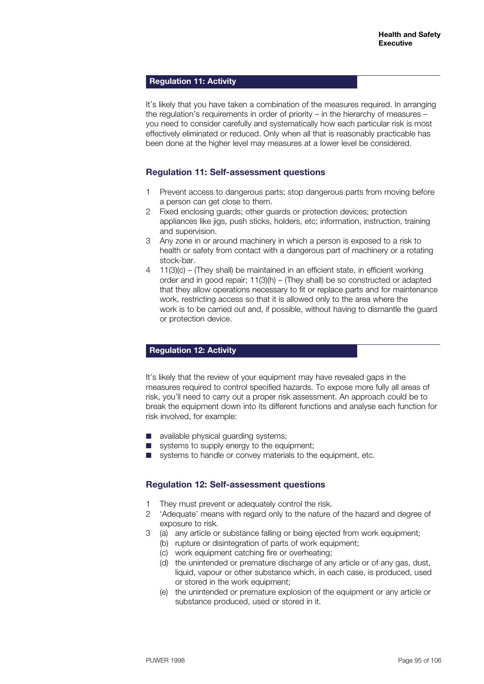#### **Regulation 11: Activity**

It's likely that you have taken a combination of the measures required. In arranging the regulation's requirements in order of priority – in the hierarchy of measures – you need to consider carefully and systematically how each particular risk is most effectively eliminated or reduced. Only when all that is reasonably practicable has been done at the higher level may measures at a lower level be considered.

#### **Regulation 11: Self-assessment questions**

- 1 Prevent access to dangerous parts; stop dangerous parts from moving before a person can get close to them.
- 2 Fixed enclosing guards; other guards or protection devices; protection appliances like jigs, push sticks, holders, etc; information, instruction, training and supervision.
- 3 Any zone in or around machinery in which a person is exposed to a risk to health or safety from contact with a dangerous part of machinery or a rotating stock-bar.
- 4 11(3)(c) (They shall) be maintained in an efficient state, in efficient working order and in good repair; 11(3)(h) – (They shall) be so constructed or adapted that they allow operations necessary to fit or replace parts and for maintenance work, restricting access so that it is allowed only to the area where the work is to be carried out and, if possible, without having to dismantle the guard or protection device.

#### **Regulation 12: Activity**

It's likely that the review of your equipment may have revealed gaps in the measures required to control specified hazards. To expose more fully all areas of risk, you'll need to carry out a proper risk assessment. An approach could be to break the equipment down into its different functions and analyse each function for risk involved, for example:

- $\Box$  available physical guarding systems;
- $\blacksquare$  systems to supply energy to the equipment;
- systems to handle or convey materials to the equipment, etc.

#### **Regulation 12: Self-assessment questions**

- 1 They must prevent or adequately control the risk.
- 2 'Adequate' means with regard only to the nature of the hazard and degree of exposure to risk.
- 3 (a) any article or substance falling or being ejected from work equipment;
	- (b) rupture or disintegration of parts of work equipment;
	- (c) work equipment catching fire or overheating;
	- (d) the unintended or premature discharge of any article or of any gas, dust, liquid, vapour or other substance which, in each case, is produced, used or stored in the work equipment;
	- (e) the unintended or premature explosion of the equipment or any article or substance produced, used or stored in it.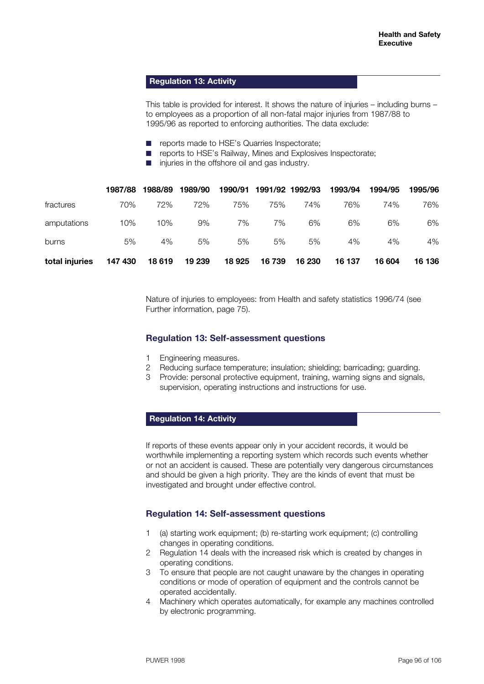#### **Regulation 13: Activity**

This table is provided for interest. It shows the nature of injuries – including burns – to employees as a proportion of all non-fatal major injuries from 1987/88 to 1995/96 as reported to enforcing authorities. The data exclude:

- reports made to HSE's Quarries Inspectorate;
- $\blacksquare$  reports to HSE's Railway, Mines and Explosives Inspectorate;
- $\blacksquare$  injuries in the offshore oil and gas industry.

|                | 1987/88 | 1988/89 | 1989/90 | 1990/91 | 1991/92 1992/93 |        | 1993/94 | 1994/95 | 1995/96 |
|----------------|---------|---------|---------|---------|-----------------|--------|---------|---------|---------|
| fractures      | 70%     | 72%     | 72%     | 75%     | 75%             | 74%    | 76%     | 74%     | 76%     |
| amputations    | 10%     | 10%     | 9%      | 7%      | 7%              | 6%     | 6%      | 6%      | 6%      |
| burns          | 5%      | 4%      | 5%      | 5%      | 5%              | 5%     | 4%      | 4%      | $4\%$   |
| total injuries | 147 430 | 18 619  | 19 239  | 18 9 25 | 16 739          | 16 230 | 16 137  | 16 604  | 16 136  |

Nature of injuries to employees: from Health and safety statistics 1996/74 (see Further information, page 75).

#### **Regulation 13: Self-assessment questions**

- Engineering measures.
- 2 Reducing surface temperature; insulation; shielding; barricading; guarding.
- 3 Provide: personal protective equipment, training, warning signs and signals, supervision, operating instructions and instructions for use.

#### **Regulation 14: Activity**

If reports of these events appear only in your accident records, it would be worthwhile implementing a reporting system which records such events whether or not an accident is caused. These are potentially very dangerous circumstances and should be given a high priority. They are the kinds of event that must be investigated and brought under effective control.

#### **Regulation 14: Self-assessment questions**

- 1 (a) starting work equipment; (b) re-starting work equipment; (c) controlling changes in operating conditions.
- 2 Regulation 14 deals with the increased risk which is created by changes in operating conditions.
- 3 To ensure that people are not caught unaware by the changes in operating conditions or mode of operation of equipment and the controls cannot be operated accidentally.
- 4 Machinery which operates automatically, for example any machines controlled by electronic programming.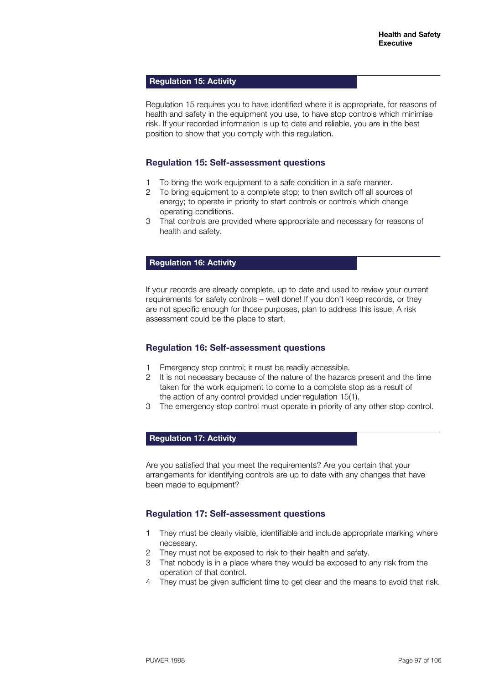#### **Regulation 15: Activity**

Regulation 15 requires you to have identified where it is appropriate, for reasons of health and safety in the equipment you use, to have stop controls which minimise risk. If your recorded information is up to date and reliable, you are in the best position to show that you comply with this regulation.

#### **Regulation 15: Self-assessment questions**

- 1 To bring the work equipment to a safe condition in a safe manner.
- 2 To bring equipment to a complete stop; to then switch off all sources of energy; to operate in priority to start controls or controls which change operating conditions.
- 3 That controls are provided where appropriate and necessary for reasons of health and safety.

#### **Regulation 16: Activity**

If your records are already complete, up to date and used to review your current requirements for safety controls – well done! If you don't keep records, or they are not specific enough for those purposes, plan to address this issue. A risk assessment could be the place to start.

#### **Regulation 16: Self-assessment questions**

- 1 Emergency stop control; it must be readily accessible.
- 2 It is not necessary because of the nature of the hazards present and the time taken for the work equipment to come to a complete stop as a result of the action of any control provided under regulation 15(1).
- 3 The emergency stop control must operate in priority of any other stop control.

#### **Regulation 17: Activity**

Are you satisfied that you meet the requirements? Are you certain that your arrangements for identifying controls are up to date with any changes that have been made to equipment?

#### **Regulation 17: Self-assessment questions**

- 1 They must be clearly visible, identifiable and include appropriate marking where necessary.
- 2 They must not be exposed to risk to their health and safety.
- 3 That nobody is in a place where they would be exposed to any risk from the operation of that control.
- 4 They must be given sufficient time to get clear and the means to avoid that risk.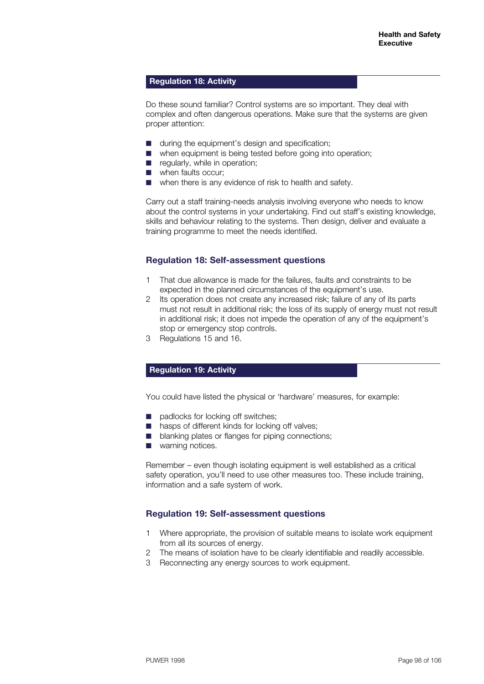#### **Regulation 18: Activity**

Do these sound familiar? Control systems are so important. They deal with complex and often dangerous operations. Make sure that the systems are given proper attention:

- during the equipment's design and specification;
- $\blacksquare$  when equipment is being tested before going into operation;
- $\blacksquare$  regularly, while in operation;
- $\blacksquare$  when faults occur;
- $\blacksquare$  when there is any evidence of risk to health and safety.

Carry out a staff training-needs analysis involving everyone who needs to know about the control systems in your undertaking. Find out staff's existing knowledge, skills and behaviour relating to the systems. Then design, deliver and evaluate a training programme to meet the needs identified.

#### **Regulation 18: Self-assessment questions**

- 1 That due allowance is made for the failures, faults and constraints to be expected in the planned circumstances of the equipment's use.
- 2 Its operation does not create any increased risk; failure of any of its parts must not result in additional risk; the loss of its supply of energy must not result in additional risk; it does not impede the operation of any of the equipment's stop or emergency stop controls.
- 3 Regulations 15 and 16.

#### **Regulation 19: Activity**

You could have listed the physical or 'hardware' measures, for example:

- padlocks for locking off switches;
- hasps of different kinds for locking off valves;
- $\blacksquare$  blanking plates or flanges for piping connections;
- warning notices.

Remember – even though isolating equipment is well established as a critical safety operation, you'll need to use other measures too. These include training, information and a safe system of work.

#### **Regulation 19: Self-assessment questions**

- 1 Where appropriate, the provision of suitable means to isolate work equipment from all its sources of energy.
- 2 The means of isolation have to be clearly identifiable and readily accessible.
- 3 Reconnecting any energy sources to work equipment.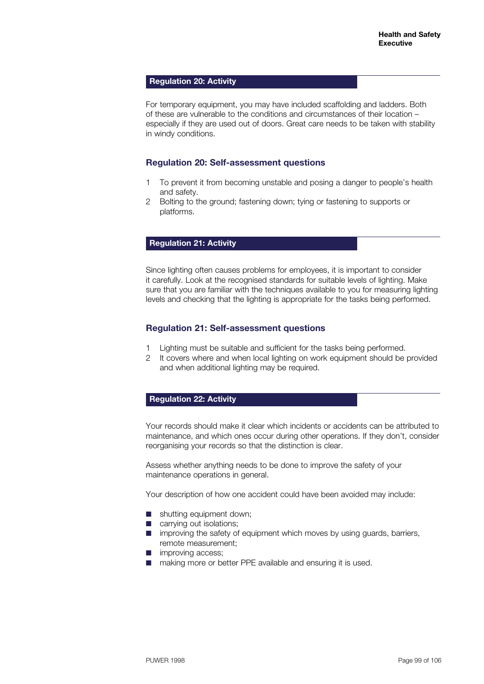#### **Regulation 20: Activity**

For temporary equipment, you may have included scaffolding and ladders. Both of these are vulnerable to the conditions and circumstances of their location – especially if they are used out of doors. Great care needs to be taken with stability in windy conditions.

#### **Regulation 20: Self-assessment questions**

- 1 To prevent it from becoming unstable and posing a danger to people's health and safety.
- 2 Bolting to the ground; fastening down; tying or fastening to supports or platforms.

#### **Regulation 21: Activity**

Since lighting often causes problems for employees, it is important to consider it carefully. Look at the recognised standards for suitable levels of lighting. Make sure that you are familiar with the techniques available to you for measuring lighting levels and checking that the lighting is appropriate for the tasks being performed.

#### **Regulation 21: Self-assessment questions**

- 1 Lighting must be suitable and sufficient for the tasks being performed.
- 2 It covers where and when local lighting on work equipment should be provided and when additional lighting may be required.

#### **Regulation 22: Activity**

Your records should make it clear which incidents or accidents can be attributed to maintenance, and which ones occur during other operations. If they don't, consider reorganising your records so that the distinction is clear.

Assess whether anything needs to be done to improve the safety of your maintenance operations in general.

Your description of how one accident could have been avoided may include:

- $\blacksquare$  shutting equipment down;
- $\blacksquare$  carrying out isolations:
- $\blacksquare$  improving the safety of equipment which moves by using guards, barriers, remote measurement;
- $\blacksquare$  improving access;
- making more or better PPE available and ensuring it is used.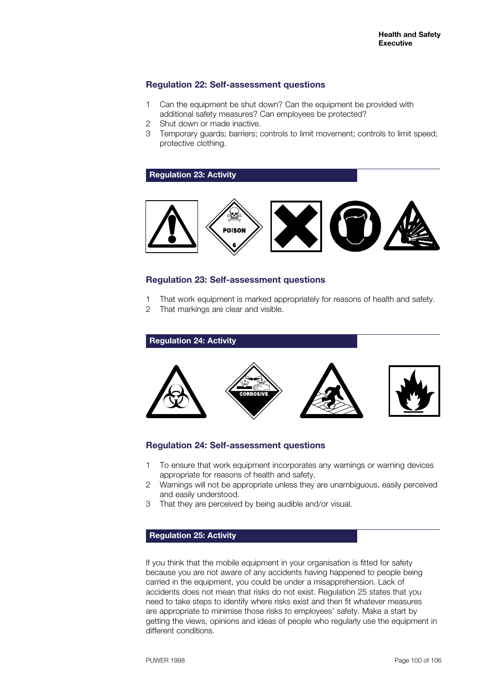#### **Regulation 22: Self-assessment questions**

- 1 Can the equipment be shut down? Can the equipment be provided with additional safety measures? Can employees be protected?
- 2 Shut down or made inactive.
- 3 Temporary guards; barriers; controls to limit movement; controls to limit speed; protective clothing.

#### **Regulation 23: Activity**



#### **Regulation 23: Self-assessment questions**

- 1 That work equipment is marked appropriately for reasons of health and safety.
- 2 That markings are clear and visible.

# **Regulation 24: Activity**

#### **Regulation 24: Self-assessment questions**

- 1 To ensure that work equipment incorporates any warnings or warning devices appropriate for reasons of health and safety.
- 2 Warnings will not be appropriate unless they are unambiguous, easily perceived and easily understood.
- 3 That they are perceived by being audible and/or visual.

#### **Regulation 25: Activity**

If you think that the mobile equipment in your organisation is fitted for safety because you are not aware of any accidents having happened to people being carried in the equipment, you could be under a misapprehension. Lack of accidents does not mean that risks do not exist. Regulation 25 states that you need to take steps to identify where risks exist and then fit whatever measures are appropriate to minimise those risks to employees' safety. Make a start by getting the views, opinions and ideas of people who regularly use the equipment in different conditions.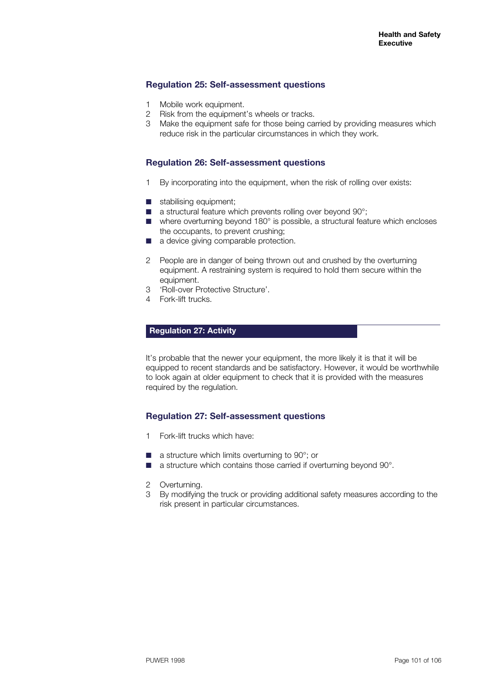#### **Regulation 25: Self-assessment questions**

- 1 Mobile work equipment.
- 2 Risk from the equipment's wheels or tracks.
- 3 Make the equipment safe for those being carried by providing measures which reduce risk in the particular circumstances in which they work.

#### **Regulation 26: Self-assessment questions**

- 1 By incorporating into the equipment, when the risk of rolling over exists:
- $\blacksquare$  stabilising equipment;
- $\blacksquare$  a structural feature which prevents rolling over beyond 90°;
- $\blacksquare$  where overturning beyond 180 $^{\circ}$  is possible, a structural feature which encloses the occupants, to prevent crushing;
- $\blacksquare$  a device giving comparable protection.
- 2 People are in danger of being thrown out and crushed by the overturning equipment. A restraining system is required to hold them secure within the equipment.
- 3 'Roll-over Protective Structure'.
- 4 Fork-lift trucks.

#### **Regulation 27: Activity**

It's probable that the newer your equipment, the more likely it is that it will be equipped to recent standards and be satisfactory. However, it would be worthwhile to look again at older equipment to check that it is provided with the measures required by the regulation.

#### **Regulation 27: Self-assessment questions**

- 1 Fork-lift trucks which have:
- $\blacksquare$  a structure which limits overturning to 90°; or
- $\blacksquare$  a structure which contains those carried if overturning beyond 90°.
- 2 Overturning.
- 3 By modifying the truck or providing additional safety measures according to the risk present in particular circumstances.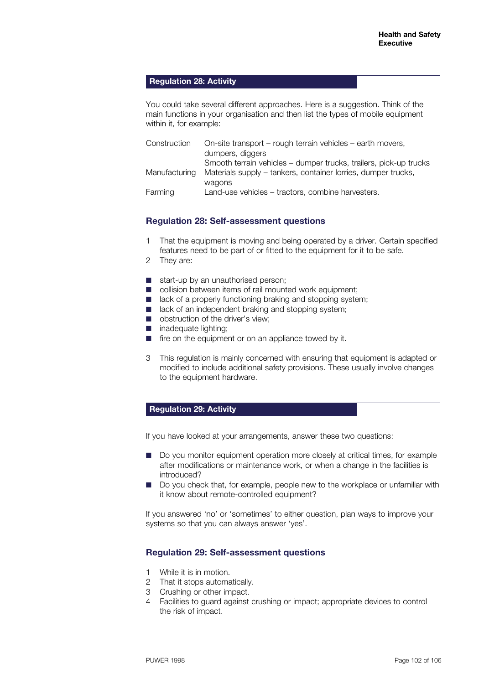#### **Regulation 28: Activity**

You could take several different approaches. Here is a suggestion. Think of the main functions in your organisation and then list the types of mobile equipment within it, for example:

| Construction  | On-site transport – rough terrain vehicles – earth movers,        |
|---------------|-------------------------------------------------------------------|
|               | dumpers, diggers                                                  |
|               | Smooth terrain vehicles – dumper trucks, trailers, pick-up trucks |
| Manufacturing | Materials supply – tankers, container lorries, dumper trucks,     |
|               | wagons                                                            |
| Farming       | Land-use vehicles – tractors, combine harvesters.                 |

#### **Regulation 28: Self-assessment questions**

- 1 That the equipment is moving and being operated by a driver. Certain specified features need to be part of or fitted to the equipment for it to be safe.
- 2 They are:
- $\blacksquare$  start-up by an unauthorised person;
- $\blacksquare$  collision between items of rail mounted work equipment;
- $\blacksquare$  lack of a properly functioning braking and stopping system;
- $\blacksquare$  lack of an independent braking and stopping system;
- $\blacksquare$  obstruction of the driver's view;
- $\blacksquare$  inadequate lighting;
- $\blacksquare$  fire on the equipment or on an appliance towed by it.
- 3 This regulation is mainly concerned with ensuring that equipment is adapted or modified to include additional safety provisions. These usually involve changes to the equipment hardware.

#### **Regulation 29: Activity**

If you have looked at your arrangements, answer these two questions:

- Do you monitor equipment operation more closely at critical times, for example after modifications or maintenance work, or when a change in the facilities is introduced?
- Do you check that, for example, people new to the workplace or unfamiliar with it know about remote-controlled equipment?

If you answered 'no' or 'sometimes' to either question, plan ways to improve your systems so that you can always answer 'yes'.

#### **Regulation 29: Self-assessment questions**

- 1 While it is in motion.
- 2 That it stops automatically.
- 3 Crushing or other impact.
- 4 Facilities to guard against crushing or impact; appropriate devices to control the risk of impact.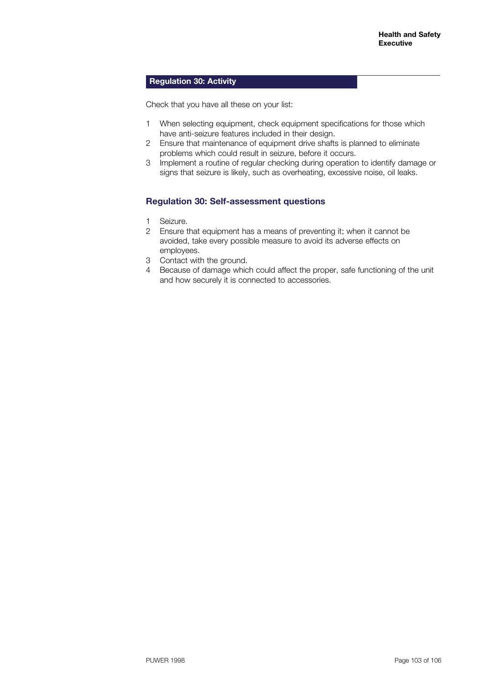#### **Regulation 30: Activity**

Check that you have all these on your list:

- 1 When selecting equipment, check equipment specifications for those which have anti-seizure features included in their design.
- 2 Ensure that maintenance of equipment drive shafts is planned to eliminate problems which could result in seizure, before it occurs.
- 3 Implement a routine of regular checking during operation to identify damage or signs that seizure is likely, such as overheating, excessive noise, oil leaks.

#### **Regulation 30: Self-assessment questions**

- 1 Seizure.
- 2 Ensure that equipment has a means of preventing it; when it cannot be avoided, take every possible measure to avoid its adverse effects on employees.
- 3 Contact with the ground.
- 4 Because of damage which could affect the proper, safe functioning of the unit and how securely it is connected to accessories.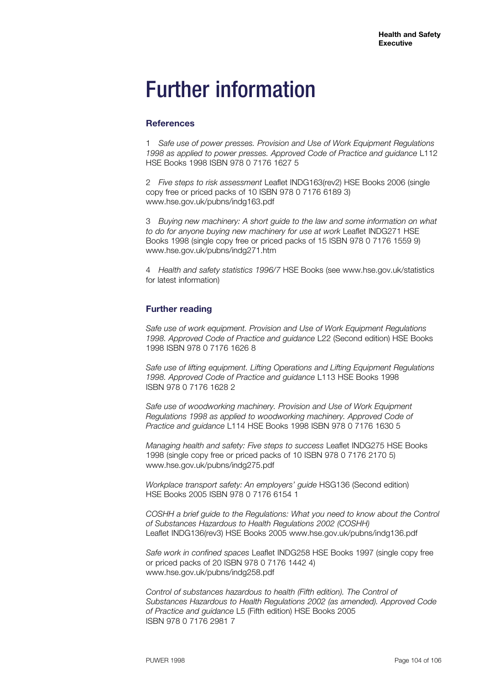## Further information

#### **References**

1 *Safe use of power presses. Provision and Use of Work Equipment Regulations 1998 as applied to power presses. Approved Code of Practice and guidance* L112 HSE Books 1998 ISBN 978 0 7176 1627 5

2 *Five steps to risk assessment* Leaflet INDG163(rev2) HSE Books 2006 (single copy free or priced packs of 10 ISBN 978 0 7176 6189 3) www.hse.gov.uk/pubns/indg163.pdf

3 *Buying new machinery: A short guide to the law and some information on what to do for anyone buying new machinery for use at work* Leaflet INDG271 HSE Books 1998 (single copy free or priced packs of 15 ISBN 978 0 7176 1559 9) www.hse.gov.uk/pubns/indg271.htm

4 *Health and safety statistics 1996/7* HSE Books (see www.hse.gov.uk/statistics for latest information)

#### **Further reading**

*Safe use of work equipment. Provision and Use of Work Equipment Regulations 1998. Approved Code of Practice and guidance* L22 (Second edition) HSE Books 1998 ISBN 978 0 7176 1626 8

*Safe use of lifting equipment. Lifting Operations and Lifting Equipment Regulations 1998. Approved Code of Practice and guidance* L113 HSE Books 1998 ISBN 978 0 7176 1628 2

*Safe use of woodworking machinery. Provision and Use of Work Equipment Regulations 1998 as applied to woodworking machinery. Approved Code of Practice and guidance* L114 HSE Books 1998 ISBN 978 0 7176 1630 5

*Managing health and safety: Five steps to success* Leaflet INDG275 HSE Books 1998 (single copy free or priced packs of 10 ISBN 978 0 7176 2170 5) www.hse.gov.uk/pubns/indg275.pdf

*Workplace transport safety: An employers' guide* HSG136 (Second edition) HSE Books 2005 ISBN 978 0 7176 6154 1

*COSHH a brief guide to the Regulations: What you need to know about the Control of Substances Hazardous to Health Regulations 2002 (COSHH)* Leaflet INDG136(rev3) HSE Books 2005 www.hse.gov.uk/pubns/indg136.pdf

*Safe work in confined spaces* Leaflet INDG258 HSE Books 1997 (single copy free or priced packs of 20 ISBN 978 0 7176 1442 4) www.hse.gov.uk/pubns/indg258.pdf

*Control of substances hazardous to health (Fifth edition). The Control of Substances Hazardous to Health Regulations 2002 (as amended). Approved Code of Practice and guidance* L5 (Fifth edition) HSE Books 2005 ISBN 978 0 7176 2981 7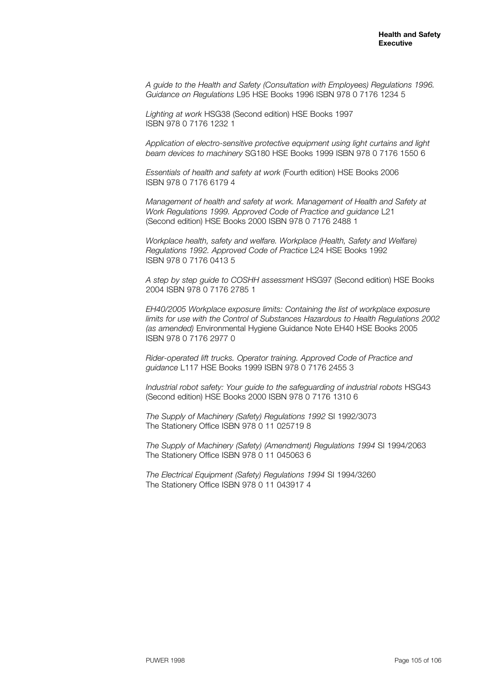*A guide to the Health and Safety (Consultation with Employees) Regulations 1996. Guidance on Regulations* L95 HSE Books 1996 ISBN 978 0 7176 1234 5

*Lighting at work* HSG38 (Second edition) HSE Books 1997 ISBN 978 0 7176 1232 1

*Application of electro-sensitive protective equipment using light curtains and light beam devices to machinery* SG180 HSE Books 1999 ISBN 978 0 7176 1550 6

*Essentials of health and safety at work* (Fourth edition) HSE Books 2006 ISBN 978 0 7176 6179 4

*Management of health and safety at work. Management of Health and Safety at Work Regulations 1999. Approved Code of Practice and guidance* L21 (Second edition) HSE Books 2000 ISBN 978 0 7176 2488 1

*Workplace health, safety and welfare. Workplace (Health, Safety and Welfare) Regulations 1992. Approved Code of Practice* L24 HSE Books 1992 ISBN 978 0 7176 0413 5

*A step by step guide to COSHH assessment* HSG97 (Second edition) HSE Books 2004 ISBN 978 0 7176 2785 1

*EH40/2005 Workplace exposure limits: Containing the list of workplace exposure limits for use with the Control of Substances Hazardous to Health Regulations 2002 (as amended)* Environmental Hygiene Guidance Note EH40 HSE Books 2005 ISBN 978 0 7176 2977 0

*Rider-operated lift trucks. Operator training. Approved Code of Practice and guidance* L117 HSE Books 1999 ISBN 978 0 7176 2455 3

*Industrial robot safety: Your guide to the safeguarding of industrial robots* HSG43 (Second edition) HSE Books 2000 ISBN 978 0 7176 1310 6

*The Supply of Machinery (Safety) Regulations 1992* SI 1992/3073 The Stationery Office ISBN 978 0 11 025719 8

*The Supply of Machinery (Safety) (Amendment) Regulations 1994* SI 1994/2063 The Stationery Office ISBN 978 0 11 045063 6

*The Electrical Equipment (Safety) Regulations 1994* SI 1994/3260 The Stationery Office ISBN 978 0 11 043917 4